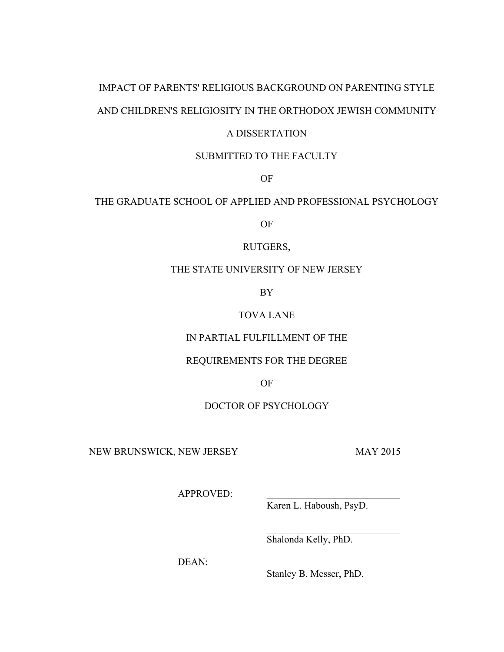# IMPACT OF PARENTS' RELIGIOUS BACKGROUND ON PARENTING STYLE AND CHILDREN'S RELIGIOSITY IN THE ORTHODOX JEWISH COMMUNITY

## A DISSERTATION

## SUBMITTED TO THE FACULTY

OF

## THE GRADUATE SCHOOL OF APPLIED AND PROFESSIONAL PSYCHOLOGY

OF

## RUTGERS,

## THE STATE UNIVERSITY OF NEW JERSEY

BY

## TOVA LANE

## IN PARTIAL FULFILLMENT OF THE

### REQUIREMENTS FOR THE DEGREE

OF

### DOCTOR OF PSYCHOLOGY

NEW BRUNSWICK, NEW JERSEY MAY 2015

APPROVED:

Karen L. Haboush, PsyD.

 $\mathcal{L}_\text{max}$  , where  $\mathcal{L}_\text{max}$  , we have the set of  $\mathcal{L}_\text{max}$ 

Shalonda Kelly, PhD.

DEAN:

Stanley B. Messer, PhD.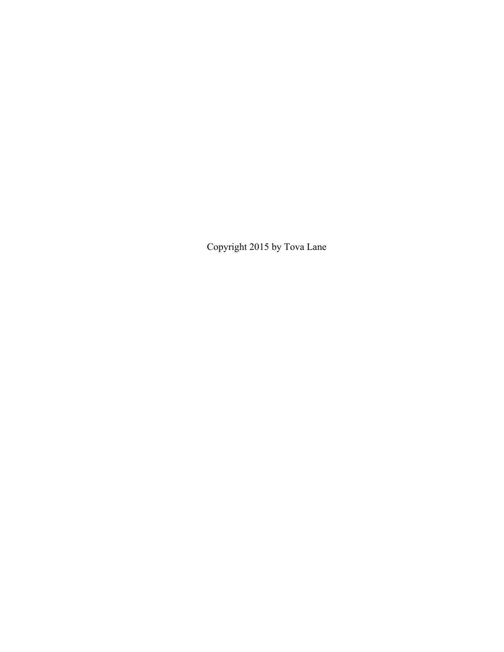Copyright 2015 by Tova Lane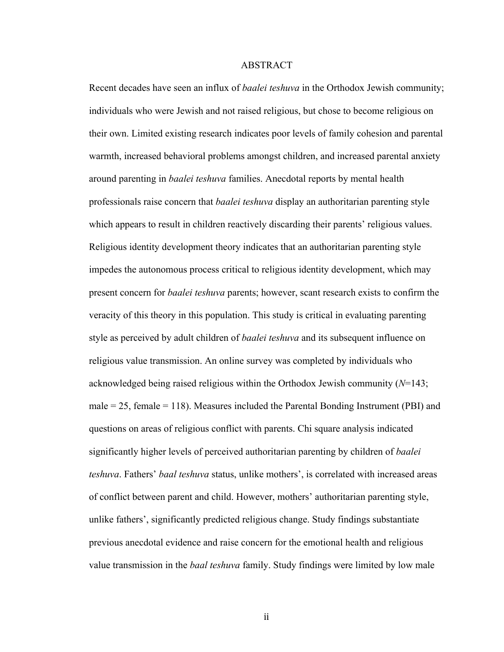#### **ABSTRACT**

Recent decades have seen an influx of *baalei teshuva* in the Orthodox Jewish community; individuals who were Jewish and not raised religious, but chose to become religious on their own. Limited existing research indicates poor levels of family cohesion and parental warmth, increased behavioral problems amongst children, and increased parental anxiety around parenting in *baalei teshuva* families. Anecdotal reports by mental health professionals raise concern that *baalei teshuva* display an authoritarian parenting style which appears to result in children reactively discarding their parents' religious values. Religious identity development theory indicates that an authoritarian parenting style impedes the autonomous process critical to religious identity development, which may present concern for *baalei teshuva* parents; however, scant research exists to confirm the veracity of this theory in this population. This study is critical in evaluating parenting style as perceived by adult children of *baalei teshuva* and its subsequent influence on religious value transmission. An online survey was completed by individuals who acknowledged being raised religious within the Orthodox Jewish community (*N*=143; male  $= 25$ , female  $= 118$ ). Measures included the Parental Bonding Instrument (PBI) and questions on areas of religious conflict with parents. Chi square analysis indicated significantly higher levels of perceived authoritarian parenting by children of *baalei teshuva*. Fathers' *baal teshuva* status, unlike mothers', is correlated with increased areas of conflict between parent and child. However, mothers' authoritarian parenting style, unlike fathers', significantly predicted religious change. Study findings substantiate previous anecdotal evidence and raise concern for the emotional health and religious value transmission in the *baal teshuva* family. Study findings were limited by low male

ii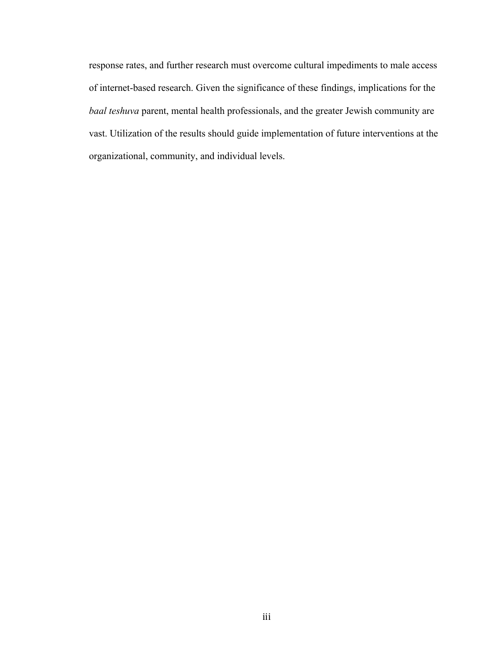response rates, and further research must overcome cultural impediments to male access of internet-based research. Given the significance of these findings, implications for the *baal teshuva* parent, mental health professionals, and the greater Jewish community are vast. Utilization of the results should guide implementation of future interventions at the organizational, community, and individual levels.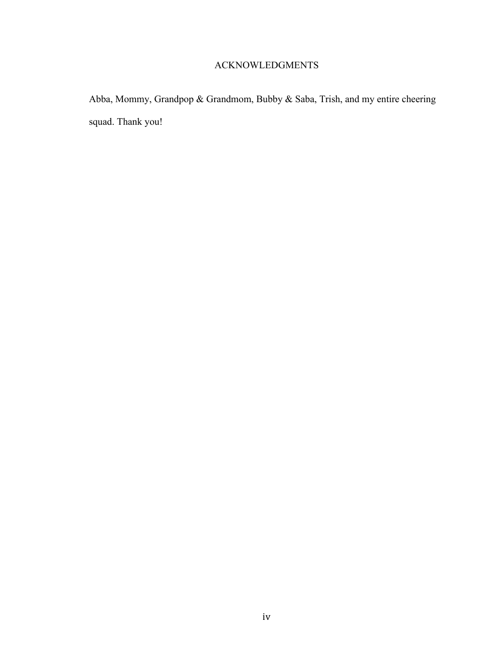## ACKNOWLEDGMENTS

Abba, Mommy, Grandpop & Grandmom, Bubby & Saba, Trish, and my entire cheering squad. Thank you!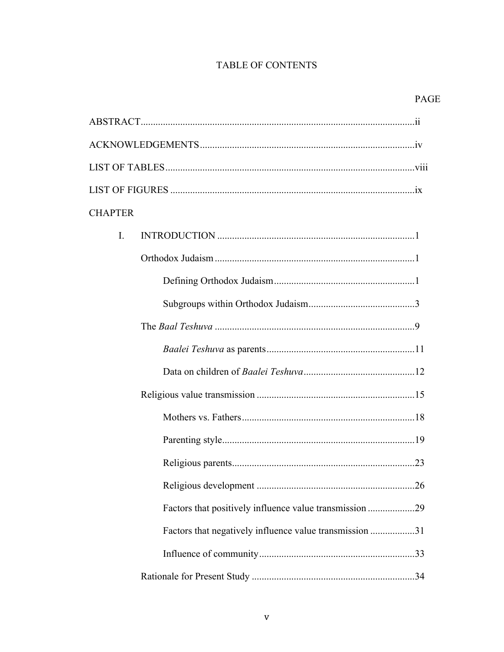## TABLE OF CONTENTS

| <b>CHAPTER</b> |                                                         |  |
|----------------|---------------------------------------------------------|--|
| $\mathbf{I}$ . |                                                         |  |
|                |                                                         |  |
|                |                                                         |  |
|                |                                                         |  |
|                |                                                         |  |
|                |                                                         |  |
|                |                                                         |  |
|                |                                                         |  |
|                |                                                         |  |
|                |                                                         |  |
|                |                                                         |  |
|                |                                                         |  |
|                | Factors that positively influence value transmission 29 |  |
|                | Factors that negatively influence value transmission 31 |  |
|                |                                                         |  |
|                |                                                         |  |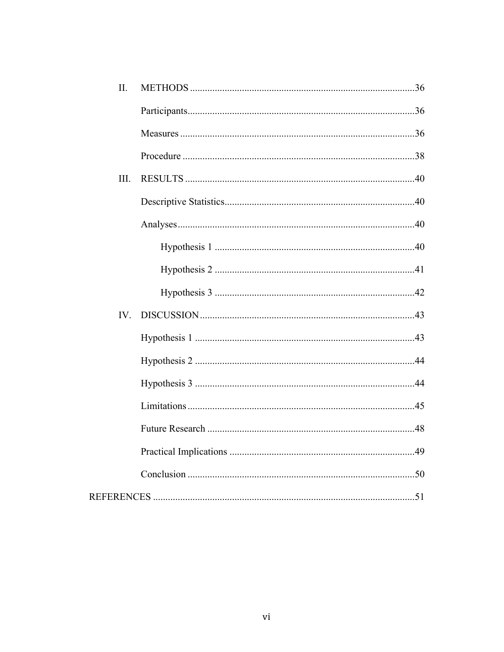| II. |  |
|-----|--|
|     |  |
|     |  |
|     |  |
| Ш.  |  |
|     |  |
|     |  |
|     |  |
|     |  |
|     |  |
| IV. |  |
|     |  |
|     |  |
|     |  |
|     |  |
|     |  |
|     |  |
|     |  |
|     |  |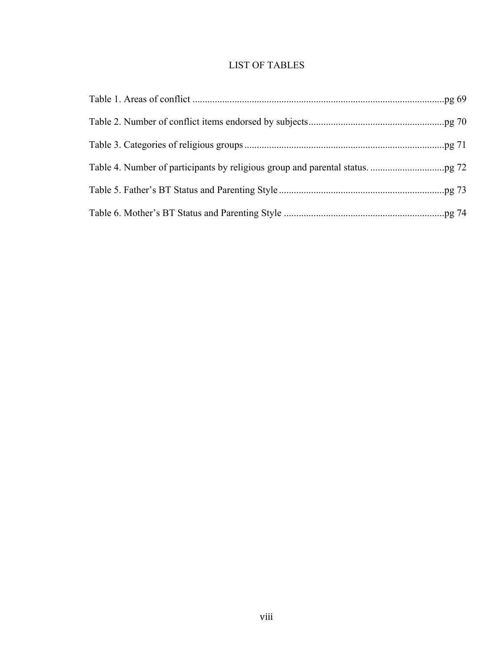## LIST OF TABLES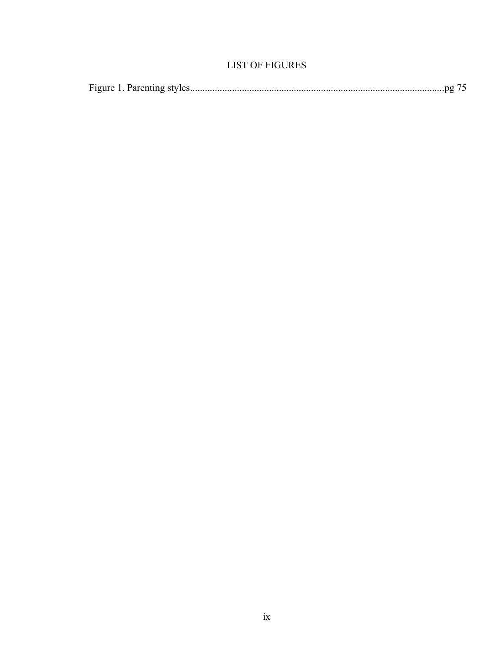## **LIST OF FIGURES**

|--|--|--|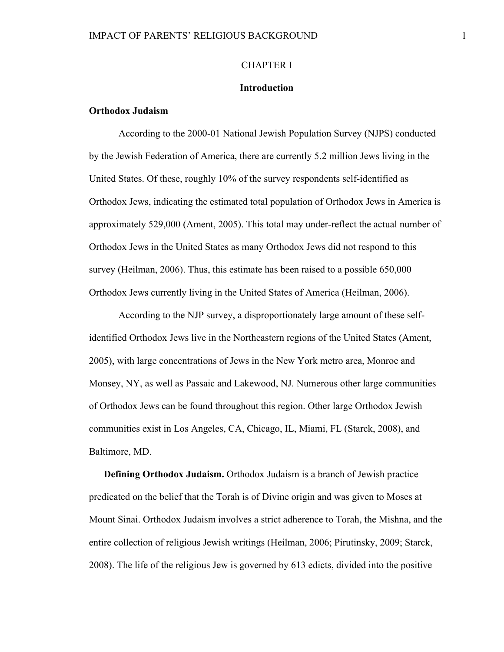### CHAPTER I

#### **Introduction**

### **Orthodox Judaism**

According to the 2000-01 National Jewish Population Survey (NJPS) conducted by the Jewish Federation of America, there are currently 5.2 million Jews living in the United States. Of these, roughly 10% of the survey respondents self-identified as Orthodox Jews, indicating the estimated total population of Orthodox Jews in America is approximately 529,000 (Ament, 2005). This total may under-reflect the actual number of Orthodox Jews in the United States as many Orthodox Jews did not respond to this survey (Heilman, 2006). Thus, this estimate has been raised to a possible 650,000 Orthodox Jews currently living in the United States of America (Heilman, 2006).

According to the NJP survey, a disproportionately large amount of these selfidentified Orthodox Jews live in the Northeastern regions of the United States (Ament, 2005), with large concentrations of Jews in the New York metro area, Monroe and Monsey, NY, as well as Passaic and Lakewood, NJ. Numerous other large communities of Orthodox Jews can be found throughout this region. Other large Orthodox Jewish communities exist in Los Angeles, CA, Chicago, IL, Miami, FL (Starck, 2008), and Baltimore, MD.

**Defining Orthodox Judaism.** Orthodox Judaism is a branch of Jewish practice predicated on the belief that the Torah is of Divine origin and was given to Moses at Mount Sinai. Orthodox Judaism involves a strict adherence to Torah, the Mishna, and the entire collection of religious Jewish writings (Heilman, 2006; Pirutinsky, 2009; Starck, 2008). The life of the religious Jew is governed by 613 edicts, divided into the positive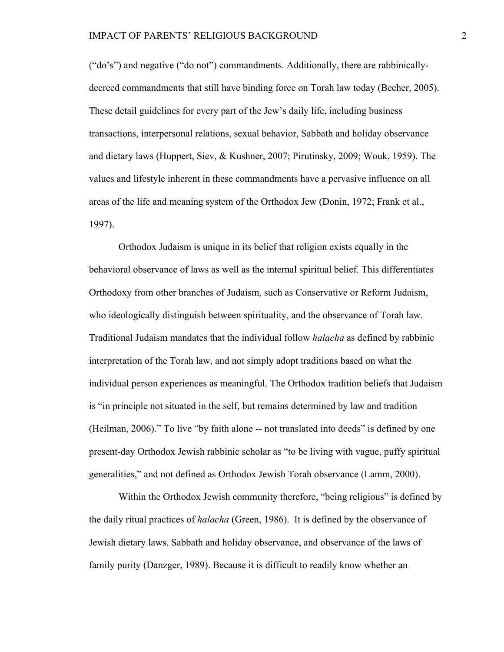("do's") and negative ("do not") commandments. Additionally, there are rabbinicallydecreed commandments that still have binding force on Torah law today (Becher, 2005). These detail guidelines for every part of the Jew's daily life, including business transactions, interpersonal relations, sexual behavior, Sabbath and holiday observance and dietary laws (Huppert, Siev, & Kushner, 2007; Pirutinsky, 2009; Wouk, 1959). The values and lifestyle inherent in these commandments have a pervasive influence on all areas of the life and meaning system of the Orthodox Jew (Donin, 1972; Frank et al., 1997).

Orthodox Judaism is unique in its belief that religion exists equally in the behavioral observance of laws as well as the internal spiritual belief. This differentiates Orthodoxy from other branches of Judaism, such as Conservative or Reform Judaism, who ideologically distinguish between spirituality, and the observance of Torah law. Traditional Judaism mandates that the individual follow *halacha* as defined by rabbinic interpretation of the Torah law, and not simply adopt traditions based on what the individual person experiences as meaningful. The Orthodox tradition beliefs that Judaism is "in principle not situated in the self, but remains determined by law and tradition (Heilman, 2006)." To live "by faith alone -- not translated into deeds" is defined by one present-day Orthodox Jewish rabbinic scholar as "to be living with vague, puffy spiritual generalities," and not defined as Orthodox Jewish Torah observance (Lamm, 2000).

Within the Orthodox Jewish community therefore, "being religious" is defined by the daily ritual practices of *halacha* (Green, 1986). It is defined by the observance of Jewish dietary laws, Sabbath and holiday observance, and observance of the laws of family purity (Danzger, 1989). Because it is difficult to readily know whether an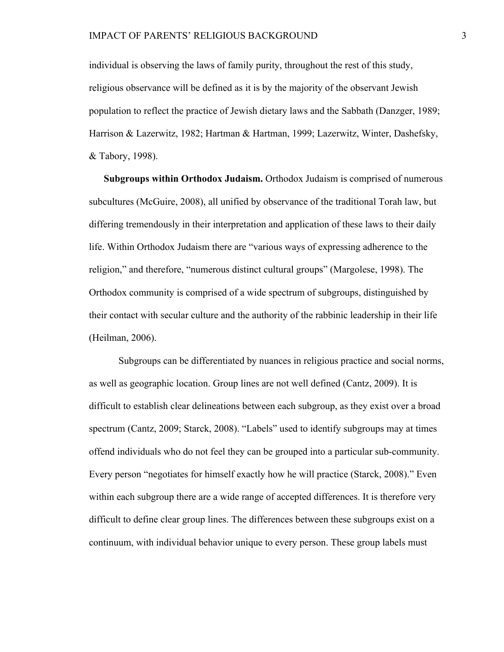individual is observing the laws of family purity, throughout the rest of this study, religious observance will be defined as it is by the majority of the observant Jewish population to reflect the practice of Jewish dietary laws and the Sabbath (Danzger, 1989; Harrison & Lazerwitz, 1982; Hartman & Hartman, 1999; Lazerwitz, Winter, Dashefsky, & Tabory, 1998).

**Subgroups within Orthodox Judaism.** Orthodox Judaism is comprised of numerous subcultures (McGuire, 2008), all unified by observance of the traditional Torah law, but differing tremendously in their interpretation and application of these laws to their daily life. Within Orthodox Judaism there are "various ways of expressing adherence to the religion," and therefore, "numerous distinct cultural groups" (Margolese, 1998). The Orthodox community is comprised of a wide spectrum of subgroups, distinguished by their contact with secular culture and the authority of the rabbinic leadership in their life (Heilman, 2006).

Subgroups can be differentiated by nuances in religious practice and social norms, as well as geographic location. Group lines are not well defined (Cantz, 2009). It is difficult to establish clear delineations between each subgroup, as they exist over a broad spectrum (Cantz, 2009; Starck, 2008). "Labels" used to identify subgroups may at times offend individuals who do not feel they can be grouped into a particular sub-community. Every person "negotiates for himself exactly how he will practice (Starck, 2008)." Even within each subgroup there are a wide range of accepted differences. It is therefore very difficult to define clear group lines. The differences between these subgroups exist on a continuum, with individual behavior unique to every person. These group labels must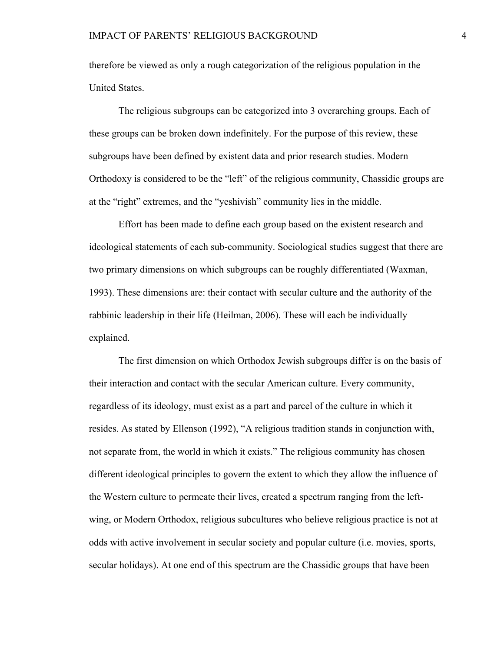therefore be viewed as only a rough categorization of the religious population in the United States.

The religious subgroups can be categorized into 3 overarching groups. Each of these groups can be broken down indefinitely. For the purpose of this review, these subgroups have been defined by existent data and prior research studies. Modern Orthodoxy is considered to be the "left" of the religious community, Chassidic groups are at the "right" extremes, and the "yeshivish" community lies in the middle.

Effort has been made to define each group based on the existent research and ideological statements of each sub-community. Sociological studies suggest that there are two primary dimensions on which subgroups can be roughly differentiated (Waxman, 1993). These dimensions are: their contact with secular culture and the authority of the rabbinic leadership in their life (Heilman, 2006). These will each be individually explained.

The first dimension on which Orthodox Jewish subgroups differ is on the basis of their interaction and contact with the secular American culture. Every community, regardless of its ideology, must exist as a part and parcel of the culture in which it resides. As stated by Ellenson (1992), "A religious tradition stands in conjunction with, not separate from, the world in which it exists." The religious community has chosen different ideological principles to govern the extent to which they allow the influence of the Western culture to permeate their lives, created a spectrum ranging from the leftwing, or Modern Orthodox, religious subcultures who believe religious practice is not at odds with active involvement in secular society and popular culture (i.e. movies, sports, secular holidays). At one end of this spectrum are the Chassidic groups that have been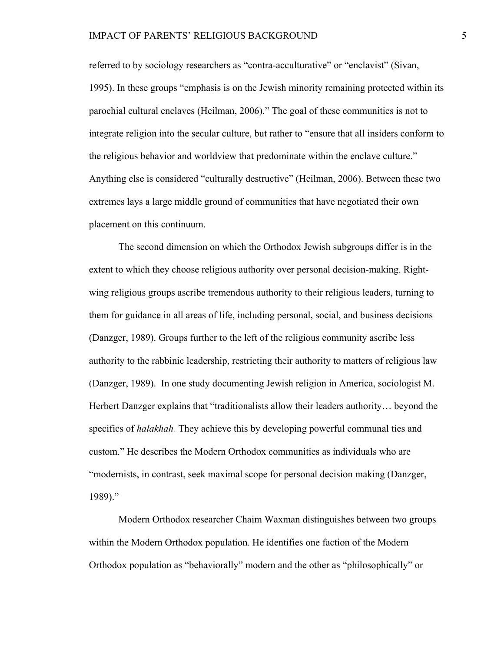### IMPACT OF PARENTS' RELIGIOUS BACKGROUND 5

referred to by sociology researchers as "contra-acculturative" or "enclavist" (Sivan, 1995). In these groups "emphasis is on the Jewish minority remaining protected within its parochial cultural enclaves (Heilman, 2006)." The goal of these communities is not to integrate religion into the secular culture, but rather to "ensure that all insiders conform to the religious behavior and worldview that predominate within the enclave culture." Anything else is considered "culturally destructive" (Heilman, 2006). Between these two extremes lays a large middle ground of communities that have negotiated their own placement on this continuum.

The second dimension on which the Orthodox Jewish subgroups differ is in the extent to which they choose religious authority over personal decision-making. Rightwing religious groups ascribe tremendous authority to their religious leaders, turning to them for guidance in all areas of life, including personal, social, and business decisions (Danzger, 1989). Groups further to the left of the religious community ascribe less authority to the rabbinic leadership, restricting their authority to matters of religious law (Danzger, 1989). In one study documenting Jewish religion in America, sociologist M. Herbert Danzger explains that "traditionalists allow their leaders authority… beyond the specifics of *halakhah*. They achieve this by developing powerful communal ties and custom." He describes the Modern Orthodox communities as individuals who are "modernists, in contrast, seek maximal scope for personal decision making (Danzger, 1989)."

Modern Orthodox researcher Chaim Waxman distinguishes between two groups within the Modern Orthodox population. He identifies one faction of the Modern Orthodox population as "behaviorally" modern and the other as "philosophically" or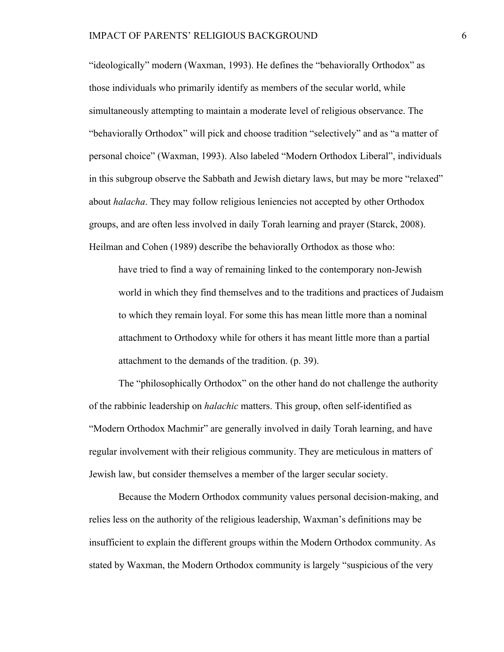"ideologically" modern (Waxman, 1993). He defines the "behaviorally Orthodox" as those individuals who primarily identify as members of the secular world, while simultaneously attempting to maintain a moderate level of religious observance. The "behaviorally Orthodox" will pick and choose tradition "selectively" and as "a matter of personal choice" (Waxman, 1993). Also labeled "Modern Orthodox Liberal", individuals in this subgroup observe the Sabbath and Jewish dietary laws, but may be more "relaxed" about *halacha*. They may follow religious leniencies not accepted by other Orthodox groups, and are often less involved in daily Torah learning and prayer (Starck, 2008). Heilman and Cohen (1989) describe the behaviorally Orthodox as those who:

have tried to find a way of remaining linked to the contemporary non-Jewish world in which they find themselves and to the traditions and practices of Judaism to which they remain loyal. For some this has mean little more than a nominal attachment to Orthodoxy while for others it has meant little more than a partial attachment to the demands of the tradition. (p. 39).

The "philosophically Orthodox" on the other hand do not challenge the authority of the rabbinic leadership on *halachic* matters. This group, often self-identified as "Modern Orthodox Machmir" are generally involved in daily Torah learning, and have regular involvement with their religious community. They are meticulous in matters of Jewish law, but consider themselves a member of the larger secular society.

Because the Modern Orthodox community values personal decision-making, and relies less on the authority of the religious leadership, Waxman's definitions may be insufficient to explain the different groups within the Modern Orthodox community. As stated by Waxman, the Modern Orthodox community is largely "suspicious of the very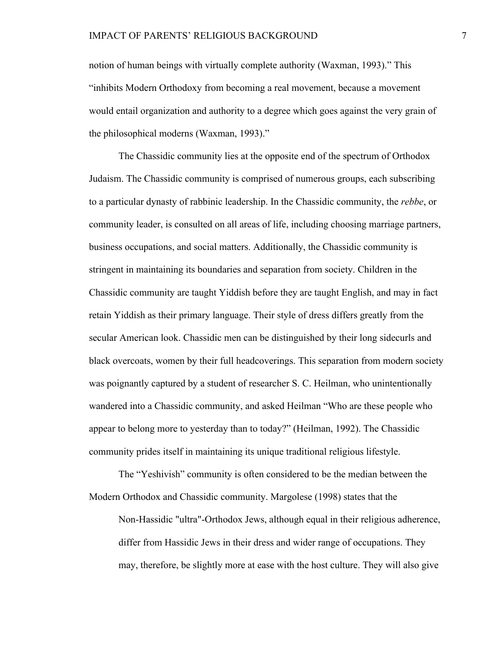notion of human beings with virtually complete authority (Waxman, 1993)." This "inhibits Modern Orthodoxy from becoming a real movement, because a movement would entail organization and authority to a degree which goes against the very grain of the philosophical moderns (Waxman, 1993)."

The Chassidic community lies at the opposite end of the spectrum of Orthodox Judaism. The Chassidic community is comprised of numerous groups, each subscribing to a particular dynasty of rabbinic leadership. In the Chassidic community, the *rebbe*, or community leader, is consulted on all areas of life, including choosing marriage partners, business occupations, and social matters. Additionally, the Chassidic community is stringent in maintaining its boundaries and separation from society. Children in the Chassidic community are taught Yiddish before they are taught English, and may in fact retain Yiddish as their primary language. Their style of dress differs greatly from the secular American look. Chassidic men can be distinguished by their long sidecurls and black overcoats, women by their full headcoverings. This separation from modern society was poignantly captured by a student of researcher S. C. Heilman, who unintentionally wandered into a Chassidic community, and asked Heilman "Who are these people who appear to belong more to yesterday than to today?" (Heilman, 1992). The Chassidic community prides itself in maintaining its unique traditional religious lifestyle.

The "Yeshivish" community is often considered to be the median between the Modern Orthodox and Chassidic community. Margolese (1998) states that the Non-Hassidic "ultra"-Orthodox Jews, although equal in their religious adherence,

differ from Hassidic Jews in their dress and wider range of occupations. They may, therefore, be slightly more at ease with the host culture. They will also give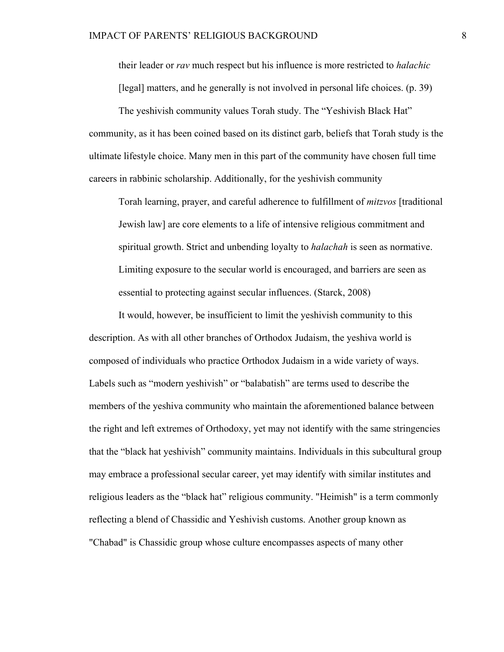their leader or *rav* much respect but his influence is more restricted to *halachic*  [legal] matters, and he generally is not involved in personal life choices. (p. 39)

The yeshivish community values Torah study. The "Yeshivish Black Hat" community, as it has been coined based on its distinct garb, beliefs that Torah study is the ultimate lifestyle choice. Many men in this part of the community have chosen full time careers in rabbinic scholarship. Additionally, for the yeshivish community

Torah learning, prayer, and careful adherence to fulfillment of *mitzvos* [traditional Jewish law] are core elements to a life of intensive religious commitment and spiritual growth. Strict and unbending loyalty to *halachah* is seen as normative. Limiting exposure to the secular world is encouraged, and barriers are seen as essential to protecting against secular influences. (Starck, 2008)

It would, however, be insufficient to limit the yeshivish community to this description. As with all other branches of Orthodox Judaism, the yeshiva world is composed of individuals who practice Orthodox Judaism in a wide variety of ways. Labels such as "modern yeshivish" or "balabatish" are terms used to describe the members of the yeshiva community who maintain the aforementioned balance between the right and left extremes of Orthodoxy, yet may not identify with the same stringencies that the "black hat yeshivish" community maintains. Individuals in this subcultural group may embrace a professional secular career, yet may identify with similar institutes and religious leaders as the "black hat" religious community. "Heimish" is a term commonly reflecting a blend of Chassidic and Yeshivish customs. Another group known as "Chabad" is Chassidic group whose culture encompasses aspects of many other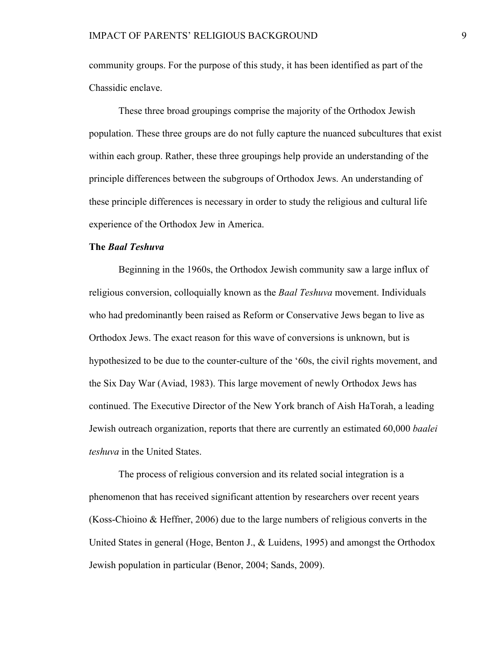community groups. For the purpose of this study, it has been identified as part of the Chassidic enclave.

These three broad groupings comprise the majority of the Orthodox Jewish population. These three groups are do not fully capture the nuanced subcultures that exist within each group. Rather, these three groupings help provide an understanding of the principle differences between the subgroups of Orthodox Jews. An understanding of these principle differences is necessary in order to study the religious and cultural life experience of the Orthodox Jew in America.

### **The** *Baal Teshuva*

Beginning in the 1960s, the Orthodox Jewish community saw a large influx of religious conversion, colloquially known as the *Baal Teshuva* movement. Individuals who had predominantly been raised as Reform or Conservative Jews began to live as Orthodox Jews. The exact reason for this wave of conversions is unknown, but is hypothesized to be due to the counter-culture of the '60s, the civil rights movement, and the Six Day War (Aviad, 1983). This large movement of newly Orthodox Jews has continued. The Executive Director of the New York branch of Aish HaTorah, a leading Jewish outreach organization, reports that there are currently an estimated 60,000 *baalei teshuva* in the United States.

The process of religious conversion and its related social integration is a phenomenon that has received significant attention by researchers over recent years (Koss-Chioino & Heffner, 2006) due to the large numbers of religious converts in the United States in general (Hoge, Benton J., & Luidens, 1995) and amongst the Orthodox Jewish population in particular (Benor, 2004; Sands, 2009).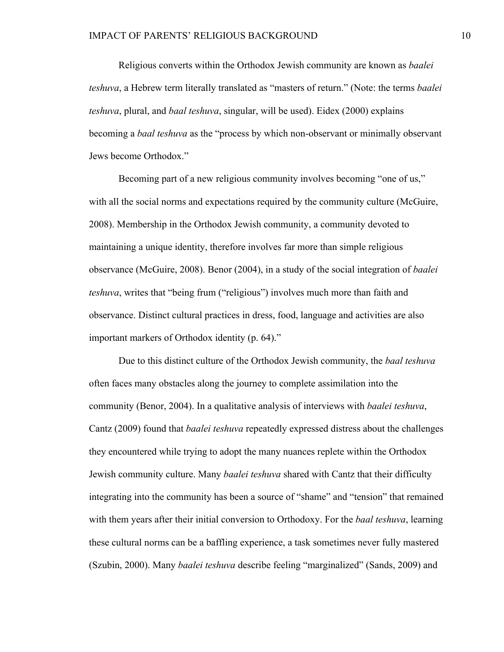Religious converts within the Orthodox Jewish community are known as *baalei teshuva*, a Hebrew term literally translated as "masters of return." (Note: the terms *baalei teshuva*, plural, and *baal teshuva*, singular, will be used). Eidex (2000) explains becoming a *baal teshuva* as the "process by which non-observant or minimally observant Jews become Orthodox."

Becoming part of a new religious community involves becoming "one of us," with all the social norms and expectations required by the community culture (McGuire, 2008). Membership in the Orthodox Jewish community, a community devoted to maintaining a unique identity, therefore involves far more than simple religious observance (McGuire, 2008). Benor (2004), in a study of the social integration of *baalei teshuva*, writes that "being frum ("religious") involves much more than faith and observance. Distinct cultural practices in dress, food, language and activities are also important markers of Orthodox identity (p. 64)."

Due to this distinct culture of the Orthodox Jewish community, the *baal teshuva* often faces many obstacles along the journey to complete assimilation into the community (Benor, 2004). In a qualitative analysis of interviews with *baalei teshuva*, Cantz (2009) found that *baalei teshuva* repeatedly expressed distress about the challenges they encountered while trying to adopt the many nuances replete within the Orthodox Jewish community culture. Many *baalei teshuva* shared with Cantz that their difficulty integrating into the community has been a source of "shame" and "tension" that remained with them years after their initial conversion to Orthodoxy. For the *baal teshuva*, learning these cultural norms can be a baffling experience, a task sometimes never fully mastered (Szubin, 2000). Many *baalei teshuva* describe feeling "marginalized" (Sands, 2009) and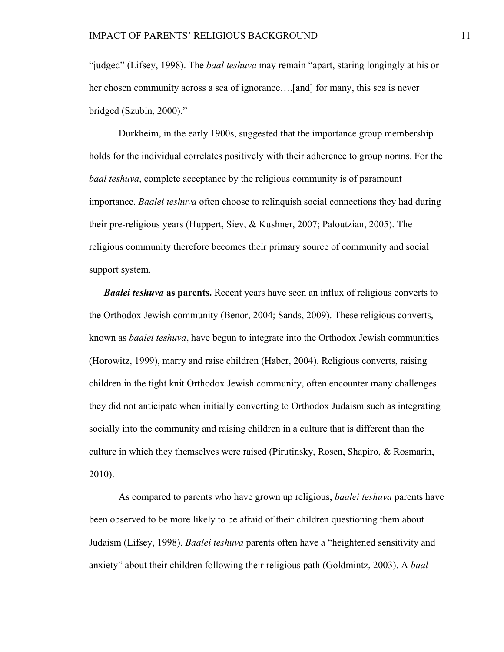"judged" (Lifsey, 1998). The *baal teshuva* may remain "apart, staring longingly at his or her chosen community across a sea of ignorance….[and] for many, this sea is never bridged (Szubin, 2000)."

Durkheim, in the early 1900s, suggested that the importance group membership holds for the individual correlates positively with their adherence to group norms. For the *baal teshuva*, complete acceptance by the religious community is of paramount importance. *Baalei teshuva* often choose to relinquish social connections they had during their pre-religious years (Huppert, Siev, & Kushner, 2007; Paloutzian, 2005). The religious community therefore becomes their primary source of community and social support system.

*Baalei teshuva* **as parents.** Recent years have seen an influx of religious converts to the Orthodox Jewish community (Benor, 2004; Sands, 2009). These religious converts, known as *baalei teshuva*, have begun to integrate into the Orthodox Jewish communities (Horowitz, 1999), marry and raise children (Haber, 2004). Religious converts, raising children in the tight knit Orthodox Jewish community, often encounter many challenges they did not anticipate when initially converting to Orthodox Judaism such as integrating socially into the community and raising children in a culture that is different than the culture in which they themselves were raised (Pirutinsky, Rosen, Shapiro, & Rosmarin, 2010).

As compared to parents who have grown up religious, *baalei teshuva* parents have been observed to be more likely to be afraid of their children questioning them about Judaism (Lifsey, 1998). *Baalei teshuva* parents often have a "heightened sensitivity and anxiety" about their children following their religious path (Goldmintz, 2003). A *baal*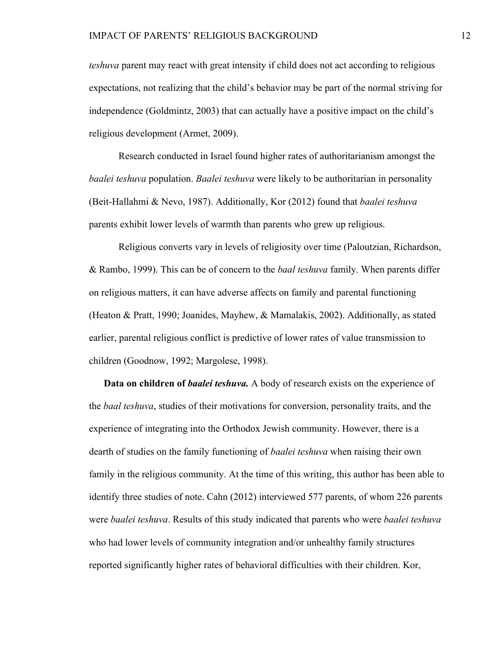*teshuva* parent may react with great intensity if child does not act according to religious expectations, not realizing that the child's behavior may be part of the normal striving for independence (Goldmintz, 2003) that can actually have a positive impact on the child's religious development (Armet, 2009).

Research conducted in Israel found higher rates of authoritarianism amongst the *baalei teshuva* population. *Baalei teshuva* were likely to be authoritarian in personality (Beit-Hallahmi & Nevo, 1987). Additionally, Kor (2012) found that *baalei teshuva* parents exhibit lower levels of warmth than parents who grew up religious.

Religious converts vary in levels of religiosity over time (Paloutzian, Richardson, & Rambo, 1999). This can be of concern to the *baal teshuva* family. When parents differ on religious matters, it can have adverse affects on family and parental functioning (Heaton & Pratt, 1990; Joanides, Mayhew, & Mamalakis, 2002). Additionally, as stated earlier, parental religious conflict is predictive of lower rates of value transmission to children (Goodnow, 1992; Margolese, 1998).

**Data on children of** *baalei teshuva.* A body of research exists on the experience of the *baal teshuva*, studies of their motivations for conversion, personality traits, and the experience of integrating into the Orthodox Jewish community. However, there is a dearth of studies on the family functioning of *baalei teshuva* when raising their own family in the religious community. At the time of this writing, this author has been able to identify three studies of note. Cahn (2012) interviewed 577 parents, of whom 226 parents were *baalei teshuva*. Results of this study indicated that parents who were *baalei teshuva* who had lower levels of community integration and/or unhealthy family structures reported significantly higher rates of behavioral difficulties with their children. Kor,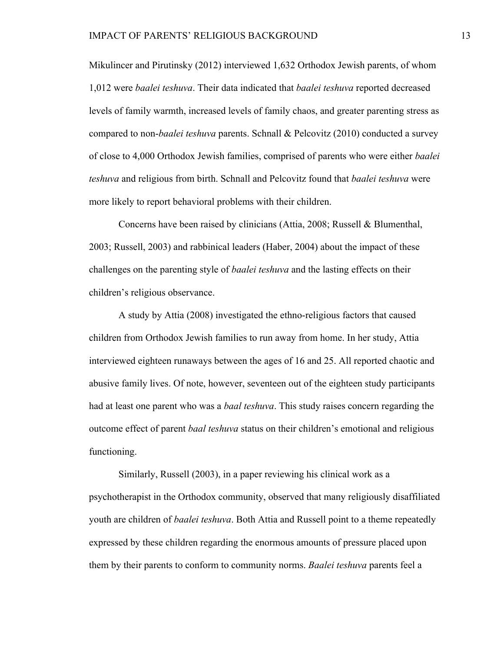Mikulincer and Pirutinsky (2012) interviewed 1,632 Orthodox Jewish parents, of whom 1,012 were *baalei teshuva*. Their data indicated that *baalei teshuva* reported decreased levels of family warmth, increased levels of family chaos, and greater parenting stress as compared to non-*baalei teshuva* parents. Schnall & Pelcovitz (2010) conducted a survey of close to 4,000 Orthodox Jewish families, comprised of parents who were either *baalei teshuva* and religious from birth. Schnall and Pelcovitz found that *baalei teshuva* were more likely to report behavioral problems with their children.

Concerns have been raised by clinicians (Attia, 2008; Russell & Blumenthal, 2003; Russell, 2003) and rabbinical leaders (Haber, 2004) about the impact of these challenges on the parenting style of *baalei teshuva* and the lasting effects on their children's religious observance.

A study by Attia (2008) investigated the ethno-religious factors that caused children from Orthodox Jewish families to run away from home. In her study, Attia interviewed eighteen runaways between the ages of 16 and 25. All reported chaotic and abusive family lives. Of note, however, seventeen out of the eighteen study participants had at least one parent who was a *baal teshuva*. This study raises concern regarding the outcome effect of parent *baal teshuva* status on their children's emotional and religious functioning.

Similarly, Russell (2003), in a paper reviewing his clinical work as a psychotherapist in the Orthodox community, observed that many religiously disaffiliated youth are children of *baalei teshuva*. Both Attia and Russell point to a theme repeatedly expressed by these children regarding the enormous amounts of pressure placed upon them by their parents to conform to community norms. *Baalei teshuva* parents feel a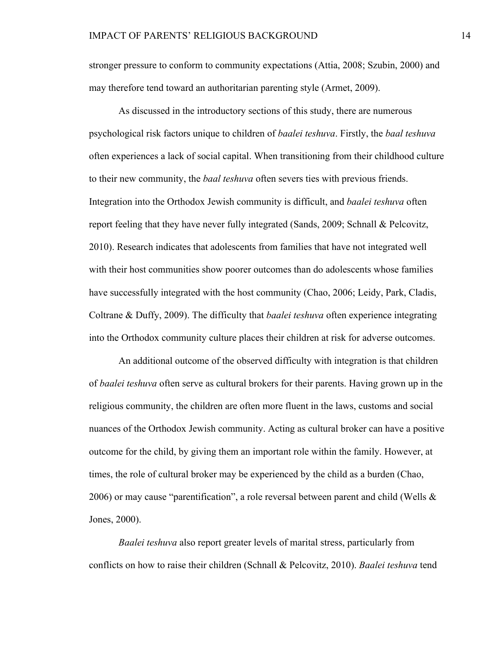stronger pressure to conform to community expectations (Attia, 2008; Szubin, 2000) and may therefore tend toward an authoritarian parenting style (Armet, 2009).

As discussed in the introductory sections of this study, there are numerous psychological risk factors unique to children of *baalei teshuva*. Firstly, the *baal teshuva* often experiences a lack of social capital. When transitioning from their childhood culture to their new community, the *baal teshuva* often severs ties with previous friends. Integration into the Orthodox Jewish community is difficult, and *baalei teshuva* often report feeling that they have never fully integrated (Sands, 2009; Schnall & Pelcovitz, 2010). Research indicates that adolescents from families that have not integrated well with their host communities show poorer outcomes than do adolescents whose families have successfully integrated with the host community (Chao, 2006; Leidy, Park, Cladis, Coltrane & Duffy, 2009). The difficulty that *baalei teshuva* often experience integrating into the Orthodox community culture places their children at risk for adverse outcomes.

An additional outcome of the observed difficulty with integration is that children of *baalei teshuva* often serve as cultural brokers for their parents. Having grown up in the religious community, the children are often more fluent in the laws, customs and social nuances of the Orthodox Jewish community. Acting as cultural broker can have a positive outcome for the child, by giving them an important role within the family. However, at times, the role of cultural broker may be experienced by the child as a burden (Chao, 2006) or may cause "parentification", a role reversal between parent and child (Wells  $\&$ Jones, 2000).

*Baalei teshuva* also report greater levels of marital stress, particularly from conflicts on how to raise their children (Schnall & Pelcovitz, 2010). *Baalei teshuva* tend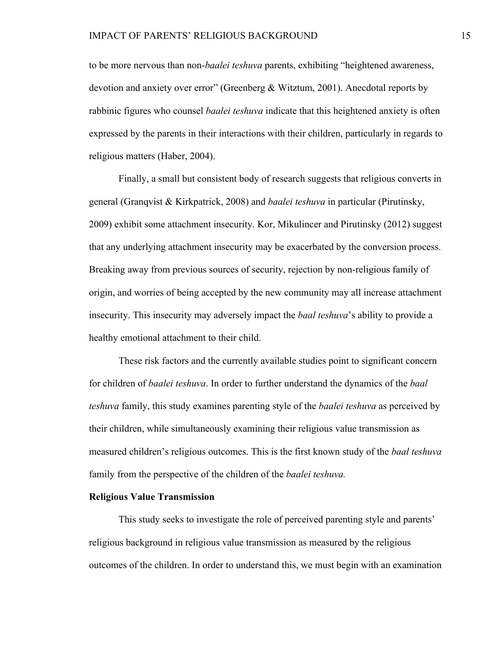to be more nervous than non-*baalei teshuva* parents, exhibiting "heightened awareness, devotion and anxiety over error" (Greenberg & Witztum, 2001). Anecdotal reports by rabbinic figures who counsel *baalei teshuva* indicate that this heightened anxiety is often expressed by the parents in their interactions with their children, particularly in regards to religious matters (Haber, 2004).

Finally, a small but consistent body of research suggests that religious converts in general (Granqvist & Kirkpatrick, 2008) and *baalei teshuva* in particular (Pirutinsky, 2009) exhibit some attachment insecurity. Kor, Mikulincer and Pirutinsky (2012) suggest that any underlying attachment insecurity may be exacerbated by the conversion process. Breaking away from previous sources of security, rejection by non-religious family of origin, and worries of being accepted by the new community may all increase attachment insecurity. This insecurity may adversely impact the *baal teshuva*'s ability to provide a healthy emotional attachment to their child.

These risk factors and the currently available studies point to significant concern for children of *baalei teshuva*. In order to further understand the dynamics of the *baal teshuva* family, this study examines parenting style of the *baalei teshuva* as perceived by their children, while simultaneously examining their religious value transmission as measured children's religious outcomes. This is the first known study of the *baal teshuva* family from the perspective of the children of the *baalei teshuva.*

#### **Religious Value Transmission**

This study seeks to investigate the role of perceived parenting style and parents' religious background in religious value transmission as measured by the religious outcomes of the children. In order to understand this, we must begin with an examination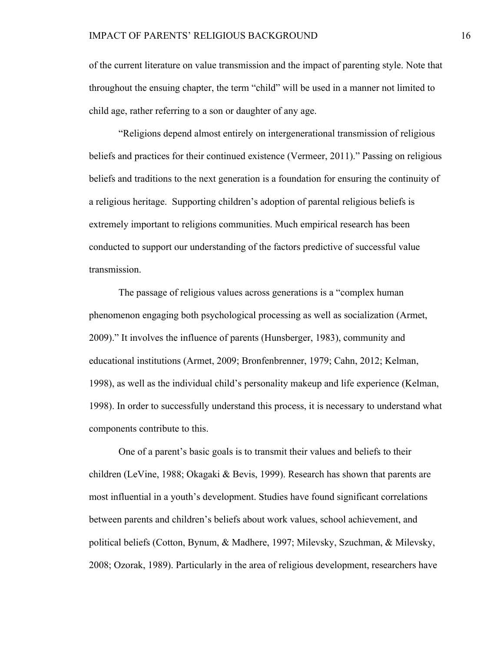of the current literature on value transmission and the impact of parenting style. Note that throughout the ensuing chapter, the term "child" will be used in a manner not limited to child age, rather referring to a son or daughter of any age.

"Religions depend almost entirely on intergenerational transmission of religious beliefs and practices for their continued existence (Vermeer, 2011)." Passing on religious beliefs and traditions to the next generation is a foundation for ensuring the continuity of a religious heritage. Supporting children's adoption of parental religious beliefs is extremely important to religions communities. Much empirical research has been conducted to support our understanding of the factors predictive of successful value transmission.

The passage of religious values across generations is a "complex human phenomenon engaging both psychological processing as well as socialization (Armet, 2009)." It involves the influence of parents (Hunsberger, 1983), community and educational institutions (Armet, 2009; Bronfenbrenner, 1979; Cahn, 2012; Kelman, 1998), as well as the individual child's personality makeup and life experience (Kelman, 1998). In order to successfully understand this process, it is necessary to understand what components contribute to this.

One of a parent's basic goals is to transmit their values and beliefs to their children (LeVine, 1988; Okagaki & Bevis, 1999). Research has shown that parents are most influential in a youth's development. Studies have found significant correlations between parents and children's beliefs about work values, school achievement, and political beliefs (Cotton, Bynum, & Madhere, 1997; Milevsky, Szuchman, & Milevsky, 2008; Ozorak, 1989). Particularly in the area of religious development, researchers have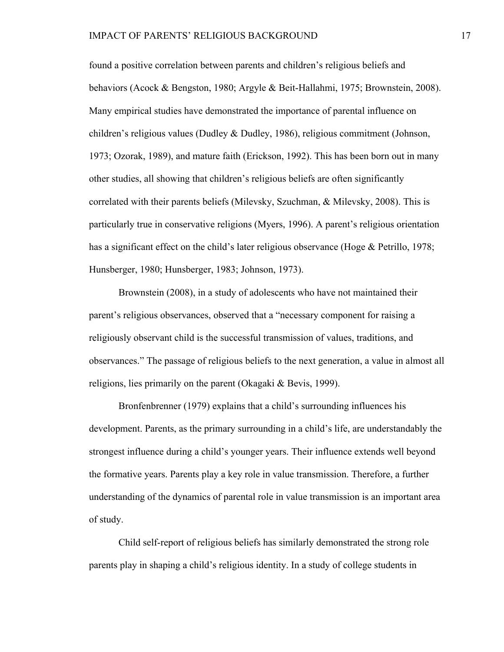found a positive correlation between parents and children's religious beliefs and behaviors (Acock & Bengston, 1980; Argyle & Beit-Hallahmi, 1975; Brownstein, 2008). Many empirical studies have demonstrated the importance of parental influence on children's religious values (Dudley & Dudley, 1986), religious commitment (Johnson, 1973; Ozorak, 1989), and mature faith (Erickson, 1992). This has been born out in many other studies, all showing that children's religious beliefs are often significantly correlated with their parents beliefs (Milevsky, Szuchman, & Milevsky, 2008). This is particularly true in conservative religions (Myers, 1996). A parent's religious orientation has a significant effect on the child's later religious observance (Hoge & Petrillo, 1978; Hunsberger, 1980; Hunsberger, 1983; Johnson, 1973).

Brownstein (2008), in a study of adolescents who have not maintained their parent's religious observances, observed that a "necessary component for raising a religiously observant child is the successful transmission of values, traditions, and observances." The passage of religious beliefs to the next generation, a value in almost all religions, lies primarily on the parent (Okagaki & Bevis, 1999).

Bronfenbrenner (1979) explains that a child's surrounding influences his development. Parents, as the primary surrounding in a child's life, are understandably the strongest influence during a child's younger years. Their influence extends well beyond the formative years. Parents play a key role in value transmission. Therefore, a further understanding of the dynamics of parental role in value transmission is an important area of study.

Child self-report of religious beliefs has similarly demonstrated the strong role parents play in shaping a child's religious identity. In a study of college students in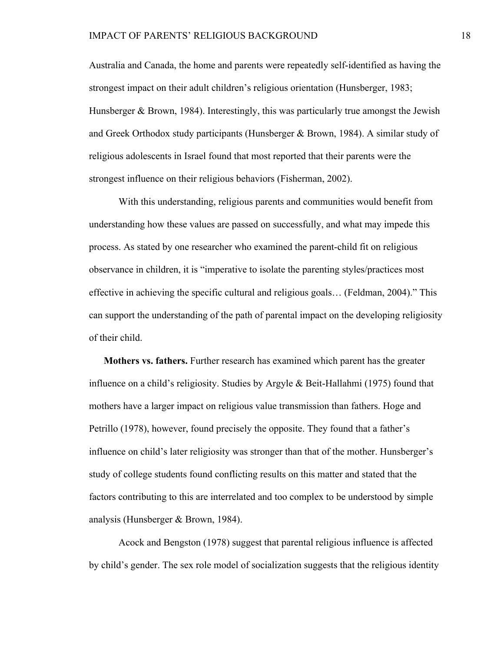### IMPACT OF PARENTS' RELIGIOUS BACKGROUND 18

Australia and Canada, the home and parents were repeatedly self-identified as having the strongest impact on their adult children's religious orientation (Hunsberger, 1983; Hunsberger  $\&$  Brown, 1984). Interestingly, this was particularly true amongst the Jewish and Greek Orthodox study participants (Hunsberger & Brown, 1984). A similar study of religious adolescents in Israel found that most reported that their parents were the strongest influence on their religious behaviors (Fisherman, 2002).

With this understanding, religious parents and communities would benefit from understanding how these values are passed on successfully, and what may impede this process. As stated by one researcher who examined the parent-child fit on religious observance in children, it is "imperative to isolate the parenting styles/practices most effective in achieving the specific cultural and religious goals… (Feldman, 2004)." This can support the understanding of the path of parental impact on the developing religiosity of their child.

**Mothers vs. fathers.** Further research has examined which parent has the greater influence on a child's religiosity. Studies by Argyle & Beit-Hallahmi (1975) found that mothers have a larger impact on religious value transmission than fathers. Hoge and Petrillo (1978), however, found precisely the opposite. They found that a father's influence on child's later religiosity was stronger than that of the mother. Hunsberger's study of college students found conflicting results on this matter and stated that the factors contributing to this are interrelated and too complex to be understood by simple analysis (Hunsberger & Brown, 1984).

Acock and Bengston (1978) suggest that parental religious influence is affected by child's gender. The sex role model of socialization suggests that the religious identity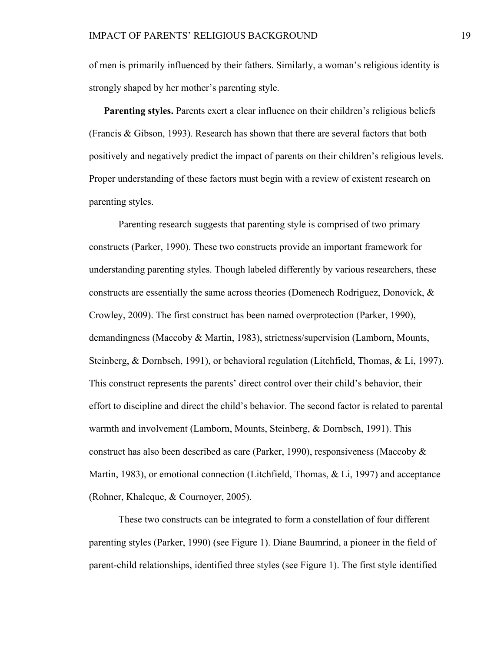of men is primarily influenced by their fathers. Similarly, a woman's religious identity is strongly shaped by her mother's parenting style.

**Parenting styles.** Parents exert a clear influence on their children's religious beliefs (Francis & Gibson, 1993). Research has shown that there are several factors that both positively and negatively predict the impact of parents on their children's religious levels. Proper understanding of these factors must begin with a review of existent research on parenting styles.

Parenting research suggests that parenting style is comprised of two primary constructs (Parker, 1990). These two constructs provide an important framework for understanding parenting styles. Though labeled differently by various researchers, these constructs are essentially the same across theories (Domenech Rodriguez, Donovick, & Crowley, 2009). The first construct has been named overprotection (Parker, 1990), demandingness (Maccoby & Martin, 1983), strictness/supervision (Lamborn, Mounts, Steinberg, & Dornbsch, 1991), or behavioral regulation (Litchfield, Thomas, & Li, 1997). This construct represents the parents' direct control over their child's behavior, their effort to discipline and direct the child's behavior. The second factor is related to parental warmth and involvement (Lamborn, Mounts, Steinberg, & Dornbsch, 1991). This construct has also been described as care (Parker, 1990), responsiveness (Maccoby & Martin, 1983), or emotional connection (Litchfield, Thomas, & Li, 1997) and acceptance (Rohner, Khaleque, & Cournoyer, 2005).

These two constructs can be integrated to form a constellation of four different parenting styles (Parker, 1990) (see Figure 1). Diane Baumrind, a pioneer in the field of parent-child relationships, identified three styles (see Figure 1). The first style identified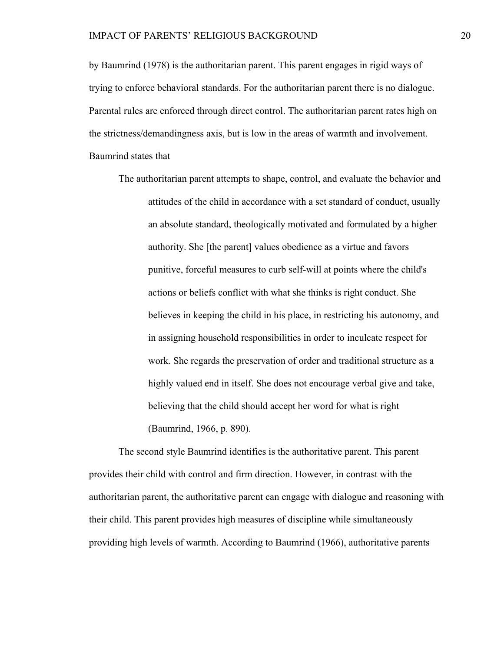by Baumrind (1978) is the authoritarian parent. This parent engages in rigid ways of trying to enforce behavioral standards. For the authoritarian parent there is no dialogue. Parental rules are enforced through direct control. The authoritarian parent rates high on the strictness/demandingness axis, but is low in the areas of warmth and involvement. Baumrind states that

The authoritarian parent attempts to shape, control, and evaluate the behavior and attitudes of the child in accordance with a set standard of conduct, usually an absolute standard, theologically motivated and formulated by a higher authority. She [the parent] values obedience as a virtue and favors punitive, forceful measures to curb self-will at points where the child's actions or beliefs conflict with what she thinks is right conduct. She believes in keeping the child in his place, in restricting his autonomy, and in assigning household responsibilities in order to inculcate respect for work. She regards the preservation of order and traditional structure as a highly valued end in itself. She does not encourage verbal give and take, believing that the child should accept her word for what is right (Baumrind, 1966, p. 890).

The second style Baumrind identifies is the authoritative parent. This parent provides their child with control and firm direction. However, in contrast with the authoritarian parent, the authoritative parent can engage with dialogue and reasoning with their child. This parent provides high measures of discipline while simultaneously providing high levels of warmth. According to Baumrind (1966), authoritative parents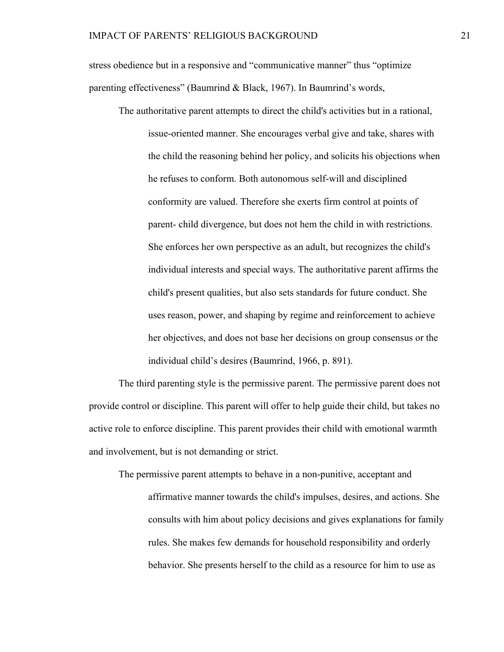stress obedience but in a responsive and "communicative manner" thus "optimize parenting effectiveness" (Baumrind & Black, 1967). In Baumrind's words,

The authoritative parent attempts to direct the child's activities but in a rational, issue-oriented manner. She encourages verbal give and take, shares with the child the reasoning behind her policy, and solicits his objections when he refuses to conform. Both autonomous self-will and disciplined conformity are valued. Therefore she exerts firm control at points of parent- child divergence, but does not hem the child in with restrictions. She enforces her own perspective as an adult, but recognizes the child's individual interests and special ways. The authoritative parent affirms the child's present qualities, but also sets standards for future conduct. She uses reason, power, and shaping by regime and reinforcement to achieve her objectives, and does not base her decisions on group consensus or the individual child's desires (Baumrind, 1966, p. 891).

The third parenting style is the permissive parent. The permissive parent does not provide control or discipline. This parent will offer to help guide their child, but takes no active role to enforce discipline. This parent provides their child with emotional warmth and involvement, but is not demanding or strict.

The permissive parent attempts to behave in a non-punitive, acceptant and affirmative manner towards the child's impulses, desires, and actions. She consults with him about policy decisions and gives explanations for family rules. She makes few demands for household responsibility and orderly behavior. She presents herself to the child as a resource for him to use as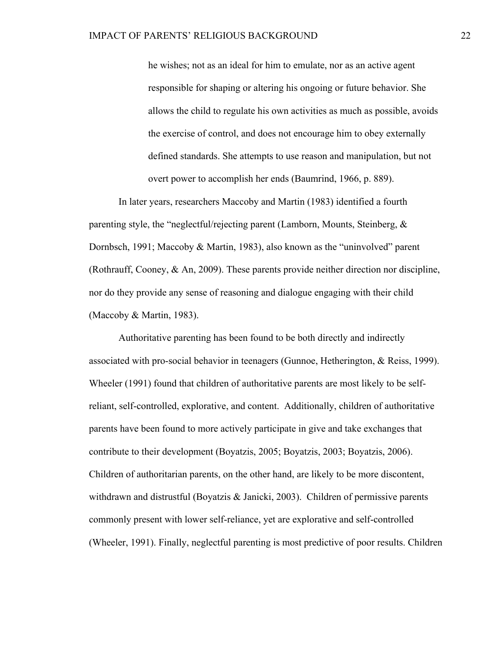he wishes; not as an ideal for him to emulate, nor as an active agent responsible for shaping or altering his ongoing or future behavior. She allows the child to regulate his own activities as much as possible, avoids the exercise of control, and does not encourage him to obey externally defined standards. She attempts to use reason and manipulation, but not overt power to accomplish her ends (Baumrind, 1966, p. 889).

In later years, researchers Maccoby and Martin (1983) identified a fourth parenting style, the "neglectful/rejecting parent (Lamborn, Mounts, Steinberg, & Dornbsch, 1991; Maccoby & Martin, 1983), also known as the "uninvolved" parent (Rothrauff, Cooney, & An, 2009). These parents provide neither direction nor discipline, nor do they provide any sense of reasoning and dialogue engaging with their child (Maccoby & Martin, 1983).

Authoritative parenting has been found to be both directly and indirectly associated with pro-social behavior in teenagers (Gunnoe, Hetherington, & Reiss, 1999). Wheeler (1991) found that children of authoritative parents are most likely to be selfreliant, self-controlled, explorative, and content. Additionally, children of authoritative parents have been found to more actively participate in give and take exchanges that contribute to their development (Boyatzis, 2005; Boyatzis, 2003; Boyatzis, 2006). Children of authoritarian parents, on the other hand, are likely to be more discontent, withdrawn and distrustful (Boyatzis & Janicki, 2003). Children of permissive parents commonly present with lower self-reliance, yet are explorative and self-controlled (Wheeler, 1991). Finally, neglectful parenting is most predictive of poor results. Children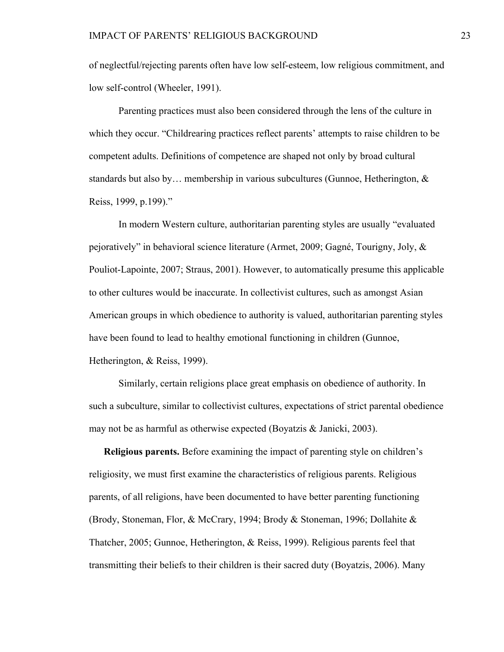of neglectful/rejecting parents often have low self-esteem, low religious commitment, and low self-control (Wheeler, 1991).

Parenting practices must also been considered through the lens of the culture in which they occur. "Childrearing practices reflect parents' attempts to raise children to be competent adults. Definitions of competence are shaped not only by broad cultural standards but also by... membership in various subcultures (Gunnoe, Hetherington,  $\&$ Reiss, 1999, p.199)."

In modern Western culture, authoritarian parenting styles are usually "evaluated pejoratively" in behavioral science literature (Armet, 2009; Gagné, Tourigny, Joly, & Pouliot-Lapointe, 2007; Straus, 2001). However, to automatically presume this applicable to other cultures would be inaccurate. In collectivist cultures, such as amongst Asian American groups in which obedience to authority is valued, authoritarian parenting styles have been found to lead to healthy emotional functioning in children (Gunnoe, Hetherington, & Reiss, 1999).

Similarly, certain religions place great emphasis on obedience of authority. In such a subculture, similar to collectivist cultures, expectations of strict parental obedience may not be as harmful as otherwise expected (Boyatzis  $& Janicki, 2003$ ).

**Religious parents.** Before examining the impact of parenting style on children's religiosity, we must first examine the characteristics of religious parents. Religious parents, of all religions, have been documented to have better parenting functioning (Brody, Stoneman, Flor, & McCrary, 1994; Brody & Stoneman, 1996; Dollahite & Thatcher, 2005; Gunnoe, Hetherington, & Reiss, 1999). Religious parents feel that transmitting their beliefs to their children is their sacred duty (Boyatzis, 2006). Many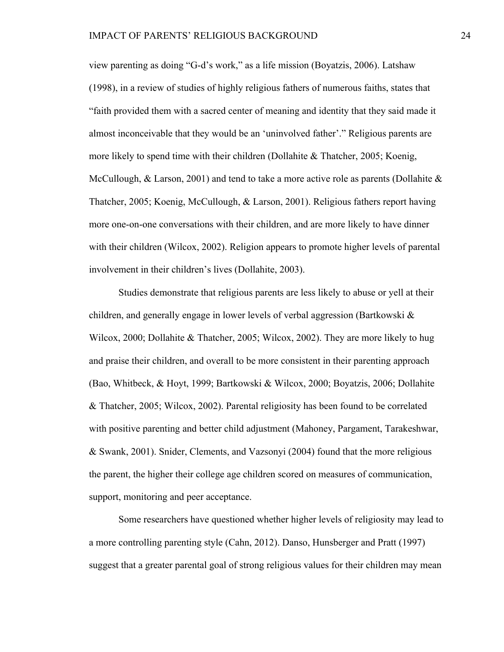view parenting as doing "G-d's work," as a life mission (Boyatzis, 2006). Latshaw (1998), in a review of studies of highly religious fathers of numerous faiths, states that "faith provided them with a sacred center of meaning and identity that they said made it almost inconceivable that they would be an 'uninvolved father'." Religious parents are more likely to spend time with their children (Dollahite  $\&$  Thatcher, 2005; Koenig, McCullough,  $\&$  Larson, 2001) and tend to take a more active role as parents (Dollahite  $\&$ Thatcher, 2005; Koenig, McCullough, & Larson, 2001). Religious fathers report having more one-on-one conversations with their children, and are more likely to have dinner with their children (Wilcox, 2002). Religion appears to promote higher levels of parental involvement in their children's lives (Dollahite, 2003).

Studies demonstrate that religious parents are less likely to abuse or yell at their children, and generally engage in lower levels of verbal aggression (Bartkowski  $\&$ Wilcox, 2000; Dollahite & Thatcher, 2005; Wilcox, 2002). They are more likely to hug and praise their children, and overall to be more consistent in their parenting approach (Bao, Whitbeck, & Hoyt, 1999; Bartkowski & Wilcox, 2000; Boyatzis, 2006; Dollahite & Thatcher, 2005; Wilcox, 2002). Parental religiosity has been found to be correlated with positive parenting and better child adjustment (Mahoney, Pargament, Tarakeshwar, & Swank, 2001). Snider, Clements, and Vazsonyi (2004) found that the more religious the parent, the higher their college age children scored on measures of communication, support, monitoring and peer acceptance.

Some researchers have questioned whether higher levels of religiosity may lead to a more controlling parenting style (Cahn, 2012). Danso, Hunsberger and Pratt (1997) suggest that a greater parental goal of strong religious values for their children may mean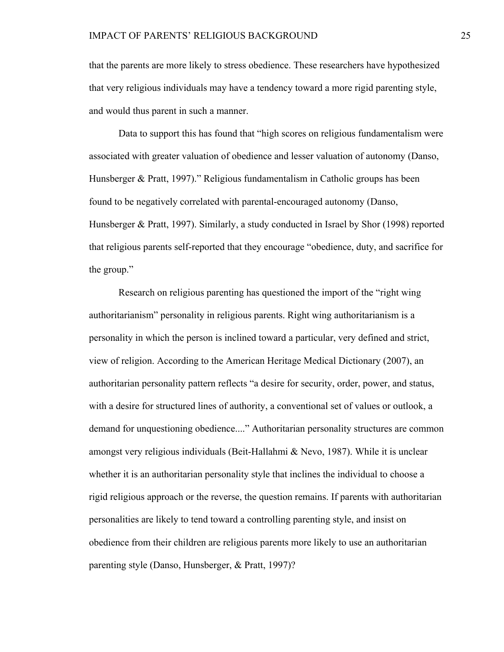that the parents are more likely to stress obedience. These researchers have hypothesized that very religious individuals may have a tendency toward a more rigid parenting style, and would thus parent in such a manner.

Data to support this has found that "high scores on religious fundamentalism were associated with greater valuation of obedience and lesser valuation of autonomy (Danso, Hunsberger & Pratt, 1997)." Religious fundamentalism in Catholic groups has been found to be negatively correlated with parental-encouraged autonomy (Danso, Hunsberger & Pratt, 1997). Similarly, a study conducted in Israel by Shor (1998) reported that religious parents self-reported that they encourage "obedience, duty, and sacrifice for the group."

Research on religious parenting has questioned the import of the "right wing authoritarianism" personality in religious parents. Right wing authoritarianism is a personality in which the person is inclined toward a particular, very defined and strict, view of religion. According to the American Heritage Medical Dictionary (2007), an authoritarian personality pattern reflects "a desire for security, order, power, and status, with a desire for structured lines of authority, a conventional set of values or outlook, a demand for unquestioning obedience...." Authoritarian personality structures are common amongst very religious individuals (Beit-Hallahmi & Nevo, 1987). While it is unclear whether it is an authoritarian personality style that inclines the individual to choose a rigid religious approach or the reverse, the question remains. If parents with authoritarian personalities are likely to tend toward a controlling parenting style, and insist on obedience from their children are religious parents more likely to use an authoritarian parenting style (Danso, Hunsberger, & Pratt, 1997)?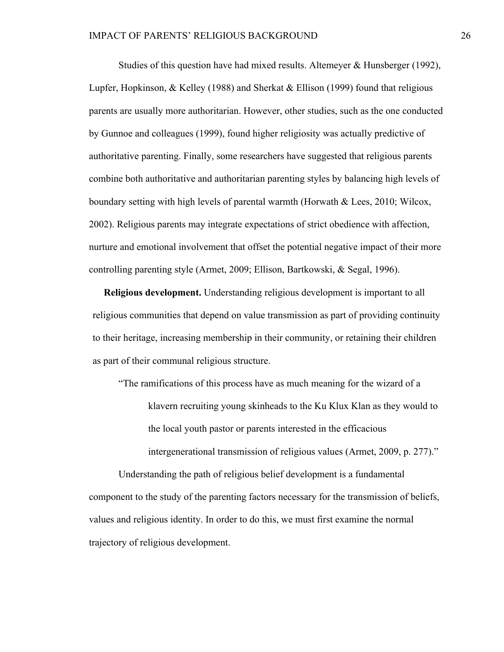Studies of this question have had mixed results. Altemeyer & Hunsberger (1992), Lupfer, Hopkinson, & Kelley (1988) and Sherkat & Ellison (1999) found that religious parents are usually more authoritarian. However, other studies, such as the one conducted by Gunnoe and colleagues (1999), found higher religiosity was actually predictive of authoritative parenting. Finally, some researchers have suggested that religious parents combine both authoritative and authoritarian parenting styles by balancing high levels of boundary setting with high levels of parental warmth (Horwath & Lees, 2010; Wilcox, 2002). Religious parents may integrate expectations of strict obedience with affection, nurture and emotional involvement that offset the potential negative impact of their more controlling parenting style (Armet, 2009; Ellison, Bartkowski, & Segal, 1996).

**Religious development.** Understanding religious development is important to all religious communities that depend on value transmission as part of providing continuity to their heritage, increasing membership in their community, or retaining their children as part of their communal religious structure.

"The ramifications of this process have as much meaning for the wizard of a klavern recruiting young skinheads to the Ku Klux Klan as they would to the local youth pastor or parents interested in the efficacious intergenerational transmission of religious values (Armet, 2009, p. 277)."

Understanding the path of religious belief development is a fundamental component to the study of the parenting factors necessary for the transmission of beliefs, values and religious identity. In order to do this, we must first examine the normal trajectory of religious development.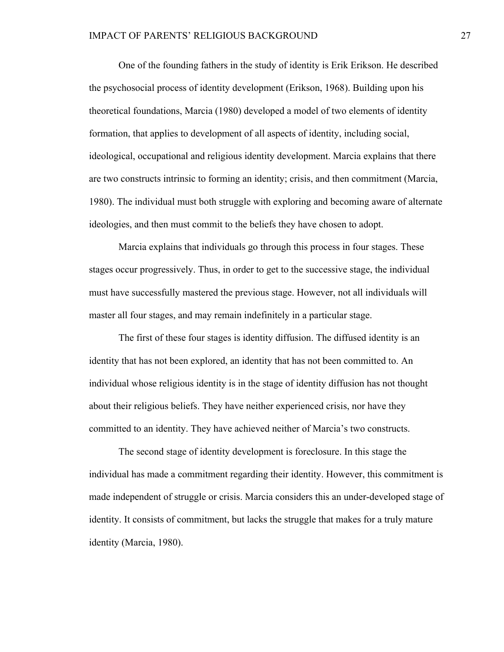One of the founding fathers in the study of identity is Erik Erikson. He described the psychosocial process of identity development (Erikson, 1968). Building upon his theoretical foundations, Marcia (1980) developed a model of two elements of identity formation, that applies to development of all aspects of identity, including social, ideological, occupational and religious identity development. Marcia explains that there are two constructs intrinsic to forming an identity; crisis, and then commitment (Marcia, 1980). The individual must both struggle with exploring and becoming aware of alternate ideologies, and then must commit to the beliefs they have chosen to adopt.

Marcia explains that individuals go through this process in four stages. These stages occur progressively. Thus, in order to get to the successive stage, the individual must have successfully mastered the previous stage. However, not all individuals will master all four stages, and may remain indefinitely in a particular stage.

The first of these four stages is identity diffusion. The diffused identity is an identity that has not been explored, an identity that has not been committed to. An individual whose religious identity is in the stage of identity diffusion has not thought about their religious beliefs. They have neither experienced crisis, nor have they committed to an identity. They have achieved neither of Marcia's two constructs.

The second stage of identity development is foreclosure. In this stage the individual has made a commitment regarding their identity. However, this commitment is made independent of struggle or crisis. Marcia considers this an under-developed stage of identity. It consists of commitment, but lacks the struggle that makes for a truly mature identity (Marcia, 1980).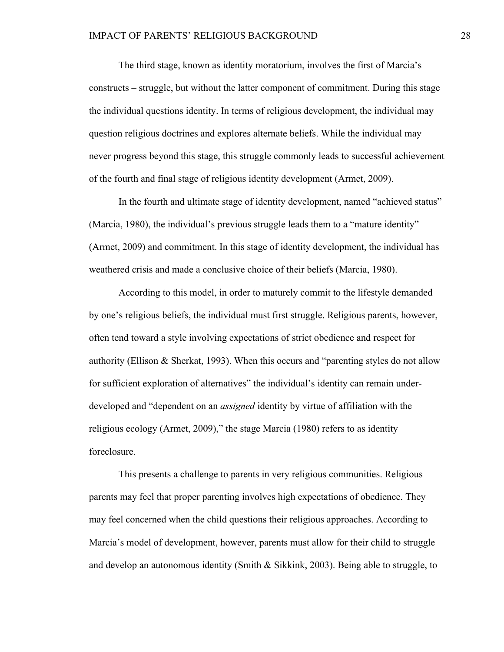The third stage, known as identity moratorium, involves the first of Marcia's constructs – struggle, but without the latter component of commitment. During this stage the individual questions identity. In terms of religious development, the individual may question religious doctrines and explores alternate beliefs. While the individual may never progress beyond this stage, this struggle commonly leads to successful achievement of the fourth and final stage of religious identity development (Armet, 2009).

In the fourth and ultimate stage of identity development, named "achieved status" (Marcia, 1980), the individual's previous struggle leads them to a "mature identity" (Armet, 2009) and commitment. In this stage of identity development, the individual has weathered crisis and made a conclusive choice of their beliefs (Marcia, 1980).

According to this model, in order to maturely commit to the lifestyle demanded by one's religious beliefs, the individual must first struggle. Religious parents, however, often tend toward a style involving expectations of strict obedience and respect for authority (Ellison & Sherkat, 1993). When this occurs and "parenting styles do not allow for sufficient exploration of alternatives" the individual's identity can remain underdeveloped and "dependent on an *assigned* identity by virtue of affiliation with the religious ecology (Armet, 2009)," the stage Marcia (1980) refers to as identity foreclosure.

This presents a challenge to parents in very religious communities. Religious parents may feel that proper parenting involves high expectations of obedience. They may feel concerned when the child questions their religious approaches. According to Marcia's model of development, however, parents must allow for their child to struggle and develop an autonomous identity (Smith  $\&$  Sikkink, 2003). Being able to struggle, to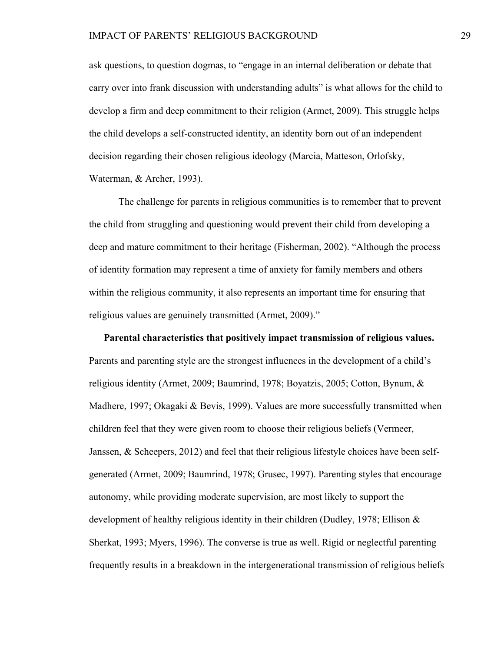ask questions, to question dogmas, to "engage in an internal deliberation or debate that carry over into frank discussion with understanding adults" is what allows for the child to develop a firm and deep commitment to their religion (Armet, 2009). This struggle helps the child develops a self-constructed identity, an identity born out of an independent decision regarding their chosen religious ideology (Marcia, Matteson, Orlofsky, Waterman, & Archer, 1993).

The challenge for parents in religious communities is to remember that to prevent the child from struggling and questioning would prevent their child from developing a deep and mature commitment to their heritage (Fisherman, 2002). "Although the process of identity formation may represent a time of anxiety for family members and others within the religious community, it also represents an important time for ensuring that religious values are genuinely transmitted (Armet, 2009)."

**Parental characteristics that positively impact transmission of religious values.**  Parents and parenting style are the strongest influences in the development of a child's religious identity (Armet, 2009; Baumrind, 1978; Boyatzis, 2005; Cotton, Bynum, & Madhere, 1997; Okagaki & Bevis, 1999). Values are more successfully transmitted when children feel that they were given room to choose their religious beliefs (Vermeer, Janssen, & Scheepers, 2012) and feel that their religious lifestyle choices have been selfgenerated (Armet, 2009; Baumrind, 1978; Grusec, 1997). Parenting styles that encourage autonomy, while providing moderate supervision, are most likely to support the development of healthy religious identity in their children (Dudley, 1978; Ellison & Sherkat, 1993; Myers, 1996). The converse is true as well. Rigid or neglectful parenting frequently results in a breakdown in the intergenerational transmission of religious beliefs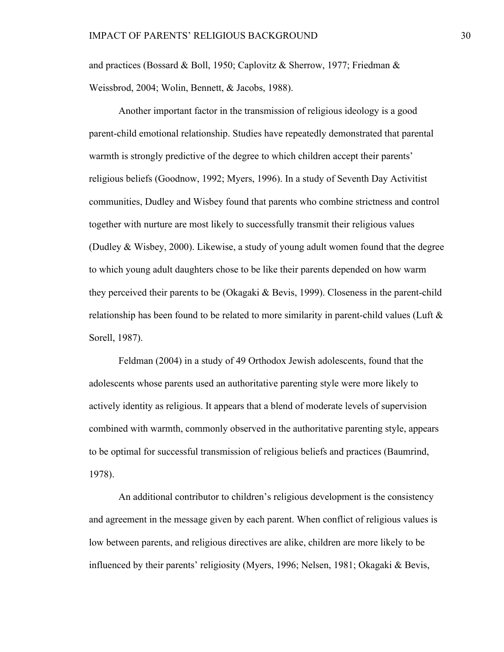and practices (Bossard & Boll, 1950; Caplovitz & Sherrow, 1977; Friedman & Weissbrod, 2004; Wolin, Bennett, & Jacobs, 1988).

Another important factor in the transmission of religious ideology is a good parent-child emotional relationship. Studies have repeatedly demonstrated that parental warmth is strongly predictive of the degree to which children accept their parents' religious beliefs (Goodnow, 1992; Myers, 1996). In a study of Seventh Day Activitist communities, Dudley and Wisbey found that parents who combine strictness and control together with nurture are most likely to successfully transmit their religious values (Dudley & Wisbey, 2000). Likewise, a study of young adult women found that the degree to which young adult daughters chose to be like their parents depended on how warm they perceived their parents to be (Okagaki & Bevis, 1999). Closeness in the parent-child relationship has been found to be related to more similarity in parent-child values (Luft  $\&$ Sorell, 1987).

Feldman (2004) in a study of 49 Orthodox Jewish adolescents, found that the adolescents whose parents used an authoritative parenting style were more likely to actively identity as religious. It appears that a blend of moderate levels of supervision combined with warmth, commonly observed in the authoritative parenting style, appears to be optimal for successful transmission of religious beliefs and practices (Baumrind, 1978).

An additional contributor to children's religious development is the consistency and agreement in the message given by each parent. When conflict of religious values is low between parents, and religious directives are alike, children are more likely to be influenced by their parents' religiosity (Myers, 1996; Nelsen, 1981; Okagaki & Bevis,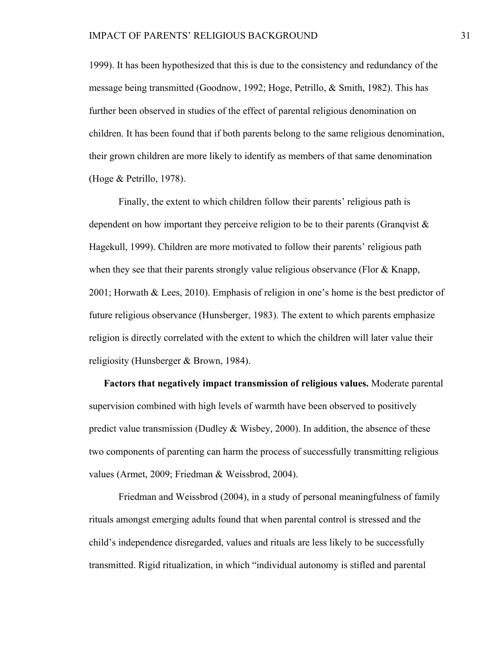1999). It has been hypothesized that this is due to the consistency and redundancy of the message being transmitted (Goodnow, 1992; Hoge, Petrillo, & Smith, 1982). This has further been observed in studies of the effect of parental religious denomination on children. It has been found that if both parents belong to the same religious denomination, their grown children are more likely to identify as members of that same denomination (Hoge & Petrillo, 1978).

Finally, the extent to which children follow their parents' religious path is dependent on how important they perceive religion to be to their parents (Granqvist  $\&$ Hagekull, 1999). Children are more motivated to follow their parents' religious path when they see that their parents strongly value religious observance (Flor  $\&$  Knapp, 2001; Horwath & Lees, 2010). Emphasis of religion in one's home is the best predictor of future religious observance (Hunsberger, 1983). The extent to which parents emphasize religion is directly correlated with the extent to which the children will later value their religiosity (Hunsberger & Brown, 1984).

**Factors that negatively impact transmission of religious values.** Moderate parental supervision combined with high levels of warmth have been observed to positively predict value transmission (Dudley  $&$  Wisbey, 2000). In addition, the absence of these two components of parenting can harm the process of successfully transmitting religious values (Armet, 2009; Friedman & Weissbrod, 2004).

Friedman and Weissbrod (2004), in a study of personal meaningfulness of family rituals amongst emerging adults found that when parental control is stressed and the child's independence disregarded, values and rituals are less likely to be successfully transmitted. Rigid ritualization, in which "individual autonomy is stifled and parental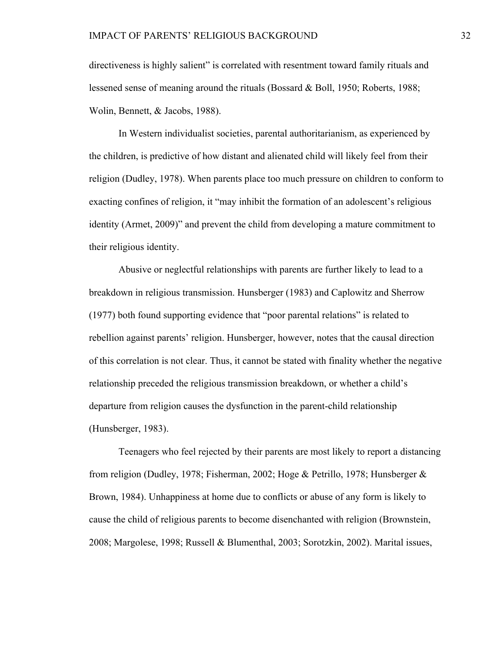directiveness is highly salient" is correlated with resentment toward family rituals and lessened sense of meaning around the rituals (Bossard & Boll, 1950; Roberts, 1988; Wolin, Bennett, & Jacobs, 1988).

In Western individualist societies, parental authoritarianism, as experienced by the children, is predictive of how distant and alienated child will likely feel from their religion (Dudley, 1978). When parents place too much pressure on children to conform to exacting confines of religion, it "may inhibit the formation of an adolescent's religious identity (Armet, 2009)" and prevent the child from developing a mature commitment to their religious identity.

Abusive or neglectful relationships with parents are further likely to lead to a breakdown in religious transmission. Hunsberger (1983) and Caplowitz and Sherrow (1977) both found supporting evidence that "poor parental relations" is related to rebellion against parents' religion. Hunsberger, however, notes that the causal direction of this correlation is not clear. Thus, it cannot be stated with finality whether the negative relationship preceded the religious transmission breakdown, or whether a child's departure from religion causes the dysfunction in the parent-child relationship (Hunsberger, 1983).

Teenagers who feel rejected by their parents are most likely to report a distancing from religion (Dudley, 1978; Fisherman, 2002; Hoge & Petrillo, 1978; Hunsberger & Brown, 1984). Unhappiness at home due to conflicts or abuse of any form is likely to cause the child of religious parents to become disenchanted with religion (Brownstein, 2008; Margolese, 1998; Russell & Blumenthal, 2003; Sorotzkin, 2002). Marital issues,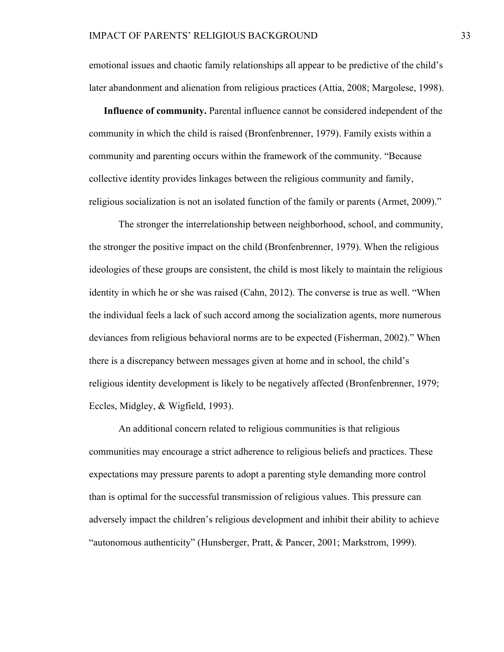emotional issues and chaotic family relationships all appear to be predictive of the child's later abandonment and alienation from religious practices (Attia, 2008; Margolese, 1998).

**Influence of community.** Parental influence cannot be considered independent of the community in which the child is raised (Bronfenbrenner, 1979). Family exists within a community and parenting occurs within the framework of the community. "Because collective identity provides linkages between the religious community and family, religious socialization is not an isolated function of the family or parents (Armet, 2009)."

The stronger the interrelationship between neighborhood, school, and community, the stronger the positive impact on the child (Bronfenbrenner, 1979). When the religious ideologies of these groups are consistent, the child is most likely to maintain the religious identity in which he or she was raised (Cahn, 2012). The converse is true as well. "When the individual feels a lack of such accord among the socialization agents, more numerous deviances from religious behavioral norms are to be expected (Fisherman, 2002)." When there is a discrepancy between messages given at home and in school, the child's religious identity development is likely to be negatively affected (Bronfenbrenner, 1979; Eccles, Midgley, & Wigfield, 1993).

An additional concern related to religious communities is that religious communities may encourage a strict adherence to religious beliefs and practices. These expectations may pressure parents to adopt a parenting style demanding more control than is optimal for the successful transmission of religious values. This pressure can adversely impact the children's religious development and inhibit their ability to achieve "autonomous authenticity" (Hunsberger, Pratt, & Pancer, 2001; Markstrom, 1999).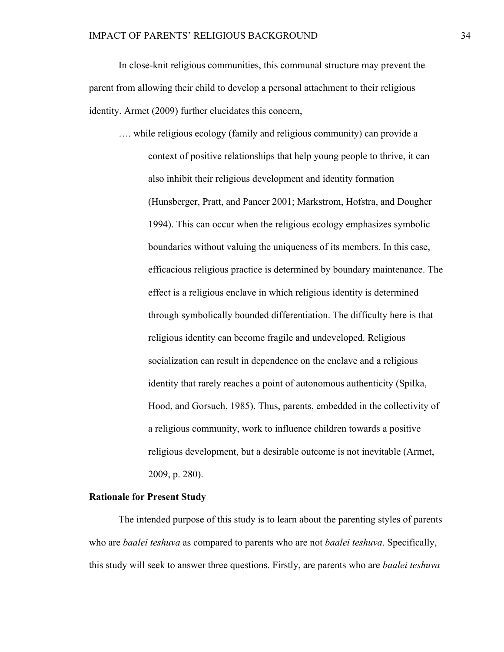In close-knit religious communities, this communal structure may prevent the parent from allowing their child to develop a personal attachment to their religious identity. Armet (2009) further elucidates this concern,

…. while religious ecology (family and religious community) can provide a context of positive relationships that help young people to thrive, it can also inhibit their religious development and identity formation (Hunsberger, Pratt, and Pancer 2001; Markstrom, Hofstra, and Dougher 1994). This can occur when the religious ecology emphasizes symbolic boundaries without valuing the uniqueness of its members. In this case, efficacious religious practice is determined by boundary maintenance. The effect is a religious enclave in which religious identity is determined through symbolically bounded differentiation. The difficulty here is that religious identity can become fragile and undeveloped. Religious socialization can result in dependence on the enclave and a religious identity that rarely reaches a point of autonomous authenticity (Spilka, Hood, and Gorsuch, 1985). Thus, parents, embedded in the collectivity of a religious community, work to influence children towards a positive religious development, but a desirable outcome is not inevitable (Armet, 2009, p. 280).

# **Rationale for Present Study**

The intended purpose of this study is to learn about the parenting styles of parents who are *baalei teshuva* as compared to parents who are not *baalei teshuva*. Specifically, this study will seek to answer three questions. Firstly, are parents who are *baalei teshuva*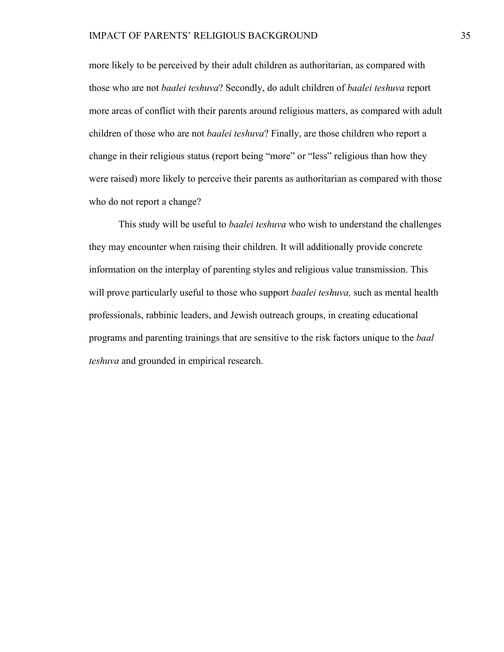more likely to be perceived by their adult children as authoritarian, as compared with those who are not *baalei teshuva*? Secondly, do adult children of *baalei teshuva* report more areas of conflict with their parents around religious matters, as compared with adult children of those who are not *baalei teshuva*? Finally, are those children who report a change in their religious status (report being "more" or "less" religious than how they were raised) more likely to perceive their parents as authoritarian as compared with those who do not report a change?

This study will be useful to *baalei teshuva* who wish to understand the challenges they may encounter when raising their children. It will additionally provide concrete information on the interplay of parenting styles and religious value transmission. This will prove particularly useful to those who support *baalei teshuva,* such as mental health professionals, rabbinic leaders, and Jewish outreach groups, in creating educational programs and parenting trainings that are sensitive to the risk factors unique to the *baal teshuva* and grounded in empirical research.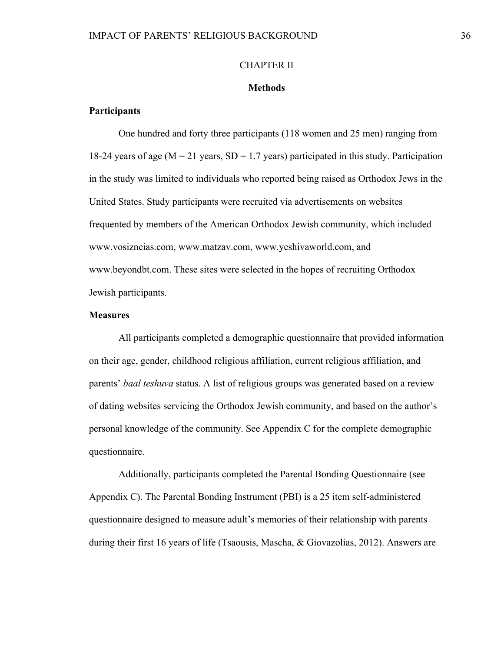#### CHAPTER II

#### **Methods**

# **Participants**

One hundred and forty three participants (118 women and 25 men) ranging from 18-24 years of age ( $M = 21$  years,  $SD = 1.7$  years) participated in this study. Participation in the study was limited to individuals who reported being raised as Orthodox Jews in the United States. Study participants were recruited via advertisements on websites frequented by members of the American Orthodox Jewish community, which included www.vosizneias.com, www.matzav.com, www.yeshivaworld.com, and www.beyondbt.com. These sites were selected in the hopes of recruiting Orthodox Jewish participants.

# **Measures**

All participants completed a demographic questionnaire that provided information on their age, gender, childhood religious affiliation, current religious affiliation, and parents' *baal teshuva* status. A list of religious groups was generated based on a review of dating websites servicing the Orthodox Jewish community, and based on the author's personal knowledge of the community. See Appendix C for the complete demographic questionnaire.

Additionally, participants completed the Parental Bonding Questionnaire (see Appendix C). The Parental Bonding Instrument (PBI) is a 25 item self-administered questionnaire designed to measure adult's memories of their relationship with parents during their first 16 years of life (Tsaousis, Mascha, & Giovazolias, 2012). Answers are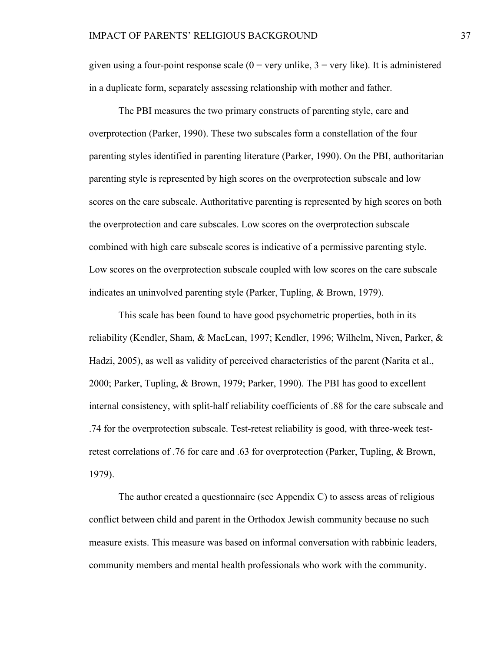given using a four-point response scale  $(0 = \text{very unlike}, 3 = \text{very like})$ . It is administered in a duplicate form, separately assessing relationship with mother and father.

The PBI measures the two primary constructs of parenting style, care and overprotection (Parker, 1990). These two subscales form a constellation of the four parenting styles identified in parenting literature (Parker, 1990). On the PBI, authoritarian parenting style is represented by high scores on the overprotection subscale and low scores on the care subscale. Authoritative parenting is represented by high scores on both the overprotection and care subscales. Low scores on the overprotection subscale combined with high care subscale scores is indicative of a permissive parenting style. Low scores on the overprotection subscale coupled with low scores on the care subscale indicates an uninvolved parenting style (Parker, Tupling, & Brown, 1979).

This scale has been found to have good psychometric properties, both in its reliability (Kendler, Sham, & MacLean, 1997; Kendler, 1996; Wilhelm, Niven, Parker, & Hadzi, 2005), as well as validity of perceived characteristics of the parent (Narita et al., 2000; Parker, Tupling, & Brown, 1979; Parker, 1990). The PBI has good to excellent internal consistency, with split-half reliability coefficients of .88 for the care subscale and .74 for the overprotection subscale. Test-retest reliability is good, with three-week testretest correlations of .76 for care and .63 for overprotection (Parker, Tupling, & Brown, 1979).

The author created a questionnaire (see Appendix C) to assess areas of religious conflict between child and parent in the Orthodox Jewish community because no such measure exists. This measure was based on informal conversation with rabbinic leaders, community members and mental health professionals who work with the community.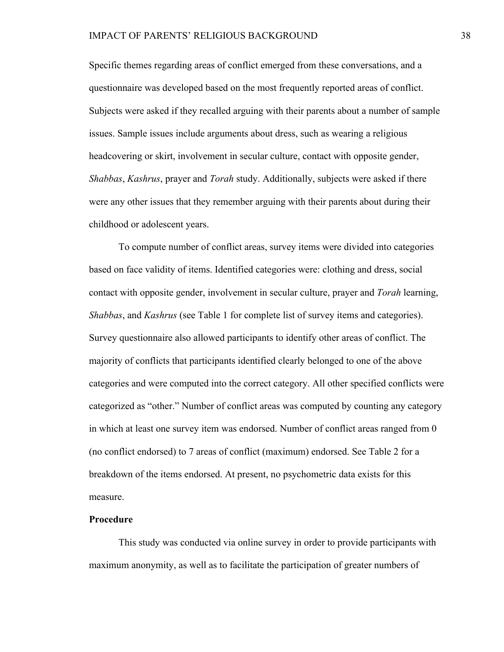Specific themes regarding areas of conflict emerged from these conversations, and a questionnaire was developed based on the most frequently reported areas of conflict. Subjects were asked if they recalled arguing with their parents about a number of sample issues. Sample issues include arguments about dress, such as wearing a religious headcovering or skirt, involvement in secular culture, contact with opposite gender, *Shabbas*, *Kashrus*, prayer and *Torah* study. Additionally, subjects were asked if there were any other issues that they remember arguing with their parents about during their childhood or adolescent years.

To compute number of conflict areas, survey items were divided into categories based on face validity of items. Identified categories were: clothing and dress, social contact with opposite gender, involvement in secular culture, prayer and *Torah* learning, *Shabbas*, and *Kashrus* (see Table 1 for complete list of survey items and categories). Survey questionnaire also allowed participants to identify other areas of conflict. The majority of conflicts that participants identified clearly belonged to one of the above categories and were computed into the correct category. All other specified conflicts were categorized as "other." Number of conflict areas was computed by counting any category in which at least one survey item was endorsed. Number of conflict areas ranged from 0 (no conflict endorsed) to 7 areas of conflict (maximum) endorsed. See Table 2 for a breakdown of the items endorsed. At present, no psychometric data exists for this measure.

# **Procedure**

This study was conducted via online survey in order to provide participants with maximum anonymity, as well as to facilitate the participation of greater numbers of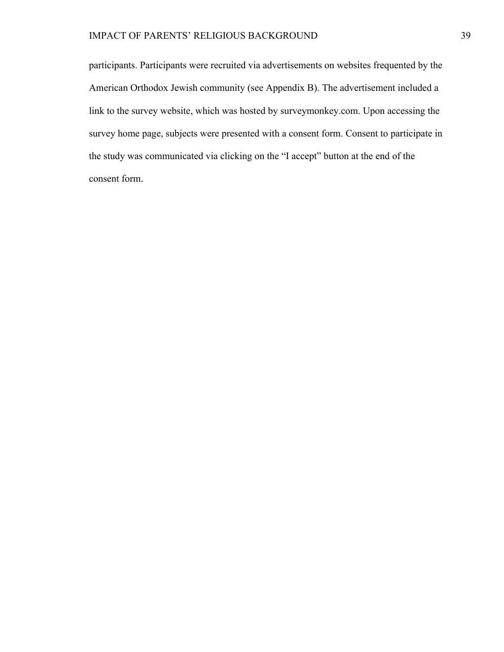# IMPACT OF PARENTS' RELIGIOUS BACKGROUND 39

participants. Participants were recruited via advertisements on websites frequented by the American Orthodox Jewish community (see Appendix B). The advertisement included a link to the survey website, which was hosted by surveymonkey.com. Upon accessing the survey home page, subjects were presented with a consent form. Consent to participate in the study was communicated via clicking on the "I accept" button at the end of the consent form.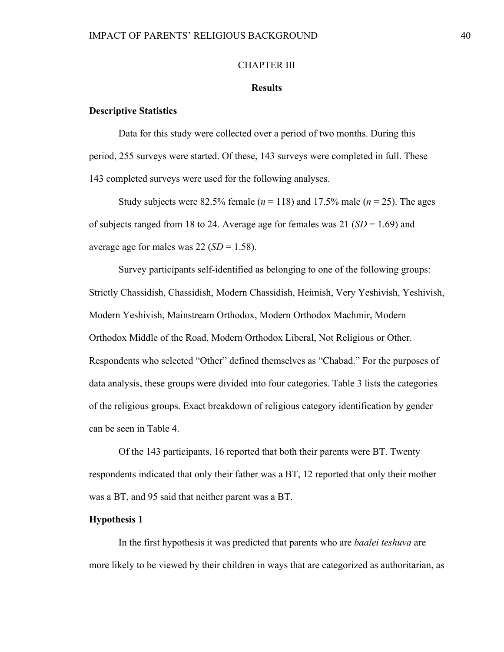#### CHAPTER III

#### **Results**

#### **Descriptive Statistics**

Data for this study were collected over a period of two months. During this period, 255 surveys were started. Of these, 143 surveys were completed in full. These 143 completed surveys were used for the following analyses.

Study subjects were 82.5% female ( $n = 118$ ) and 17.5% male ( $n = 25$ ). The ages of subjects ranged from 18 to 24. Average age for females was 21 (*SD* = 1.69) and average age for males was  $22 (SD = 1.58)$ .

Survey participants self-identified as belonging to one of the following groups: Strictly Chassidish, Chassidish, Modern Chassidish, Heimish, Very Yeshivish, Yeshivish, Modern Yeshivish, Mainstream Orthodox, Modern Orthodox Machmir, Modern Orthodox Middle of the Road, Modern Orthodox Liberal, Not Religious or Other. Respondents who selected "Other" defined themselves as "Chabad." For the purposes of data analysis, these groups were divided into four categories. Table 3 lists the categories of the religious groups. Exact breakdown of religious category identification by gender can be seen in Table 4.

Of the 143 participants, 16 reported that both their parents were BT. Twenty respondents indicated that only their father was a BT, 12 reported that only their mother was a BT, and 95 said that neither parent was a BT.

#### **Hypothesis 1**

In the first hypothesis it was predicted that parents who are *baalei teshuva* are more likely to be viewed by their children in ways that are categorized as authoritarian, as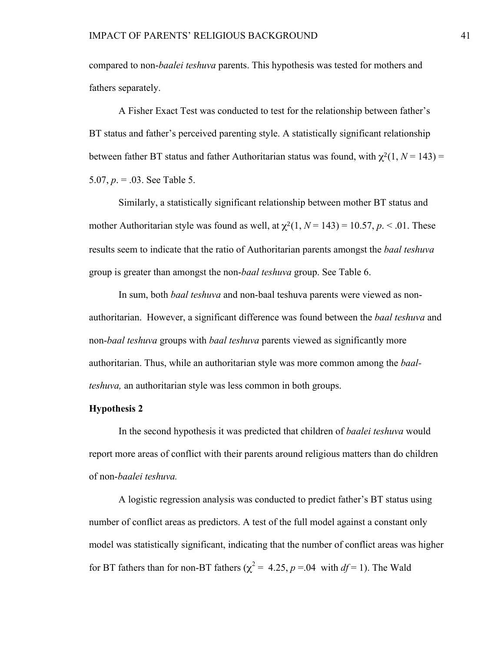compared to non-*baalei teshuva* parents. This hypothesis was tested for mothers and fathers separately.

A Fisher Exact Test was conducted to test for the relationship between father's BT status and father's perceived parenting style. A statistically significant relationship between father BT status and father Authoritarian status was found, with  $\chi^2(1, N = 143) =$ 5.07,  $p = 0.03$ . See Table 5.

Similarly, a statistically significant relationship between mother BT status and mother Authoritarian style was found as well, at  $\chi^2(1, N = 143) = 10.57$ ,  $p \le 0.01$ . These results seem to indicate that the ratio of Authoritarian parents amongst the *baal teshuva* group is greater than amongst the non-*baal teshuva* group. See Table 6.

In sum, both *baal teshuva* and non-baal teshuva parents were viewed as nonauthoritarian. However, a significant difference was found between the *baal teshuva* and non-*baal teshuva* groups with *baal teshuva* parents viewed as significantly more authoritarian. Thus, while an authoritarian style was more common among the *baalteshuva,* an authoritarian style was less common in both groups.

# **Hypothesis 2**

In the second hypothesis it was predicted that children of *baalei teshuva* would report more areas of conflict with their parents around religious matters than do children of non-*baalei teshuva.*

A logistic regression analysis was conducted to predict father's BT status using number of conflict areas as predictors. A test of the full model against a constant only model was statistically significant, indicating that the number of conflict areas was higher for BT fathers than for non-BT fathers ( $\chi^2 = 4.25$ ,  $p = 0.04$  with  $df = 1$ ). The Wald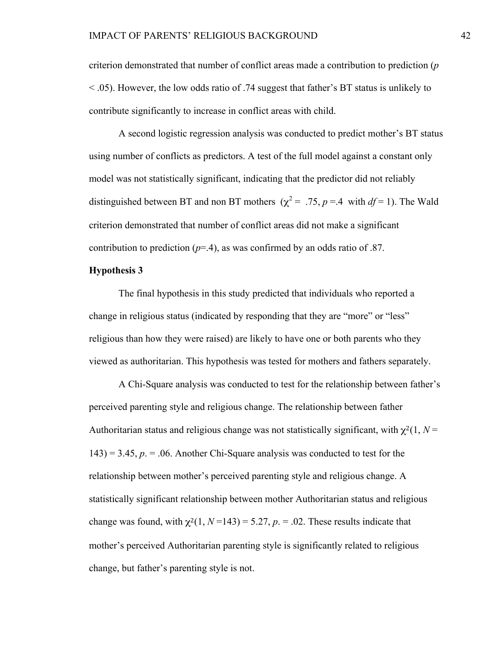criterion demonstrated that number of conflict areas made a contribution to prediction (*p* < .05). However, the low odds ratio of .74 suggest that father's BT status is unlikely to contribute significantly to increase in conflict areas with child.

A second logistic regression analysis was conducted to predict mother's BT status using number of conflicts as predictors. A test of the full model against a constant only model was not statistically significant, indicating that the predictor did not reliably distinguished between BT and non BT mothers ( $\chi^2$  = .75, *p* =.4 with *df* = 1). The Wald criterion demonstrated that number of conflict areas did not make a significant contribution to prediction  $(p=4)$ , as was confirmed by an odds ratio of .87.

# **Hypothesis 3**

The final hypothesis in this study predicted that individuals who reported a change in religious status (indicated by responding that they are "more" or "less" religious than how they were raised) are likely to have one or both parents who they viewed as authoritarian. This hypothesis was tested for mothers and fathers separately.

A Chi-Square analysis was conducted to test for the relationship between father's perceived parenting style and religious change. The relationship between father Authoritarian status and religious change was not statistically significant, with  $\chi^2(1, N =$  $143$ ) = 3.45,  $p = 0.06$ . Another Chi-Square analysis was conducted to test for the relationship between mother's perceived parenting style and religious change. A statistically significant relationship between mother Authoritarian status and religious change was found, with  $\chi^2(1, N=143) = 5.27$ ,  $p = 0.02$ . These results indicate that mother's perceived Authoritarian parenting style is significantly related to religious change, but father's parenting style is not.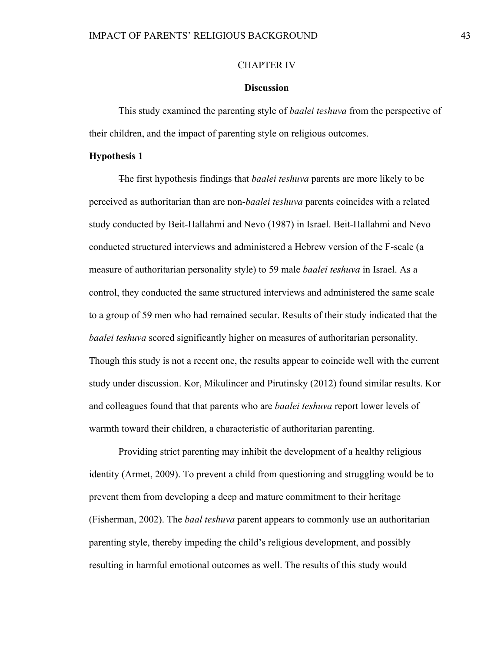#### CHAPTER IV

#### **Discussion**

This study examined the parenting style of *baalei teshuva* from the perspective of their children, and the impact of parenting style on religious outcomes.

#### **Hypothesis 1**

The first hypothesis findings that *baalei teshuva* parents are more likely to be perceived as authoritarian than are non-*baalei teshuva* parents coincides with a related study conducted by Beit-Hallahmi and Nevo (1987) in Israel. Beit-Hallahmi and Nevo conducted structured interviews and administered a Hebrew version of the F-scale (a measure of authoritarian personality style) to 59 male *baalei teshuva* in Israel. As a control, they conducted the same structured interviews and administered the same scale to a group of 59 men who had remained secular. Results of their study indicated that the *baalei teshuva* scored significantly higher on measures of authoritarian personality. Though this study is not a recent one, the results appear to coincide well with the current study under discussion. Kor, Mikulincer and Pirutinsky (2012) found similar results. Kor and colleagues found that that parents who are *baalei teshuva* report lower levels of warmth toward their children, a characteristic of authoritarian parenting.

Providing strict parenting may inhibit the development of a healthy religious identity (Armet, 2009). To prevent a child from questioning and struggling would be to prevent them from developing a deep and mature commitment to their heritage (Fisherman, 2002). The *baal teshuva* parent appears to commonly use an authoritarian parenting style, thereby impeding the child's religious development, and possibly resulting in harmful emotional outcomes as well. The results of this study would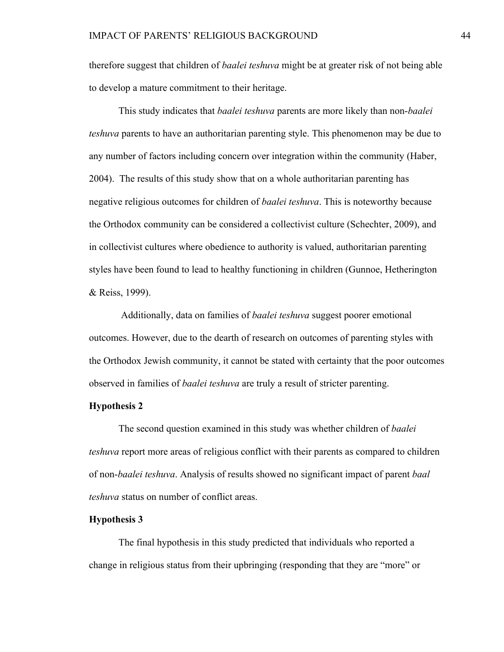therefore suggest that children of *baalei teshuva* might be at greater risk of not being able to develop a mature commitment to their heritage.

This study indicates that *baalei teshuva* parents are more likely than non-*baalei teshuva* parents to have an authoritarian parenting style. This phenomenon may be due to any number of factors including concern over integration within the community (Haber, 2004). The results of this study show that on a whole authoritarian parenting has negative religious outcomes for children of *baalei teshuva*. This is noteworthy because the Orthodox community can be considered a collectivist culture (Schechter, 2009), and in collectivist cultures where obedience to authority is valued, authoritarian parenting styles have been found to lead to healthy functioning in children (Gunnoe, Hetherington & Reiss, 1999).

 Additionally, data on families of *baalei teshuva* suggest poorer emotional outcomes. However, due to the dearth of research on outcomes of parenting styles with the Orthodox Jewish community, it cannot be stated with certainty that the poor outcomes observed in families of *baalei teshuva* are truly a result of stricter parenting.

# **Hypothesis 2**

The second question examined in this study was whether children of *baalei teshuva* report more areas of religious conflict with their parents as compared to children of non-*baalei teshuva*. Analysis of results showed no significant impact of parent *baal teshuva* status on number of conflict areas.

#### **Hypothesis 3**

The final hypothesis in this study predicted that individuals who reported a change in religious status from their upbringing (responding that they are "more" or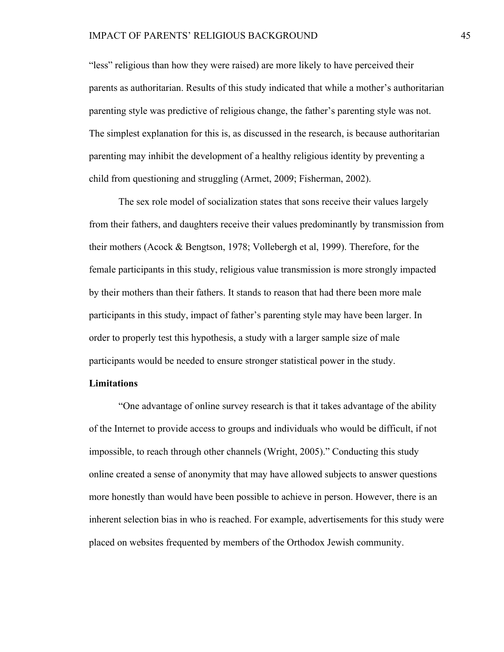#### IMPACT OF PARENTS' RELIGIOUS BACKGROUND 45

"less" religious than how they were raised) are more likely to have perceived their parents as authoritarian. Results of this study indicated that while a mother's authoritarian parenting style was predictive of religious change, the father's parenting style was not. The simplest explanation for this is, as discussed in the research, is because authoritarian parenting may inhibit the development of a healthy religious identity by preventing a child from questioning and struggling (Armet, 2009; Fisherman, 2002).

The sex role model of socialization states that sons receive their values largely from their fathers, and daughters receive their values predominantly by transmission from their mothers (Acock & Bengtson, 1978; Vollebergh et al, 1999). Therefore, for the female participants in this study, religious value transmission is more strongly impacted by their mothers than their fathers. It stands to reason that had there been more male participants in this study, impact of father's parenting style may have been larger. In order to properly test this hypothesis, a study with a larger sample size of male participants would be needed to ensure stronger statistical power in the study.

#### **Limitations**

"One advantage of online survey research is that it takes advantage of the ability of the Internet to provide access to groups and individuals who would be difficult, if not impossible, to reach through other channels (Wright, 2005)." Conducting this study online created a sense of anonymity that may have allowed subjects to answer questions more honestly than would have been possible to achieve in person. However, there is an inherent selection bias in who is reached. For example, advertisements for this study were placed on websites frequented by members of the Orthodox Jewish community.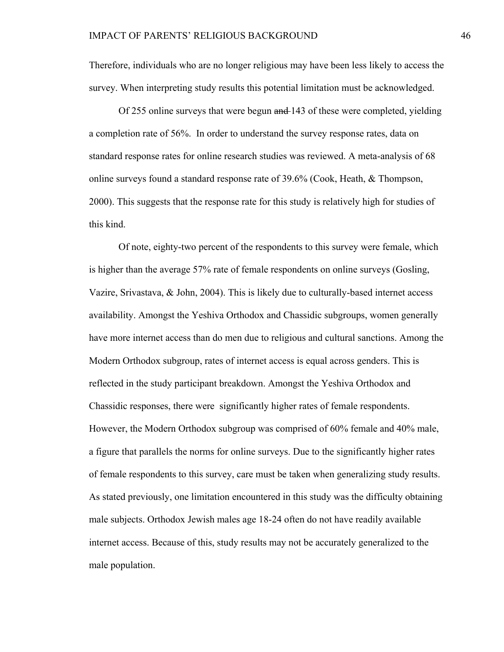Therefore, individuals who are no longer religious may have been less likely to access the survey. When interpreting study results this potential limitation must be acknowledged.

Of 255 online surveys that were begun and 143 of these were completed, yielding a completion rate of 56%. In order to understand the survey response rates, data on standard response rates for online research studies was reviewed. A meta-analysis of 68 online surveys found a standard response rate of 39.6% (Cook, Heath, & Thompson, 2000). This suggests that the response rate for this study is relatively high for studies of this kind.

Of note, eighty-two percent of the respondents to this survey were female, which is higher than the average 57% rate of female respondents on online surveys (Gosling, Vazire, Srivastava, & John, 2004). This is likely due to culturally-based internet access availability. Amongst the Yeshiva Orthodox and Chassidic subgroups, women generally have more internet access than do men due to religious and cultural sanctions. Among the Modern Orthodox subgroup, rates of internet access is equal across genders. This is reflected in the study participant breakdown. Amongst the Yeshiva Orthodox and Chassidic responses, there were significantly higher rates of female respondents. However, the Modern Orthodox subgroup was comprised of 60% female and 40% male, a figure that parallels the norms for online surveys. Due to the significantly higher rates of female respondents to this survey, care must be taken when generalizing study results. As stated previously, one limitation encountered in this study was the difficulty obtaining male subjects. Orthodox Jewish males age 18-24 often do not have readily available internet access. Because of this, study results may not be accurately generalized to the male population.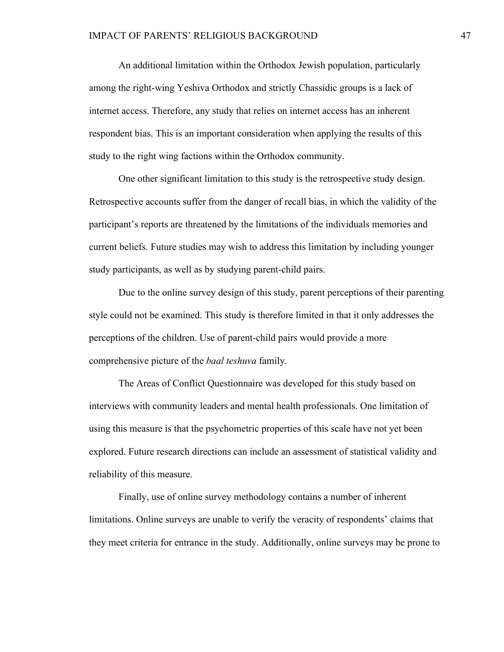An additional limitation within the Orthodox Jewish population, particularly among the right-wing Yeshiva Orthodox and strictly Chassidic groups is a lack of internet access. Therefore, any study that relies on internet access has an inherent respondent bias. This is an important consideration when applying the results of this study to the right wing factions within the Orthodox community.

One other significant limitation to this study is the retrospective study design. Retrospective accounts suffer from the danger of recall bias, in which the validity of the participant's reports are threatened by the limitations of the individuals memories and current beliefs. Future studies may wish to address this limitation by including younger study participants, as well as by studying parent-child pairs.

Due to the online survey design of this study, parent perceptions of their parenting style could not be examined. This study is therefore limited in that it only addresses the perceptions of the children. Use of parent-child pairs would provide a more comprehensive picture of the *baal teshuva* family.

The Areas of Conflict Questionnaire was developed for this study based on interviews with community leaders and mental health professionals. One limitation of using this measure is that the psychometric properties of this scale have not yet been explored. Future research directions can include an assessment of statistical validity and reliability of this measure.

Finally, use of online survey methodology contains a number of inherent limitations. Online surveys are unable to verify the veracity of respondents' claims that they meet criteria for entrance in the study. Additionally, online surveys may be prone to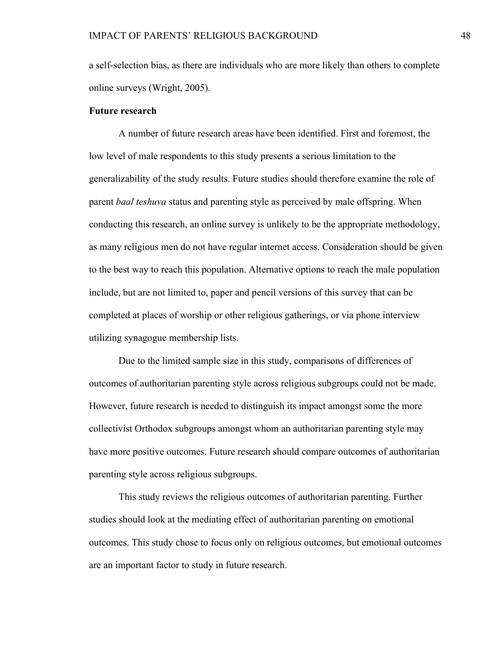a self-selection bias, as there are individuals who are more likely than others to complete online surveys (Wright, 2005).

#### **Future research**

A number of future research areas have been identified. First and foremost, the low level of male respondents to this study presents a serious limitation to the generalizability of the study results. Future studies should therefore examine the role of parent *baal teshuva* status and parenting style as perceived by male offspring. When conducting this research, an online survey is unlikely to be the appropriate methodology, as many religious men do not have regular internet access. Consideration should be given to the best way to reach this population. Alternative options to reach the male population include, but are not limited to, paper and pencil versions of this survey that can be completed at places of worship or other religious gatherings, or via phone interview utilizing synagogue membership lists.

Due to the limited sample size in this study, comparisons of differences of outcomes of authoritarian parenting style across religious subgroups could not be made. However, future research is needed to distinguish its impact amongst some the more collectivist Orthodox subgroups amongst whom an authoritarian parenting style may have more positive outcomes. Future research should compare outcomes of authoritarian parenting style across religious subgroups.

This study reviews the religious outcomes of authoritarian parenting. Further studies should look at the mediating effect of authoritarian parenting on emotional outcomes. This study chose to focus only on religious outcomes, but emotional outcomes are an important factor to study in future research.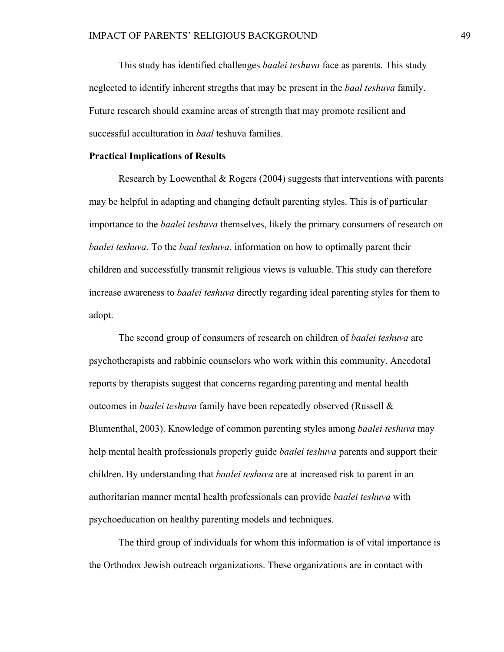This study has identified challenges *baalei teshuva* face as parents. This study neglected to identify inherent stregths that may be present in the *baal teshuva* family. Future research should examine areas of strength that may promote resilient and successful acculturation in *baal* teshuva families.

#### **Practical Implications of Results**

Research by Loewenthal & Rogers (2004) suggests that interventions with parents may be helpful in adapting and changing default parenting styles. This is of particular importance to the *baalei teshuva* themselves, likely the primary consumers of research on *baalei teshuva*. To the *baal teshuva*, information on how to optimally parent their children and successfully transmit religious views is valuable. This study can therefore increase awareness to *baalei teshuva* directly regarding ideal parenting styles for them to adopt.

The second group of consumers of research on children of *baalei teshuva* are psychotherapists and rabbinic counselors who work within this community. Anecdotal reports by therapists suggest that concerns regarding parenting and mental health outcomes in *baalei teshuva* family have been repeatedly observed (Russell & Blumenthal, 2003). Knowledge of common parenting styles among *baalei teshuva* may help mental health professionals properly guide *baalei teshuva* parents and support their children. By understanding that *baalei teshuva* are at increased risk to parent in an authoritarian manner mental health professionals can provide *baalei teshuva* with psychoeducation on healthy parenting models and techniques.

The third group of individuals for whom this information is of vital importance is the Orthodox Jewish outreach organizations. These organizations are in contact with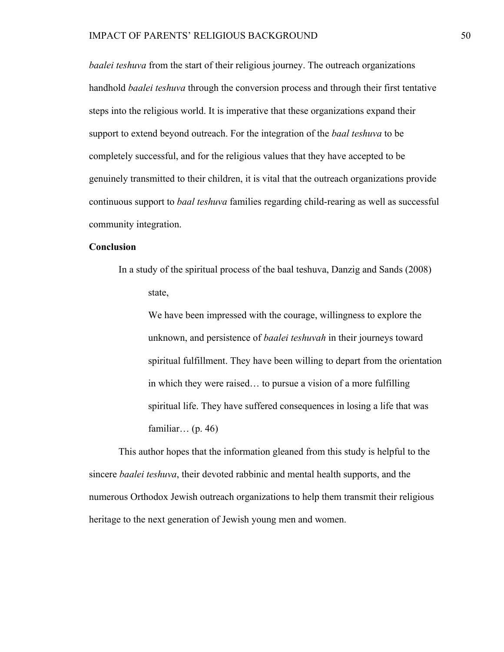*baalei teshuva* from the start of their religious journey. The outreach organizations handhold *baalei teshuva* through the conversion process and through their first tentative steps into the religious world. It is imperative that these organizations expand their support to extend beyond outreach. For the integration of the *baal teshuva* to be completely successful, and for the religious values that they have accepted to be genuinely transmitted to their children, it is vital that the outreach organizations provide continuous support to *baal teshuva* families regarding child-rearing as well as successful community integration.

#### **Conclusion**

In a study of the spiritual process of the baal teshuva, Danzig and Sands (2008) state,

We have been impressed with the courage, willingness to explore the unknown, and persistence of *baalei teshuvah* in their journeys toward spiritual fulfillment. They have been willing to depart from the orientation in which they were raised… to pursue a vision of a more fulfilling spiritual life. They have suffered consequences in losing a life that was familiar… (p. 46)

This author hopes that the information gleaned from this study is helpful to the sincere *baalei teshuva*, their devoted rabbinic and mental health supports, and the numerous Orthodox Jewish outreach organizations to help them transmit their religious heritage to the next generation of Jewish young men and women.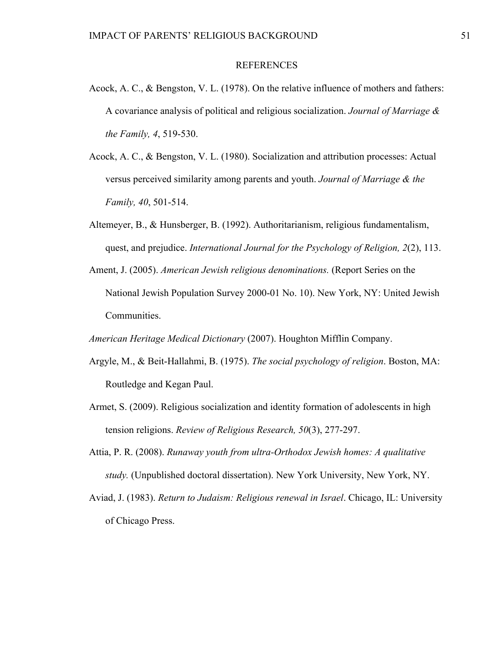#### REFERENCES

- Acock, A. C., & Bengston, V. L. (1978). On the relative influence of mothers and fathers: A covariance analysis of political and religious socialization. *Journal of Marriage & the Family, 4*, 519-530.
- Acock, A. C., & Bengston, V. L. (1980). Socialization and attribution processes: Actual versus perceived similarity among parents and youth. *Journal of Marriage & the Family, 40*, 501-514.
- Altemeyer, B., & Hunsberger, B. (1992). Authoritarianism, religious fundamentalism, quest, and prejudice. *International Journal for the Psychology of Religion, 2*(2), 113.
- Ament, J. (2005). *American Jewish religious denominations.* (Report Series on the National Jewish Population Survey 2000-01 No. 10). New York, NY: United Jewish Communities.

*American Heritage Medical Dictionary* (2007). Houghton Mifflin Company.

- Argyle, M., & Beit-Hallahmi, B. (1975). *The social psychology of religion*. Boston, MA: Routledge and Kegan Paul.
- Armet, S. (2009). Religious socialization and identity formation of adolescents in high tension religions. *Review of Religious Research, 50*(3), 277-297.
- Attia, P. R. (2008). *Runaway youth from ultra-Orthodox Jewish homes: A qualitative study.* (Unpublished doctoral dissertation). New York University, New York, NY.
- Aviad, J. (1983). *Return to Judaism: Religious renewal in Israel*. Chicago, IL: University of Chicago Press.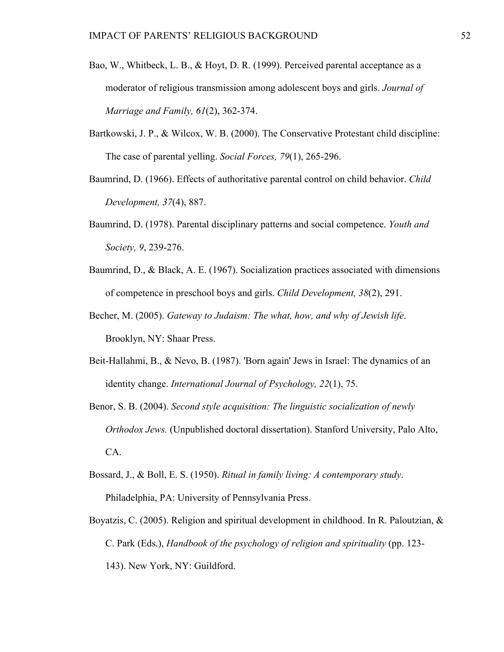- Bao, W., Whitbeck, L. B., & Hoyt, D. R. (1999). Perceived parental acceptance as a moderator of religious transmission among adolescent boys and girls. *Journal of Marriage and Family, 61*(2), 362-374.
- Bartkowski, J. P., & Wilcox, W. B. (2000). The Conservative Protestant child discipline: The case of parental yelling. *Social Forces, 79*(1), 265-296.
- Baumrind, D. (1966). Effects of authoritative parental control on child behavior. *Child Development, 37*(4), 887.
- Baumrind, D. (1978). Parental disciplinary patterns and social competence. *Youth and Society, 9*, 239-276.
- Baumrind, D., & Black, A. E. (1967). Socialization practices associated with dimensions of competence in preschool boys and girls. *Child Development, 38*(2), 291.
- Becher, M. (2005). *Gateway to Judaism: The what, how, and why of Jewish life*. Brooklyn, NY: Shaar Press.
- Beit-Hallahmi, B., & Nevo, B. (1987). 'Born again' Jews in Israel: The dynamics of an identity change. *International Journal of Psychology, 22*(1), 75.
- Benor, S. B. (2004). *Second style acquisition: The linguistic socialization of newly Orthodox Jews.* (Unpublished doctoral dissertation). Stanford University, Palo Alto, CA.
- Bossard, J., & Boll, E. S. (1950). *Ritual in family living: A contemporary study*. Philadelphia, PA: University of Pennsylvania Press.
- Boyatzis, C. (2005). Religion and spiritual development in childhood. In R. Paloutzian, & C. Park (Eds.), *Handbook of the psychology of religion and spirituality* (pp. 123- 143). New York, NY: Guildford.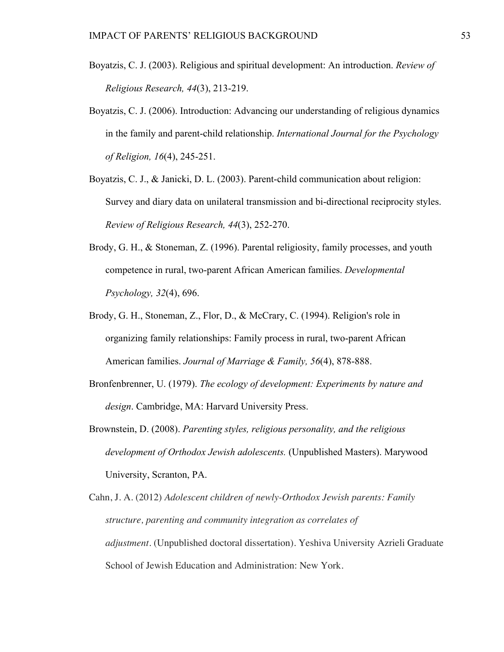- Boyatzis, C. J. (2003). Religious and spiritual development: An introduction. *Review of Religious Research, 44*(3), 213-219.
- Boyatzis, C. J. (2006). Introduction: Advancing our understanding of religious dynamics in the family and parent-child relationship. *International Journal for the Psychology of Religion, 16*(4), 245-251.
- Boyatzis, C. J., & Janicki, D. L. (2003). Parent-child communication about religion: Survey and diary data on unilateral transmission and bi-directional reciprocity styles. *Review of Religious Research, 44*(3), 252-270.
- Brody, G. H., & Stoneman, Z. (1996). Parental religiosity, family processes, and youth competence in rural, two-parent African American families. *Developmental Psychology, 32*(4), 696.
- Brody, G. H., Stoneman, Z., Flor, D., & McCrary, C. (1994). Religion's role in organizing family relationships: Family process in rural, two-parent African American families. *Journal of Marriage & Family, 56*(4), 878-888.
- Bronfenbrenner, U. (1979). *The ecology of development: Experiments by nature and design*. Cambridge, MA: Harvard University Press.
- Brownstein, D. (2008). *Parenting styles, religious personality, and the religious development of Orthodox Jewish adolescents.* (Unpublished Masters). Marywood University, Scranton, PA.
- Cahn, J. A. (2012) *Adolescent children of newly-Orthodox Jewish parents: Family structure, parenting and community integration as correlates of adjustment*. (Unpublished doctoral dissertation). Yeshiva University Azrieli Graduate School of Jewish Education and Administration: New York.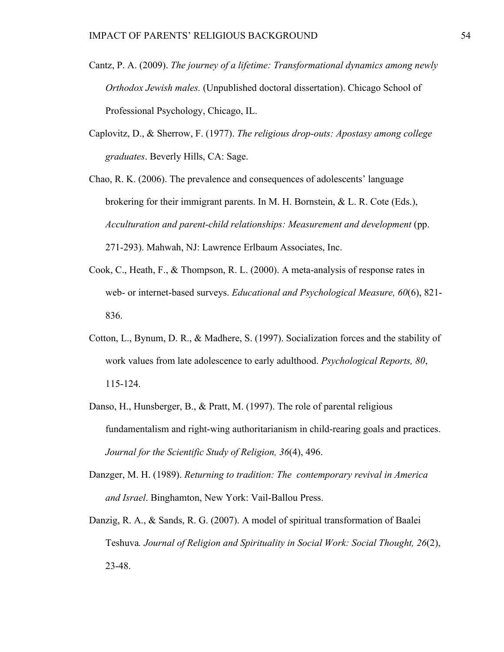- Cantz, P. A. (2009). *The journey of a lifetime: Transformational dynamics among newly Orthodox Jewish males.* (Unpublished doctoral dissertation). Chicago School of Professional Psychology, Chicago, IL.
- Caplovitz, D., & Sherrow, F. (1977). *The religious drop-outs: Apostasy among college graduates*. Beverly Hills, CA: Sage.
- Chao, R. K. (2006). The prevalence and consequences of adolescents' language brokering for their immigrant parents. In M. H. Bornstein,  $\&$  L. R. Cote (Eds.), *Acculturation and parent-child relationships: Measurement and development* (pp. 271-293). Mahwah, NJ: Lawrence Erlbaum Associates, Inc.
- Cook, C., Heath, F., & Thompson, R. L. (2000). A meta-analysis of response rates in web- or internet-based surveys. *Educational and Psychological Measure, 60*(6), 821- 836.
- Cotton, L., Bynum, D. R., & Madhere, S. (1997). Socialization forces and the stability of work values from late adolescence to early adulthood. *Psychological Reports, 80*, 115-124.
- Danso, H., Hunsberger, B., & Pratt, M. (1997). The role of parental religious fundamentalism and right-wing authoritarianism in child-rearing goals and practices. *Journal for the Scientific Study of Religion, 36*(4), 496.
- Danzger, M. H. (1989). *Returning to tradition: The contemporary revival in America and Israel*. Binghamton, New York: Vail-Ballou Press.
- Danzig, R. A., & Sands, R. G. (2007). A model of spiritual transformation of Baalei Teshuva*. Journal of Religion and Spirituality in Social Work: Social Thought, 26*(2), 23-48.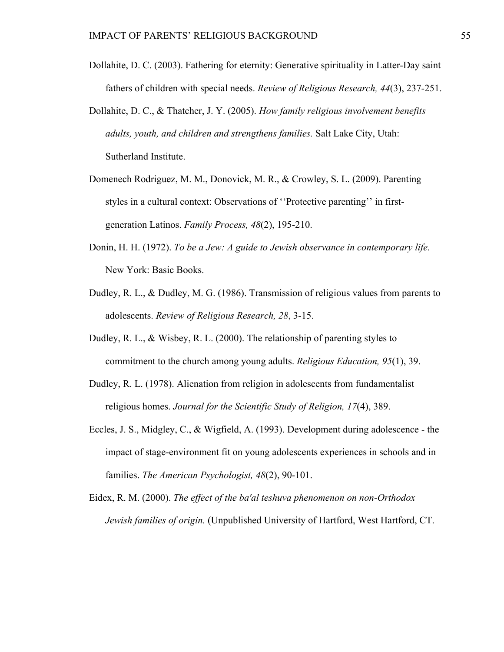- Dollahite, D. C. (2003). Fathering for eternity: Generative spirituality in Latter-Day saint fathers of children with special needs. *Review of Religious Research, 44*(3), 237-251.
- Dollahite, D. C., & Thatcher, J. Y. (2005). *How family religious involvement benefits adults, youth, and children and strengthens families.* Salt Lake City, Utah: Sutherland Institute.
- Domenech Rodriguez, M. M., Donovick, M. R., & Crowley, S. L. (2009). Parenting styles in a cultural context: Observations of ''Protective parenting'' in firstgeneration Latinos. *Family Process, 48*(2), 195-210.
- Donin, H. H. (1972). *To be a Jew: A guide to Jewish observance in contemporary life.* New York: Basic Books.
- Dudley, R. L., & Dudley, M. G. (1986). Transmission of religious values from parents to adolescents. *Review of Religious Research, 28*, 3-15.
- Dudley, R. L., & Wisbey, R. L. (2000). The relationship of parenting styles to commitment to the church among young adults. *Religious Education, 95*(1), 39.
- Dudley, R. L. (1978). Alienation from religion in adolescents from fundamentalist religious homes. *Journal for the Scientific Study of Religion, 17*(4), 389.
- Eccles, J. S., Midgley, C., & Wigfield, A. (1993). Development during adolescence the impact of stage-environment fit on young adolescents experiences in schools and in families. *The American Psychologist, 48*(2), 90-101.
- Eidex, R. M. (2000). *The effect of the ba'al teshuva phenomenon on non-Orthodox Jewish families of origin.* (Unpublished University of Hartford, West Hartford, CT.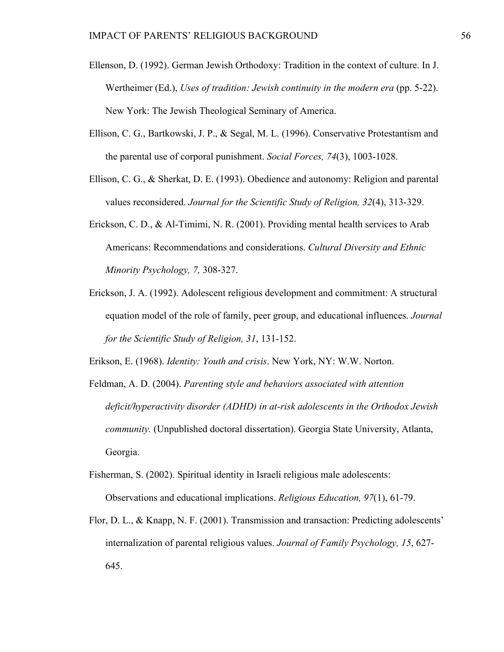- Ellenson, D. (1992). German Jewish Orthodoxy: Tradition in the context of culture. In J. Wertheimer (Ed.), *Uses of tradition: Jewish continuity in the modern era* (pp. 5-22). New York: The Jewish Theological Seminary of America.
- Ellison, C. G., Bartkowski, J. P., & Segal, M. L. (1996). Conservative Protestantism and the parental use of corporal punishment. *Social Forces, 74*(3), 1003-1028.
- Ellison, C. G., & Sherkat, D. E. (1993). Obedience and autonomy: Religion and parental values reconsidered. *Journal for the Scientific Study of Religion, 32*(4), 313-329.
- Erickson, C. D., & Al-Timimi, N. R. (2001). Providing mental health services to Arab Americans: Recommendations and considerations. *Cultural Diversity and Ethnic Minority Psychology, 7,* 308-327.
- Erickson, J. A. (1992). Adolescent religious development and commitment: A structural equation model of the role of family, peer group, and educational influences. *Journal for the Scientific Study of Religion, 31*, 131-152.

Erikson, E. (1968). *Identity: Youth and crisis*. New York, NY: W.W. Norton.

- Feldman, A. D. (2004). *Parenting style and behaviors associated with attention deficit/hyperactivity disorder (ADHD) in at-risk adolescents in the Orthodox Jewish community.* (Unpublished doctoral dissertation). Georgia State University, Atlanta, Georgia.
- Fisherman, S. (2002). Spiritual identity in Israeli religious male adolescents: Observations and educational implications. *Religious Education, 97*(1), 61-79.
- Flor, D. L., & Knapp, N. F. (2001). Transmission and transaction: Predicting adolescents' internalization of parental religious values. *Journal of Family Psychology, 15*, 627- 645.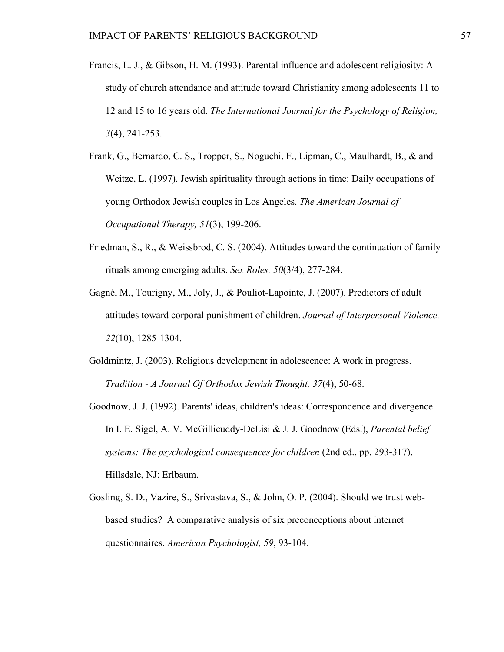- Francis, L. J., & Gibson, H. M. (1993). Parental influence and adolescent religiosity: A study of church attendance and attitude toward Christianity among adolescents 11 to 12 and 15 to 16 years old. *The International Journal for the Psychology of Religion, 3*(4), 241-253.
- Frank, G., Bernardo, C. S., Tropper, S., Noguchi, F., Lipman, C., Maulhardt, B., & and Weitze, L. (1997). Jewish spirituality through actions in time: Daily occupations of young Orthodox Jewish couples in Los Angeles. *The American Journal of Occupational Therapy, 51*(3), 199-206.
- Friedman, S., R., & Weissbrod, C. S. (2004). Attitudes toward the continuation of family rituals among emerging adults. *Sex Roles, 50*(3/4), 277-284.
- Gagné, M., Tourigny, M., Joly, J., & Pouliot-Lapointe, J. (2007). Predictors of adult attitudes toward corporal punishment of children. *Journal of Interpersonal Violence, 22*(10), 1285-1304.
- Goldmintz, J. (2003). Religious development in adolescence: A work in progress. *Tradition - A Journal Of Orthodox Jewish Thought, 37*(4), 50-68.
- Goodnow, J. J. (1992). Parents' ideas, children's ideas: Correspondence and divergence. In I. E. Sigel, A. V. McGillicuddy-DeLisi & J. J. Goodnow (Eds.), *Parental belief systems: The psychological consequences for children* (2nd ed., pp. 293-317). Hillsdale, NJ: Erlbaum.
- Gosling, S. D., Vazire, S., Srivastava, S., & John, O. P. (2004). Should we trust webbased studies? A comparative analysis of six preconceptions about internet questionnaires. *American Psychologist, 59*, 93-104.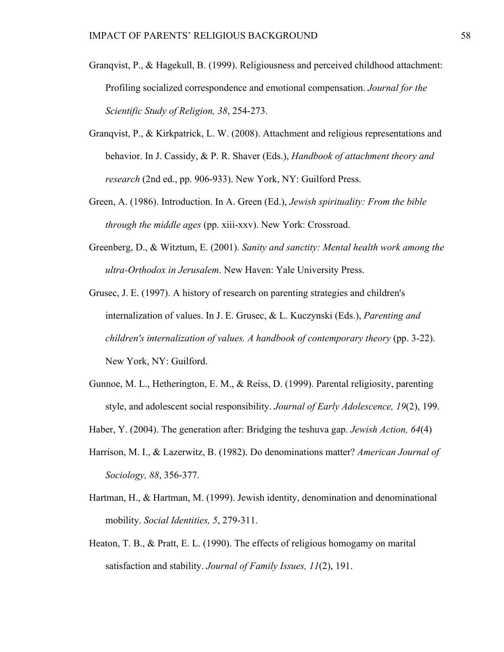- Granqvist, P., & Hagekull, B. (1999). Religiousness and perceived childhood attachment: Profiling socialized correspondence and emotional compensation. *Journal for the Scientific Study of Religion, 38*, 254-273.
- Granqvist, P., & Kirkpatrick, L. W. (2008). Attachment and religious representations and behavior. In J. Cassidy, & P. R. Shaver (Eds.), *Handbook of attachment theory and research* (2nd ed., pp. 906-933). New York, NY: Guilford Press.
- Green, A. (1986). Introduction. In A. Green (Ed.), *Jewish spirituality: From the bible through the middle ages* (pp. xiii-xxv). New York: Crossroad.
- Greenberg, D., & Witztum, E. (2001). *Sanity and sanctity: Mental health work among the ultra-Orthodox in Jerusalem*. New Haven: Yale University Press.
- Grusec, J. E. (1997). A history of research on parenting strategies and children's internalization of values. In J. E. Grusec, & L. Kuczynski (Eds.), *Parenting and children's internalization of values. A handbook of contemporary theory* (pp. 3-22). New York, NY: Guilford.
- Gunnoe, M. L., Hetherington, E. M., & Reiss, D. (1999). Parental religiosity, parenting style, and adolescent social responsibility. *Journal of Early Adolescence, 19*(2), 199.
- Haber, Y. (2004). The generation after: Bridging the teshuva gap. *Jewish Action, 64*(4)
- Harrison, M. I., & Lazerwitz, B. (1982). Do denominations matter? *American Journal of Sociology, 88*, 356-377.
- Hartman, H., & Hartman, M. (1999). Jewish identity, denomination and denominational mobility. *Social Identities, 5*, 279-311.
- Heaton, T. B., & Pratt, E. L. (1990). The effects of religious homogamy on marital satisfaction and stability. *Journal of Family Issues, 11*(2), 191.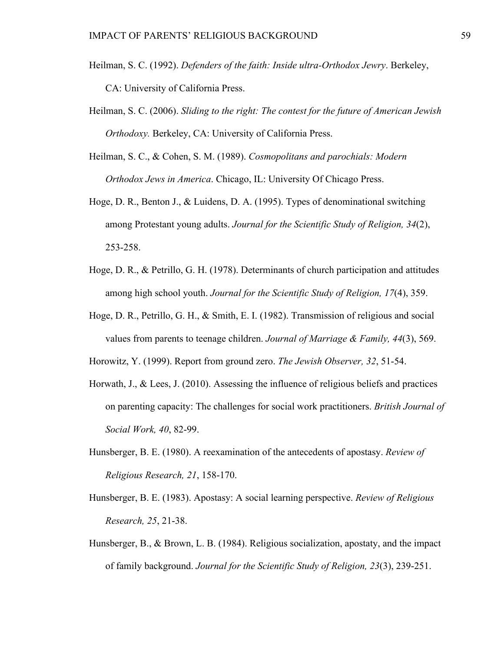- Heilman, S. C. (1992). *Defenders of the faith: Inside ultra-Orthodox Jewry*. Berkeley, CA: University of California Press.
- Heilman, S. C. (2006). *Sliding to the right: The contest for the future of American Jewish Orthodoxy.* Berkeley, CA: University of California Press.
- Heilman, S. C., & Cohen, S. M. (1989). *Cosmopolitans and parochials: Modern Orthodox Jews in America*. Chicago, IL: University Of Chicago Press.
- Hoge, D. R., Benton J., & Luidens, D. A. (1995). Types of denominational switching among Protestant young adults. *Journal for the Scientific Study of Religion, 34*(2), 253-258.
- Hoge, D. R., & Petrillo, G. H. (1978). Determinants of church participation and attitudes among high school youth. *Journal for the Scientific Study of Religion, 17*(4), 359.
- Hoge, D. R., Petrillo, G. H., & Smith, E. I. (1982). Transmission of religious and social values from parents to teenage children. *Journal of Marriage & Family, 44*(3), 569.

Horowitz, Y. (1999). Report from ground zero. *The Jewish Observer, 32*, 51-54.

- Horwath, J., & Lees, J. (2010). Assessing the influence of religious beliefs and practices on parenting capacity: The challenges for social work practitioners. *British Journal of Social Work, 40*, 82-99.
- Hunsberger, B. E. (1980). A reexamination of the antecedents of apostasy. *Review of Religious Research, 21*, 158-170.
- Hunsberger, B. E. (1983). Apostasy: A social learning perspective. *Review of Religious Research, 25*, 21-38.
- Hunsberger, B., & Brown, L. B. (1984). Religious socialization, apostaty, and the impact of family background. *Journal for the Scientific Study of Religion, 23*(3), 239-251.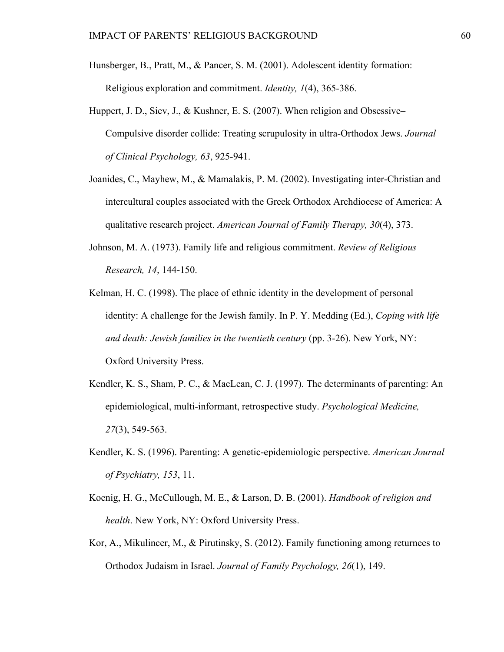- Hunsberger, B., Pratt, M., & Pancer, S. M. (2001). Adolescent identity formation: Religious exploration and commitment. *Identity, 1*(4), 365-386.
- Huppert, J. D., Siev, J., & Kushner, E. S. (2007). When religion and Obsessive– Compulsive disorder collide: Treating scrupulosity in ultra-Orthodox Jews. *Journal of Clinical Psychology, 63*, 925-941.
- Joanides, C., Mayhew, M., & Mamalakis, P. M. (2002). Investigating inter-Christian and intercultural couples associated with the Greek Orthodox Archdiocese of America: A qualitative research project. *American Journal of Family Therapy, 30*(4), 373.
- Johnson, M. A. (1973). Family life and religious commitment. *Review of Religious Research, 14*, 144-150.
- Kelman, H. C. (1998). The place of ethnic identity in the development of personal identity: A challenge for the Jewish family. In P. Y. Medding (Ed.), *Coping with life and death: Jewish families in the twentieth century* (pp. 3-26). New York, NY: Oxford University Press.
- Kendler, K. S., Sham, P. C., & MacLean, C. J. (1997). The determinants of parenting: An epidemiological, multi-informant, retrospective study. *Psychological Medicine, 27*(3), 549-563.
- Kendler, K. S. (1996). Parenting: A genetic-epidemiologic perspective. *American Journal of Psychiatry, 153*, 11.
- Koenig, H. G., McCullough, M. E., & Larson, D. B. (2001). *Handbook of religion and health*. New York, NY: Oxford University Press.
- Kor, A., Mikulincer, M., & Pirutinsky, S. (2012). Family functioning among returnees to Orthodox Judaism in Israel. *Journal of Family Psychology, 26*(1), 149.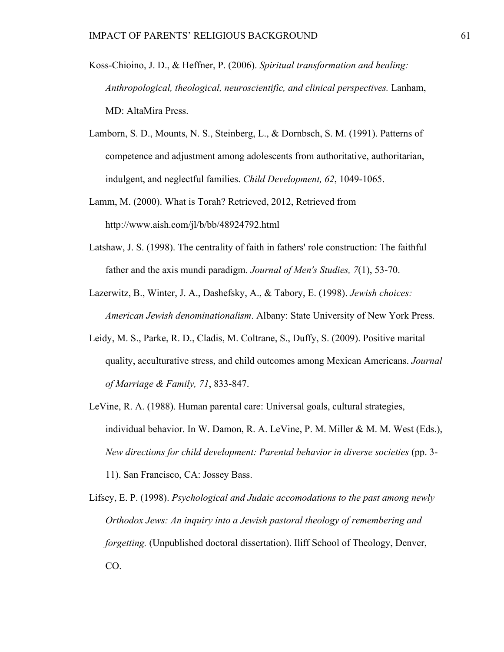- Koss-Chioino, J. D., & Heffner, P. (2006). *Spiritual transformation and healing: Anthropological, theological, neuroscientific, and clinical perspectives.* Lanham, MD: AltaMira Press.
- Lamborn, S. D., Mounts, N. S., Steinberg, L., & Dornbsch, S. M. (1991). Patterns of competence and adjustment among adolescents from authoritative, authoritarian, indulgent, and neglectful families. *Child Development, 62*, 1049-1065.
- Lamm, M. (2000). What is Torah? Retrieved, 2012, Retrieved from http://www.aish.com/jl/b/bb/48924792.html
- Latshaw, J. S. (1998). The centrality of faith in fathers' role construction: The faithful father and the axis mundi paradigm. *Journal of Men's Studies, 7*(1), 53-70.
- Lazerwitz, B., Winter, J. A., Dashefsky, A., & Tabory, E. (1998). *Jewish choices: American Jewish denominationalism*. Albany: State University of New York Press.
- Leidy, M. S., Parke, R. D., Cladis, M. Coltrane, S., Duffy, S. (2009). Positive marital quality, acculturative stress, and child outcomes among Mexican Americans. *Journal of Marriage & Family, 71*, 833-847.
- LeVine, R. A. (1988). Human parental care: Universal goals, cultural strategies, individual behavior. In W. Damon, R. A. LeVine, P. M. Miller & M. M. West (Eds.), *New directions for child development: Parental behavior in diverse societies* (pp. 3- 11). San Francisco, CA: Jossey Bass.

Lifsey, E. P. (1998). *Psychological and Judaic accomodations to the past among newly Orthodox Jews: An inquiry into a Jewish pastoral theology of remembering and forgetting.* (Unpublished doctoral dissertation). Iliff School of Theology, Denver, CO.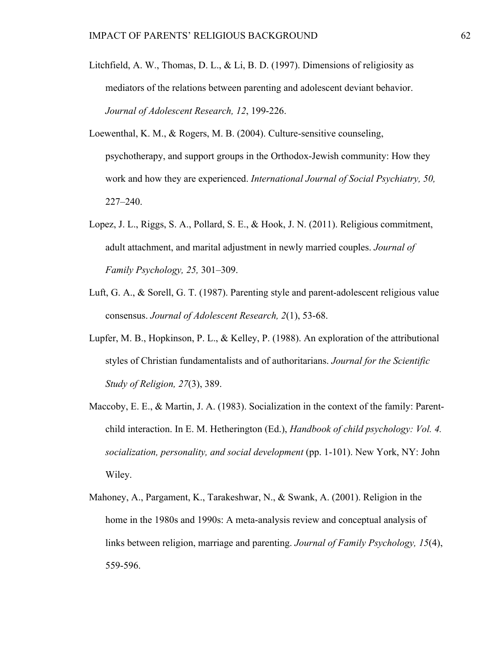- Litchfield, A. W., Thomas, D. L., & Li, B. D. (1997). Dimensions of religiosity as mediators of the relations between parenting and adolescent deviant behavior. *Journal of Adolescent Research, 12*, 199-226.
- Loewenthal, K. M., & Rogers, M. B. (2004). Culture-sensitive counseling, psychotherapy, and support groups in the Orthodox-Jewish community: How they work and how they are experienced. *International Journal of Social Psychiatry, 50,*  227–240.
- Lopez, J. L., Riggs, S. A., Pollard, S. E., & Hook, J. N. (2011). Religious commitment, adult attachment, and marital adjustment in newly married couples. *Journal of Family Psychology, 25,* 301–309.
- Luft, G. A., & Sorell, G. T. (1987). Parenting style and parent-adolescent religious value consensus. *Journal of Adolescent Research, 2*(1), 53-68.
- Lupfer, M. B., Hopkinson, P. L., & Kelley, P. (1988). An exploration of the attributional styles of Christian fundamentalists and of authoritarians. *Journal for the Scientific Study of Religion, 27*(3), 389.
- Maccoby, E. E., & Martin, J. A. (1983). Socialization in the context of the family: Parentchild interaction. In E. M. Hetherington (Ed.), *Handbook of child psychology: Vol. 4. socialization, personality, and social development* (pp. 1-101). New York, NY: John Wiley.
- Mahoney, A., Pargament, K., Tarakeshwar, N., & Swank, A. (2001). Religion in the home in the 1980s and 1990s: A meta-analysis review and conceptual analysis of links between religion, marriage and parenting. *Journal of Family Psychology, 15*(4), 559-596.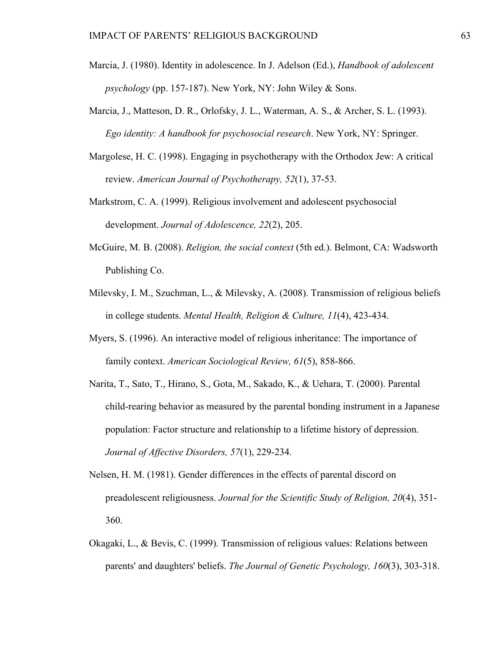- Marcia, J. (1980). Identity in adolescence. In J. Adelson (Ed.), *Handbook of adolescent psychology* (pp. 157-187). New York, NY: John Wiley & Sons.
- Marcia, J., Matteson, D. R., Orlofsky, J. L., Waterman, A. S., & Archer, S. L. (1993). *Ego identity: A handbook for psychosocial research*. New York, NY: Springer.
- Margolese, H. C. (1998). Engaging in psychotherapy with the Orthodox Jew: A critical review. *American Journal of Psychotherapy, 52*(1), 37-53.
- Markstrom, C. A. (1999). Religious involvement and adolescent psychosocial development. *Journal of Adolescence, 22*(2), 205.
- McGuire, M. B. (2008). *Religion, the social context* (5th ed.). Belmont, CA: Wadsworth Publishing Co.
- Milevsky, I. M., Szuchman, L., & Milevsky, A. (2008). Transmission of religious beliefs in college students. *Mental Health, Religion & Culture, 11*(4), 423-434.
- Myers, S. (1996). An interactive model of religious inheritance: The importance of family context. *American Sociological Review, 61*(5), 858-866.
- Narita, T., Sato, T., Hirano, S., Gota, M., Sakado, K., & Uehara, T. (2000). Parental child-rearing behavior as measured by the parental bonding instrument in a Japanese population: Factor structure and relationship to a lifetime history of depression. *Journal of Affective Disorders, 57*(1), 229-234.
- Nelsen, H. M. (1981). Gender differences in the effects of parental discord on preadolescent religiousness. *Journal for the Scientific Study of Religion, 20*(4), 351- 360.
- Okagaki, L., & Bevis, C. (1999). Transmission of religious values: Relations between parents' and daughters' beliefs. *The Journal of Genetic Psychology, 160*(3), 303-318.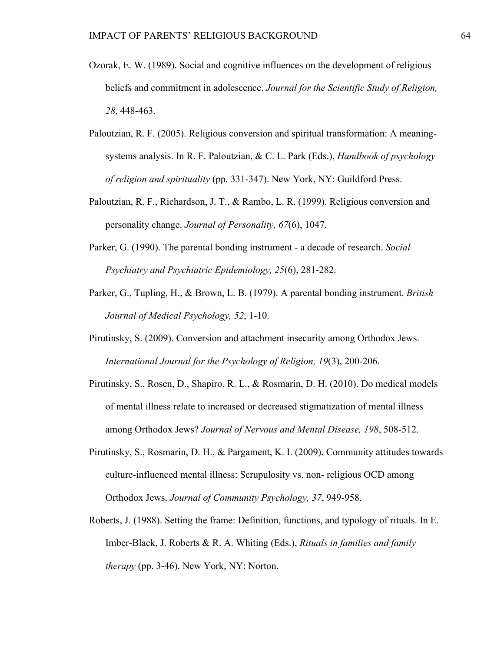- Ozorak, E. W. (1989). Social and cognitive influences on the development of religious beliefs and commitment in adolescence. *Journal for the Scientific Study of Religion, 28*, 448-463.
- Paloutzian, R. F. (2005). Religious conversion and spiritual transformation: A meaningsystems analysis. In R. F. Paloutzian, & C. L. Park (Eds.), *Handbook of psychology of religion and spirituality* (pp. 331-347). New York, NY: Guildford Press.
- Paloutzian, R. F., Richardson, J. T., & Rambo, L. R. (1999). Religious conversion and personality change. *Journal of Personality, 67*(6), 1047.
- Parker, G. (1990). The parental bonding instrument a decade of research. *Social Psychiatry and Psychiatric Epidemiology, 25*(6), 281-282.
- Parker, G., Tupling, H., & Brown, L. B. (1979). A parental bonding instrument. *British Journal of Medical Psychology, 52*, 1-10.
- Pirutinsky, S. (2009). Conversion and attachment insecurity among Orthodox Jews. *International Journal for the Psychology of Religion, 19*(3), 200-206.
- Pirutinsky, S., Rosen, D., Shapiro, R. L., & Rosmarin, D. H. (2010). Do medical models of mental illness relate to increased or decreased stigmatization of mental illness among Orthodox Jews? *Journal of Nervous and Mental Disease, 198*, 508-512.
- Pirutinsky, S., Rosmarin, D. H., & Pargament, K. I. (2009). Community attitudes towards culture-influenced mental illness: Scrupulosity vs. non- religious OCD among Orthodox Jews. *Journal of Community Psychology, 37*, 949-958.
- Roberts, J. (1988). Setting the frame: Definition, functions, and typology of rituals. In E. Imber-Black, J. Roberts & R. A. Whiting (Eds.), *Rituals in families and family therapy* (pp. 3-46). New York, NY: Norton.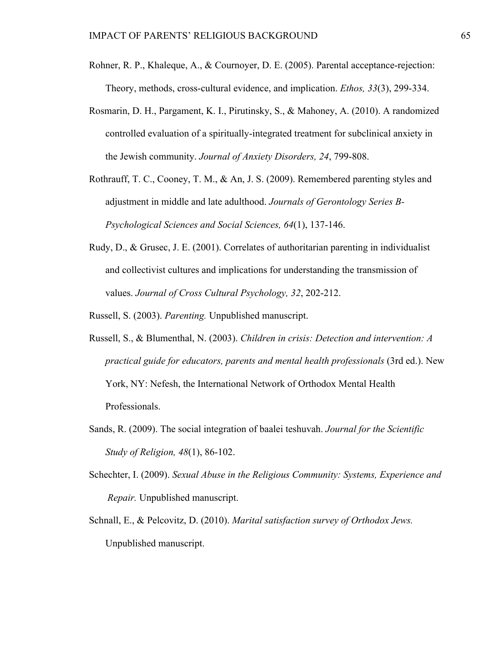- Rohner, R. P., Khaleque, A., & Cournoyer, D. E. (2005). Parental acceptance-rejection: Theory, methods, cross-cultural evidence, and implication. *Ethos, 33*(3), 299-334.
- Rosmarin, D. H., Pargament, K. I., Pirutinsky, S., & Mahoney, A. (2010). A randomized controlled evaluation of a spiritually-integrated treatment for subclinical anxiety in the Jewish community. *Journal of Anxiety Disorders, 24*, 799-808.
- Rothrauff, T. C., Cooney, T. M., & An, J. S. (2009). Remembered parenting styles and adjustment in middle and late adulthood. *Journals of Gerontology Series B-Psychological Sciences and Social Sciences, 64*(1), 137-146.
- Rudy, D., & Grusec, J. E. (2001). Correlates of authoritarian parenting in individualist and collectivist cultures and implications for understanding the transmission of values. *Journal of Cross Cultural Psychology, 32*, 202-212.

Russell, S. (2003). *Parenting.* Unpublished manuscript.

- Russell, S., & Blumenthal, N. (2003). *Children in crisis: Detection and intervention: A practical guide for educators, parents and mental health professionals* (3rd ed.). New York, NY: Nefesh, the International Network of Orthodox Mental Health Professionals.
- Sands, R. (2009). The social integration of baalei teshuvah. *Journal for the Scientific Study of Religion, 48*(1), 86-102.
- Schechter, I. (2009). *Sexual Abuse in the Religious Community: Systems, Experience and Repair.* Unpublished manuscript.
- Schnall, E., & Pelcovitz, D. (2010). *Marital satisfaction survey of Orthodox Jews.*  Unpublished manuscript.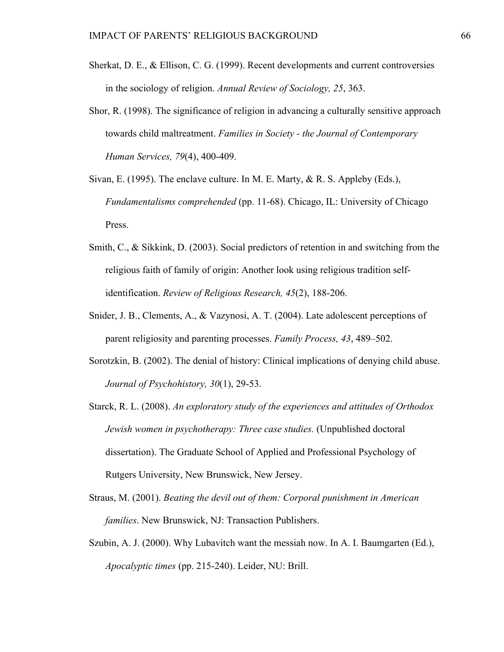- Sherkat, D. E., & Ellison, C. G. (1999). Recent developments and current controversies in the sociology of religion. *Annual Review of Sociology, 25*, 363.
- Shor, R. (1998). The significance of religion in advancing a culturally sensitive approach towards child maltreatment. *Families in Society - the Journal of Contemporary Human Services, 79*(4), 400-409.

Sivan, E. (1995). The enclave culture. In M. E. Marty, & R. S. Appleby (Eds.), *Fundamentalisms comprehended* (pp. 11-68). Chicago, IL: University of Chicago Press.

- Smith, C., & Sikkink, D. (2003). Social predictors of retention in and switching from the religious faith of family of origin: Another look using religious tradition selfidentification. *Review of Religious Research, 45*(2), 188-206.
- Snider, J. B., Clements, A., & Vazynosi, A. T. (2004). Late adolescent perceptions of parent religiosity and parenting processes. *Family Process, 43*, 489–502.
- Sorotzkin, B. (2002). The denial of history: Clinical implications of denying child abuse. *Journal of Psychohistory, 30*(1), 29-53.
- Starck, R. L. (2008). *An exploratory study of the experiences and attitudes of Orthodox Jewish women in psychotherapy: Three case studies.* (Unpublished doctoral dissertation). The Graduate School of Applied and Professional Psychology of Rutgers University, New Brunswick, New Jersey.
- Straus, M. (2001). *Beating the devil out of them: Corporal punishment in American families*. New Brunswick, NJ: Transaction Publishers.
- Szubin, A. J. (2000). Why Lubavitch want the messiah now. In A. I. Baumgarten (Ed.), *Apocalyptic times* (pp. 215-240). Leider, NU: Brill.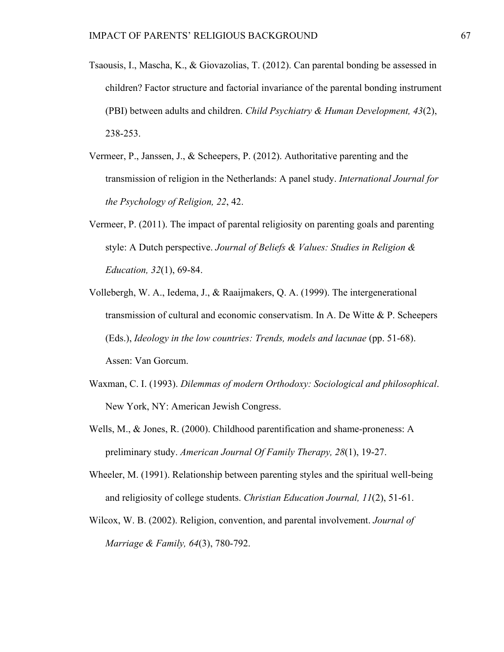- Tsaousis, I., Mascha, K., & Giovazolias, T. (2012). Can parental bonding be assessed in children? Factor structure and factorial invariance of the parental bonding instrument (PBI) between adults and children. *Child Psychiatry & Human Development, 43*(2), 238-253.
- Vermeer, P., Janssen, J., & Scheepers, P. (2012). Authoritative parenting and the transmission of religion in the Netherlands: A panel study. *International Journal for the Psychology of Religion, 22*, 42.
- Vermeer, P. (2011). The impact of parental religiosity on parenting goals and parenting style: A Dutch perspective. *Journal of Beliefs & Values: Studies in Religion & Education, 32*(1), 69-84.
- Vollebergh, W. A., Iedema, J., & Raaijmakers, Q. A. (1999). The intergenerational transmission of cultural and economic conservatism. In A. De Witte & P. Scheepers (Eds.), *Ideology in the low countries: Trends, models and lacunae* (pp. 51-68). Assen: Van Gorcum.
- Waxman, C. I. (1993). *Dilemmas of modern Orthodoxy: Sociological and philosophical*. New York, NY: American Jewish Congress.
- Wells, M., & Jones, R. (2000). Childhood parentification and shame-proneness: A preliminary study. *American Journal Of Family Therapy, 28*(1), 19-27.
- Wheeler, M. (1991). Relationship between parenting styles and the spiritual well-being and religiosity of college students. *Christian Education Journal, 11*(2), 51-61.
- Wilcox, W. B. (2002). Religion, convention, and parental involvement. *Journal of Marriage & Family, 64*(3), 780-792.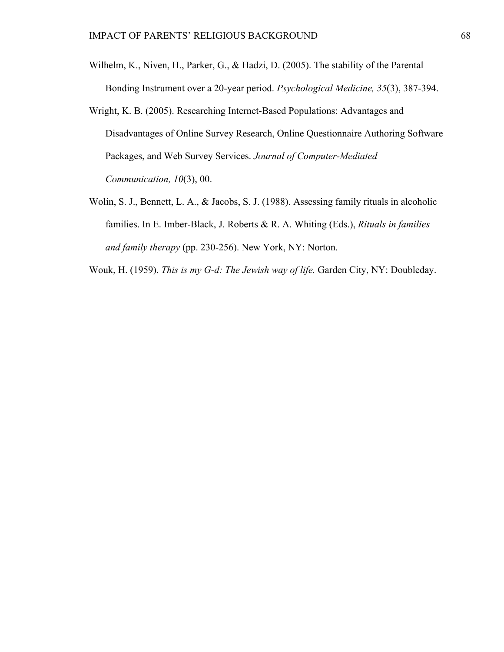- Wilhelm, K., Niven, H., Parker, G., & Hadzi, D. (2005). The stability of the Parental Bonding Instrument over a 20-year period. *Psychological Medicine, 35*(3), 387-394.
- Wright, K. B. (2005). Researching Internet-Based Populations: Advantages and Disadvantages of Online Survey Research, Online Questionnaire Authoring Software Packages, and Web Survey Services. *Journal of Computer-Mediated Communication, 10*(3), 00.
- Wolin, S. J., Bennett, L. A., & Jacobs, S. J. (1988). Assessing family rituals in alcoholic families. In E. Imber-Black, J. Roberts & R. A. Whiting (Eds.), *Rituals in families and family therapy* (pp. 230-256). New York, NY: Norton.

Wouk, H. (1959). *This is my G-d: The Jewish way of life.* Garden City, NY: Doubleday.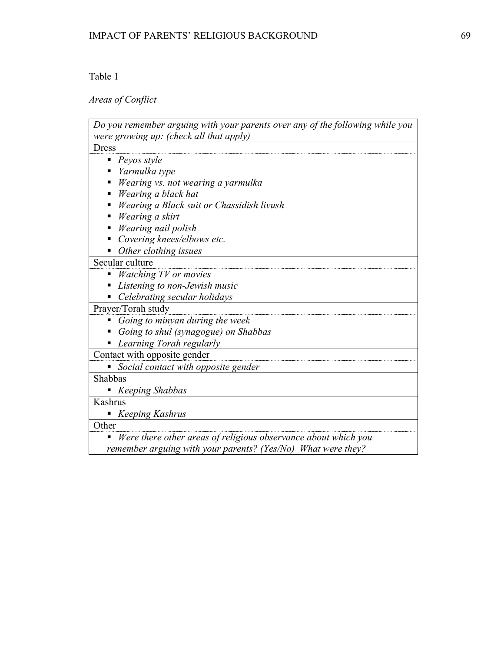## *Areas of Conflict*

| Do you remember arguing with your parents over any of the following while you |
|-------------------------------------------------------------------------------|
| were growing up: (check all that apply)                                       |
| <b>Dress</b>                                                                  |
| Peyos style                                                                   |
| Yarmulka type                                                                 |
| Wearing vs. not wearing a yarmulka                                            |
| Wearing a black hat                                                           |
| Wearing a Black suit or Chassidish livush                                     |
| Wearing a skirt                                                               |
| Wearing nail polish                                                           |
| Covering knees/elbows etc.                                                    |
| Other clothing issues                                                         |
| Secular culture                                                               |
| Watching TV or movies                                                         |
| Listening to non-Jewish music                                                 |
| Celebrating secular holidays                                                  |
| Prayer/Torah study                                                            |
| Going to minyan during the week                                               |
| Going to shul (synagogue) on Shabbas                                          |
| Learning Torah regularly                                                      |
| Contact with opposite gender                                                  |
| Social contact with opposite gender                                           |
| Shabbas                                                                       |
| Keeping Shabbas                                                               |
| Kashrus                                                                       |
| <b>Keeping Kashrus</b>                                                        |
| Other                                                                         |
| Were there other areas of religious observance about which you                |
| remember arguing with your parents? (Yes/No) What were they?                  |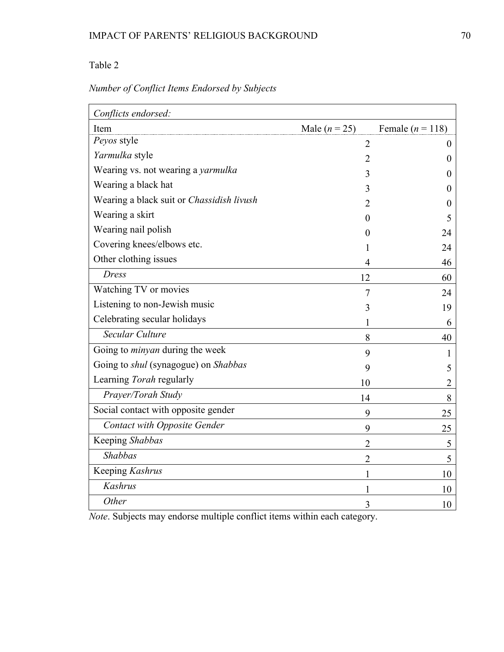| Conflicts endorsed:                                |                 |                      |
|----------------------------------------------------|-----------------|----------------------|
| Item                                               | Male $(n = 25)$ | Female ( $n = 118$ ) |
| Peyos style                                        | $\overline{2}$  | $\overline{0}$       |
| Yarmulka style                                     | $\overline{2}$  | 0                    |
| Wearing vs. not wearing a yarmulka                 | 3               | $\theta$             |
| Wearing a black hat                                | 3               | 0                    |
| Wearing a black suit or Chassidish livush          | 2               | 0                    |
| Wearing a skirt                                    | 0               | 5                    |
| Wearing nail polish                                | $\mathbf{0}$    | 24                   |
| Covering knees/elbows etc.                         | 1               | 24                   |
| Other clothing issues                              | 4               | 46                   |
| <b>Dress</b>                                       | 12              | 60                   |
| Watching TV or movies                              | 7               | 24                   |
| Listening to non-Jewish music                      | 3               | 19                   |
| Celebrating secular holidays                       |                 | 6                    |
| Secular Culture                                    | 8               | 40                   |
| Going to <i>minyan</i> during the week             | 9               | 1                    |
| Going to <i>shul</i> (synagogue) on <i>Shabbas</i> | 9               | 5                    |
| Learning Torah regularly                           | 10              | 2                    |
| Prayer/Torah Study                                 | 14              | 8                    |
| Social contact with opposite gender                | 9               | 25                   |
| <b>Contact with Opposite Gender</b>                | 9               | 25                   |
| Keeping Shabbas                                    | $\overline{2}$  | 5                    |
| Shabbas                                            | $\overline{2}$  | 5                    |
| Keeping Kashrus                                    | 1               | 10                   |
| <b>Kashrus</b>                                     | 1               | 10                   |
| Other                                              | 3               | 10                   |

*Note*. Subjects may endorse multiple conflict items within each category.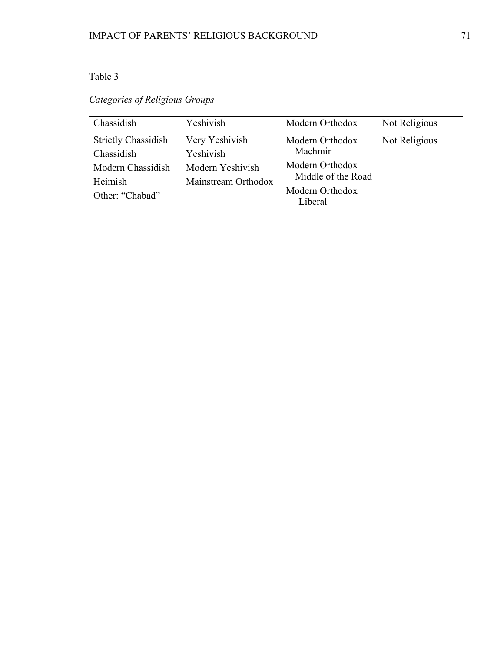*Categories of Religious Groups*

| Chassidish                                                                                  | Yeshivish                                                              | Modern Orthodox                                                                                   | Not Religious |
|---------------------------------------------------------------------------------------------|------------------------------------------------------------------------|---------------------------------------------------------------------------------------------------|---------------|
| <b>Strictly Chassidish</b><br>Chassidish<br>Modern Chassidish<br>Heimish<br>Other: "Chabad" | Very Yeshivish<br>Yeshivish<br>Modern Yeshivish<br>Mainstream Orthodox | Modern Orthodox<br>Machmir<br>Modern Orthodox<br>Middle of the Road<br>Modern Orthodox<br>Liberal | Not Religious |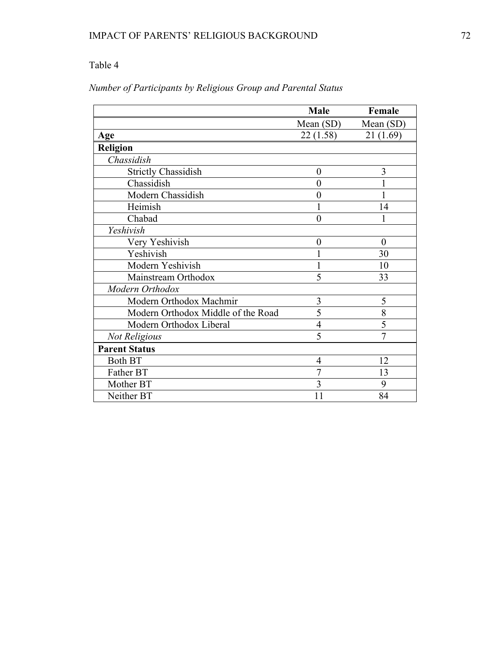|                                    | <b>Male</b>      | Female         |
|------------------------------------|------------------|----------------|
|                                    | Mean $(SD)$      | Mean (SD)      |
| Age                                | 22(1.58)         | 21(1.69)       |
| Religion                           |                  |                |
| Chassidish                         |                  |                |
| <b>Strictly Chassidish</b>         | $\boldsymbol{0}$ | 3              |
| Chassidish                         | $\overline{0}$   |                |
| Modern Chassidish                  | $\overline{0}$   |                |
| Heimish                            | 1                | 14             |
| Chabad                             | $\overline{0}$   |                |
| Yeshivish                          |                  |                |
| Very Yeshivish                     | $\overline{0}$   | $\theta$       |
| Yeshivish                          | 1                | 30             |
| Modern Yeshivish                   | $\mathbf{1}$     | 10             |
| Mainstream Orthodox                | 5                | 33             |
| Modern Orthodox                    |                  |                |
| Modern Orthodox Machmir            | 3                | 5              |
| Modern Orthodox Middle of the Road | 5                | 8              |
| Modern Orthodox Liberal            | $\overline{4}$   | 5              |
| <b>Not Religious</b>               | 5                | $\overline{7}$ |
| <b>Parent Status</b>               |                  |                |
| <b>Both BT</b>                     | 4                | 12             |
| Father BT                          | 7                | 13             |
| Mother BT                          | 3                | 9              |
| Neither BT                         | 11               | 84             |

## *Number of Participants by Religious Group and Parental Status*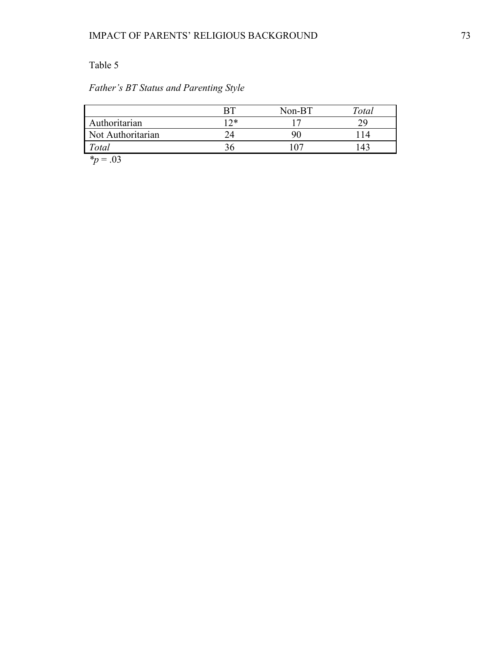# *Father's BT Status and Parenting Style*

|                   |      | Non-BT | Total |
|-------------------|------|--------|-------|
| Authoritarian     | Ⅰ つ* |        |       |
| Not Authoritarian |      |        |       |
| Total             | 36   |        |       |
| ste.<br>$\sim$    |      |        |       |

*\*p* = .03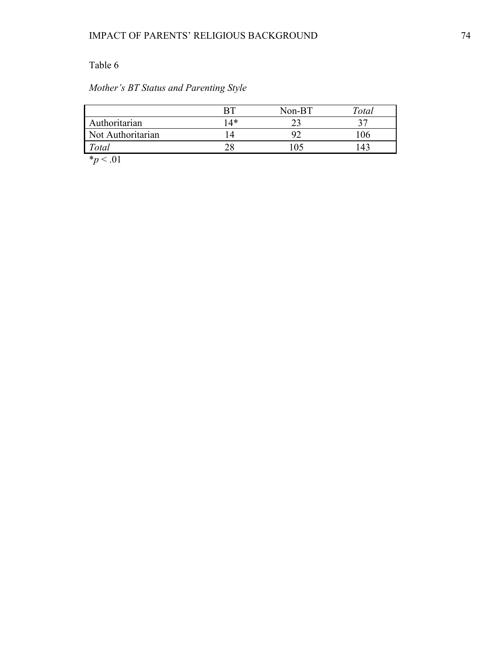## *Mother's BT Status and Parenting Style*

|                            |     | Non-BT | $\tau_{\textit{otal}}$ |
|----------------------------|-----|--------|------------------------|
| Authoritarian              | 14* |        |                        |
| Not Authoritarian          |     |        | 06                     |
| Total                      |     |        |                        |
| $\mathbf{a}$<br>$\sim$ 0.1 |     |        |                        |

 $*_{p}$  < .01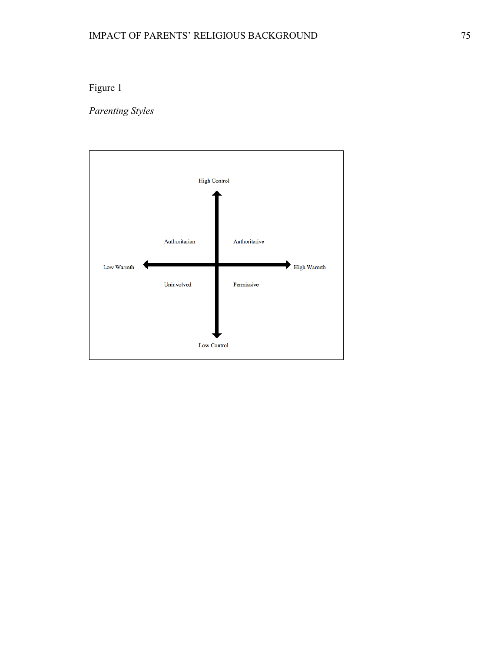# Figure 1

*Parenting Styles*

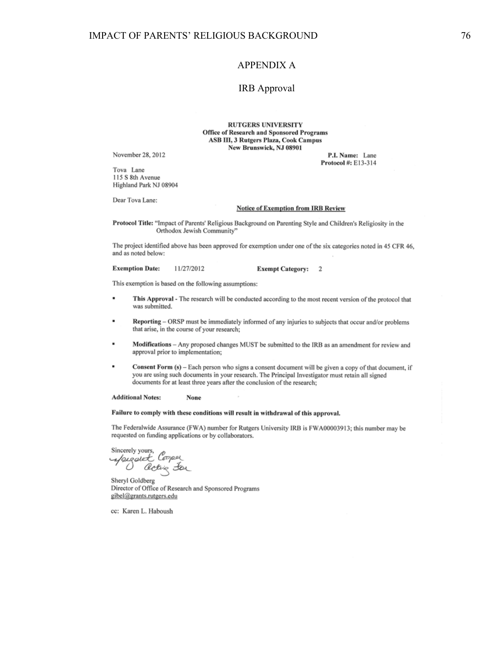#### APPENDIX A

#### IRB Approval

**RUTGERS UNIVERSITY** Office of Research and Sponsored Programs ASB III, 3 Rutgers Plaza, Cook Campus New Brunswick, NJ 08901

November 28, 2012

Tova Lane 115 S 8th Avenue Highland Park NJ 08904

Dear Tova Lane:

#### **Notice of Exemption from IRB Review**

P.I. Name: Lane Protocol #: E13-314

Protocol Title: "Impact of Parents' Religious Background on Parenting Style and Children's Religiosity in the Orthodox Jewish Community"

The project identified above has been approved for exemption under one of the six categories noted in 45 CFR 46, and as noted below:

**Exemption Date:** 11/27/2012 **Exempt Category:**  $\overline{2}$ 

This exemption is based on the following assumptions:

- This Approval The research will be conducted according to the most recent version of the protocol that was submitted.
- Reporting ORSP must be immediately informed of any injuries to subjects that occur and/or problems that arise, in the course of your research;
- Modifications Any proposed changes MUST be submitted to the IRB as an amendment for review and approval prior to implementation;
- Consent Form (s) Each person who signs a consent document will be given a copy of that document, if you are using such documents in your research. The Principal Investigator must retain all signed documents for at least three years after the conclusion of the research;

**Additional Notes:** None

#### Failure to comply with these conditions will result in withdrawal of this approval.

The Federalwide Assurance (FWA) number for Rutgers University IRB is FWA00003913; this number may be requested on funding applications or by collaborators.

Sincerely yours, fergatet Cooper acting for

Sheryl Goldberg Director of Office of Research and Sponsored Programs gibel@grants.rutgers.edu

cc: Karen L. Haboush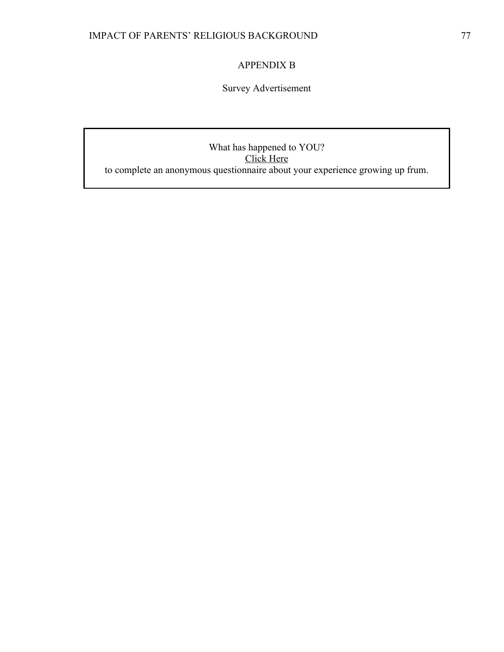## APPENDIX B

Survey Advertisement

What has happened to YOU? Click Here to complete an anonymous questionnaire about your experience growing up frum.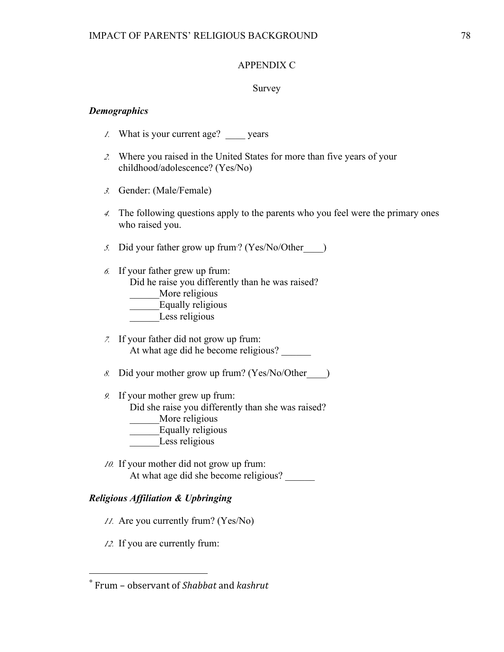### APPENDIX C

### Survey

### *Demographics*

- *1.* What is your current age? \_\_\_\_ years
- *2.* Where you raised in the United States for more than five years of your childhood/adolescence? (Yes/No)
- *3.* Gender: (Male/Female)
- *4.* The following questions apply to the parents who you feel were the primary ones who raised you.

*5.* Did your father grow up frum<sup>∗</sup> ? (Yes/No/Other\_\_\_\_)

- *6.* If your father grew up frum: Did he raise you differently than he was raised? More religious \_\_\_\_\_\_Equally religious Less religious
- *7.* If your father did not grow up frum: At what age did he become religious?
- *8.* Did your mother grow up frum? (Yes/No/Other\_\_\_\_)
- *9.* If your mother grew up frum:

Did she raise you differently than she was raised?

- \_\_\_\_\_\_More religious
	- Equally religious
	- Less religious
- *10.* If your mother did not grow up frum: At what age did she become religious?

### *Religious Affiliation & Upbringing*

- *11.* Are you currently frum? (Yes/No)
- *12.* If you are currently frum:

 

<sup>∗</sup> Frum – observant of *Shabbat* and *kashrut*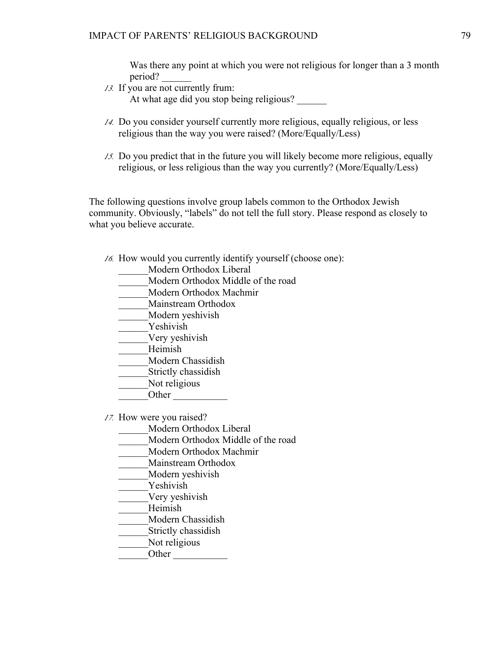Was there any point at which you were not religious for longer than a 3 month period? \_

*13.* If you are not currently frum:

At what age did you stop being religious?

- *14.* Do you consider yourself currently more religious, equally religious, or less religious than the way you were raised? (More/Equally/Less)
- *15.* Do you predict that in the future you will likely become more religious, equally religious, or less religious than the way you currently? (More/Equally/Less)

The following questions involve group labels common to the Orthodox Jewish community. Obviously, "labels" do not tell the full story. Please respond as closely to what you believe accurate.

- *16.* How would you currently identify yourself (choose one):
	- \_\_\_\_\_\_Modern Orthodox Liberal
	- \_\_\_\_\_\_Modern Orthodox Middle of the road
	- \_\_\_\_\_\_Modern Orthodox Machmir
	- \_\_\_\_\_\_Mainstream Orthodox
	- \_\_\_\_\_\_Modern yeshivish
	- Yeshivish
	- \_\_\_\_\_\_Very yeshivish
	- \_\_\_\_\_\_Heimish
	- \_\_\_\_\_\_Modern Chassidish
	- \_\_\_\_\_\_Strictly chassidish
	- Not religious
	- Other  $\Box$

*17.* How were you raised?

- \_\_\_\_\_\_Modern Orthodox Liberal
- \_\_\_\_\_\_Modern Orthodox Middle of the road
- \_\_\_\_\_\_Modern Orthodox Machmir
- \_\_\_\_\_\_Mainstream Orthodox
- \_\_\_\_\_\_Modern yeshivish
- \_\_\_\_\_\_Yeshivish
- \_\_\_\_\_\_Very yeshivish
- \_\_\_\_\_\_Heimish
- \_\_\_\_\_\_Modern Chassidish
- \_\_\_\_\_\_Strictly chassidish
- Not religious
- $\overline{\phantom{a}}$ Other  $\overline{\phantom{a}}$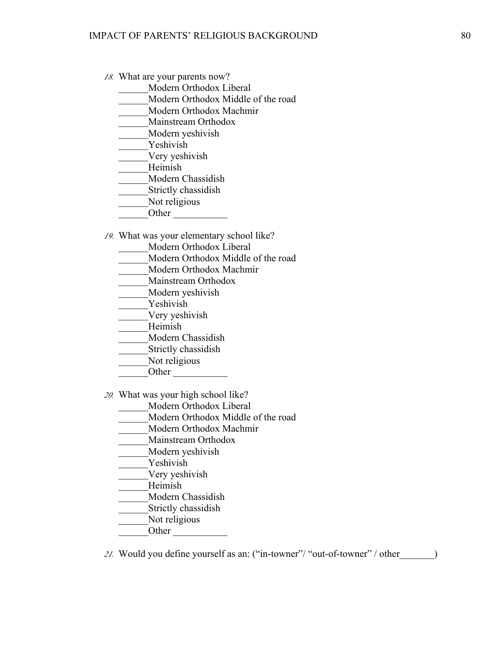- *18.* What are your parents now?
	- \_\_\_\_\_\_Modern Orthodox Liberal
	- \_\_\_\_\_\_Modern Orthodox Middle of the road
	- \_\_\_\_\_\_Modern Orthodox Machmir
	- Mainstream Orthodox
	- \_\_\_\_\_\_Modern yeshivish
	- Yeshivish
	- \_\_\_\_\_\_Very yeshivish
	- \_\_\_\_\_\_Heimish
	- \_\_\_\_\_\_Modern Chassidish
	- Strictly chassidish
	- Not religious
	- Other  $\qquad$
- *19.* What was your elementary school like?
	- Modern Orthodox Liberal
	- \_\_\_\_\_\_Modern Orthodox Middle of the road
	- \_\_\_\_\_\_Modern Orthodox Machmir
	- \_\_\_\_\_\_Mainstream Orthodox
	- \_\_\_\_\_\_Modern yeshivish
	- Yeshivish
	- \_\_\_\_\_\_Very yeshivish
	- \_\_\_\_\_\_Heimish
	- \_\_\_\_\_\_Modern Chassidish
	- Strictly chassidish
	- Not religious
	- Other  $\Box$
- *20.* What was your high school like?
	- \_\_\_\_\_\_Modern Orthodox Liberal
	- \_\_\_\_\_\_Modern Orthodox Middle of the road
	- \_\_\_\_\_\_Modern Orthodox Machmir
	- \_\_\_\_\_\_Mainstream Orthodox
	- \_\_\_\_\_\_Modern yeshivish
	- Yeshivish
	- Very yeshivish
	- \_\_\_\_\_\_Heimish
	- \_\_\_\_\_\_Modern Chassidish
	- \_\_\_\_\_\_Strictly chassidish
	- Not religious
	- Other  $\Box$
- 21. Would you define yourself as an: ("in-towner"/ "out-of-towner" / other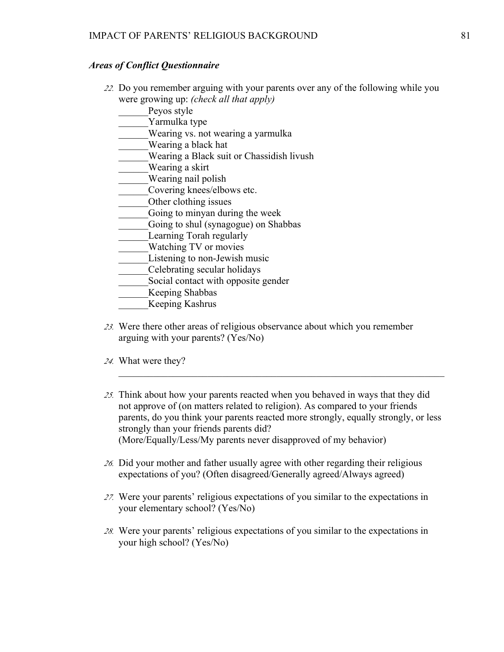### *Areas of Conflict Questionnaire*

- *22.* Do you remember arguing with your parents over any of the following while you were growing up: *(check all that apply)*
	- Peyos style
	- Yarmulka type
	- Wearing vs. not wearing a yarmulka
	- \_\_\_\_\_\_Wearing a black hat
	- \_\_\_\_\_\_Wearing a Black suit or Chassidish livush
	- \_\_\_\_\_\_Wearing a skirt
	- Wearing nail polish
	- Covering knees/elbows etc.
	- \_\_\_\_\_\_Other clothing issues
	- Going to minyan during the week
	- Going to shul (synagogue) on Shabbas
	- Learning Torah regularly
	- Watching TV or movies
	- Listening to non-Jewish music
	- \_\_\_\_\_\_Celebrating secular holidays
	- Social contact with opposite gender
	- \_\_\_\_\_\_Keeping Shabbas
	- \_\_\_\_\_\_Keeping Kashrus
- *23.* Were there other areas of religious observance about which you remember arguing with your parents? (Yes/No)
- *24.* What were they?
- *25.* Think about how your parents reacted when you behaved in ways that they did not approve of (on matters related to religion). As compared to your friends parents, do you think your parents reacted more strongly, equally strongly, or less strongly than your friends parents did? (More/Equally/Less/My parents never disapproved of my behavior)

 $\mathcal{L}_\mathcal{L} = \mathcal{L}_\mathcal{L} = \mathcal{L}_\mathcal{L} = \mathcal{L}_\mathcal{L} = \mathcal{L}_\mathcal{L} = \mathcal{L}_\mathcal{L} = \mathcal{L}_\mathcal{L} = \mathcal{L}_\mathcal{L} = \mathcal{L}_\mathcal{L} = \mathcal{L}_\mathcal{L} = \mathcal{L}_\mathcal{L} = \mathcal{L}_\mathcal{L} = \mathcal{L}_\mathcal{L} = \mathcal{L}_\mathcal{L} = \mathcal{L}_\mathcal{L} = \mathcal{L}_\mathcal{L} = \mathcal{L}_\mathcal{L}$ 

- *26.* Did your mother and father usually agree with other regarding their religious expectations of you? (Often disagreed/Generally agreed/Always agreed)
- *27.* Were your parents' religious expectations of you similar to the expectations in your elementary school? (Yes/No)
- *28.* Were your parents' religious expectations of you similar to the expectations in your high school? (Yes/No)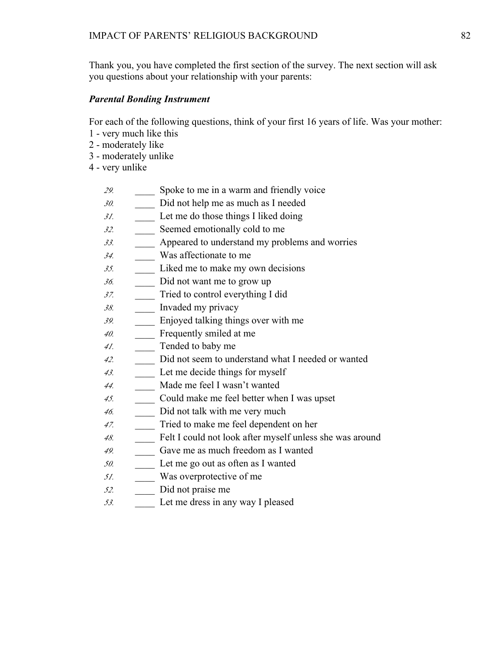Thank you, you have completed the first section of the survey. The next section will ask you questions about your relationship with your parents:

### *Parental Bonding Instrument*

For each of the following questions, think of your first 16 years of life. Was your mother:

- 1 very much like this
- 2 moderately like
- 3 moderately unlike
- 4 very unlike
	- *29.* \_\_\_\_ Spoke to me in a warm and friendly voice
	- *30.* \_\_\_\_ Did not help me as much as I needed
	- *31.* \_\_\_\_ Let me do those things I liked doing
	- *32.* \_\_\_\_ Seemed emotionally cold to me
	- *33.* \_\_\_\_ Appeared to understand my problems and worries
	- *34.* \_\_\_\_ Was affectionate to me
	- *35.* \_\_\_\_ Liked me to make my own decisions
	- *36.* \_\_\_\_ Did not want me to grow up
	- *37.* \_\_\_\_ Tried to control everything I did
	- *38.* \_\_\_\_ Invaded my privacy
	- *39.* \_\_\_\_ Enjoyed talking things over with me
	- *40.* \_\_\_\_ Frequently smiled at me
	- *41.* \_\_\_\_ Tended to baby me
	- *42.* \_\_\_\_ Did not seem to understand what I needed or wanted
	- *43.* \_\_\_\_ Let me decide things for myself
	- *44.* \_\_\_\_ Made me feel I wasn't wanted
	- *45.* \_\_\_\_ Could make me feel better when I was upset
	- *46.* \_\_\_\_ Did not talk with me very much
	- *47.* \_\_\_\_ Tried to make me feel dependent on her
	- *48.* \_\_\_\_ Felt I could not look after myself unless she was around
	- *49.* \_\_\_\_ Gave me as much freedom as I wanted
	- *50.* \_\_\_\_ Let me go out as often as I wanted
	- *51.* \_\_\_\_ Was overprotective of me
	- *52.* \_\_\_\_ Did not praise me
	- *53.* \_\_\_\_ Let me dress in any way I pleased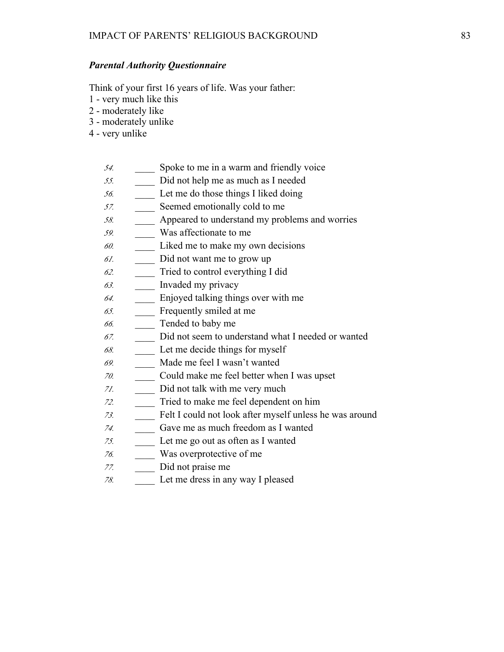### *Parental Authority Questionnaire*

Think of your first 16 years of life. Was your father:

- 1 very much like this
- 2 moderately like
- 3 moderately unlike
- 4 very unlike
	- *54.* \_\_\_\_ Spoke to me in a warm and friendly voice
	- *55.* \_\_\_\_ Did not help me as much as I needed
	- *56.* \_\_\_\_ Let me do those things I liked doing
	- *57.* Seemed emotionally cold to me
	- *58.* \_\_\_\_ Appeared to understand my problems and worries
	- *59.* \_\_\_\_ Was affectionate to me
	- *60.* \_\_\_\_ Liked me to make my own decisions
	- *61.* \_\_\_\_ Did not want me to grow up
	- *62.* \_\_\_\_ Tried to control everything I did
	- *63.* \_\_\_\_ Invaded my privacy
	- *64.* \_\_\_\_ Enjoyed talking things over with me
	- *65.* \_\_\_\_ Frequently smiled at me
	- *66.* \_\_\_\_ Tended to baby me
	- *67.* \_\_\_\_ Did not seem to understand what I needed or wanted
	- *68.* \_\_\_\_ Let me decide things for myself
	- *69.* \_\_\_\_ Made me feel I wasn't wanted
	- *70.* \_\_\_\_ Could make me feel better when I was upset
	- *71.* \_\_\_\_ Did not talk with me very much
	- *72.* \_\_\_\_ Tried to make me feel dependent on him
	- *73.* \_\_\_\_ Felt I could not look after myself unless he was around
	- *74.* \_\_\_\_ Gave me as much freedom as I wanted
	- *75.* \_\_\_\_ Let me go out as often as I wanted
	- *76.* \_\_\_\_ Was overprotective of me
	- *77.* \_\_\_\_ Did not praise me
	- *78.* \_\_\_\_ Let me dress in any way I pleased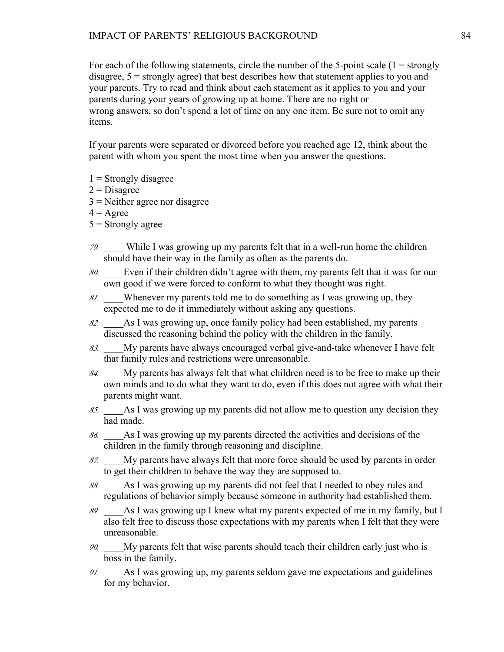For each of the following statements, circle the number of the 5-point scale  $(1 =$  strongly disagree, 5 = strongly agree) that best describes how that statement applies to you and your parents. Try to read and think about each statement as it applies to you and your parents during your years of growing up at home. There are no right or wrong answers, so don't spend a lot of time on any one item. Be sure not to omit any items.

If your parents were separated or divorced before you reached age 12, think about the parent with whom you spent the most time when you answer the questions.

- $1$  = Strongly disagree
- $2$  = Disagree
- $3$  = Neither agree nor disagree
- $4 = \text{Agree}$
- $5 =$ Strongly agree
- *79.* \_\_\_\_ While I was growing up my parents felt that in a well-run home the children should have their way in the family as often as the parents do.
- *80.* \_\_\_\_Even if their children didn't agree with them, my parents felt that it was for our own good if we were forced to conform to what they thought was right.
- *81.* \_\_\_\_Whenever my parents told me to do something as I was growing up, they expected me to do it immediately without asking any questions.
- *82.* \_\_\_\_As I was growing up, once family policy had been established, my parents discussed the reasoning behind the policy with the children in the family.
- *83.* \_\_\_\_My parents have always encouraged verbal give-and-take whenever I have felt that family rules and restrictions were unreasonable.
- *84.* \_\_\_\_My parents has always felt that what children need is to be free to make up their own minds and to do what they want to do, even if this does not agree with what their parents might want.
- *85.* \_\_\_\_As I was growing up my parents did not allow me to question any decision they had made.
- *86.* \_\_\_\_As I was growing up my parents directed the activities and decisions of the children in the family through reasoning and discipline.
- *87.* \_\_\_\_My parents have always felt that more force should be used by parents in order to get their children to behave the way they are supposed to.
- *88.* \_\_\_\_As I was growing up my parents did not feel that I needed to obey rules and regulations of behavior simply because someone in authority had established them.
- *89.* \_\_\_\_As I was growing up I knew what my parents expected of me in my family, but I also felt free to discuss those expectations with my parents when I felt that they were unreasonable.
- *90.* \_\_\_\_My parents felt that wise parents should teach their children early just who is boss in the family.
- *91.* \_\_\_\_As I was growing up, my parents seldom gave me expectations and guidelines for my behavior.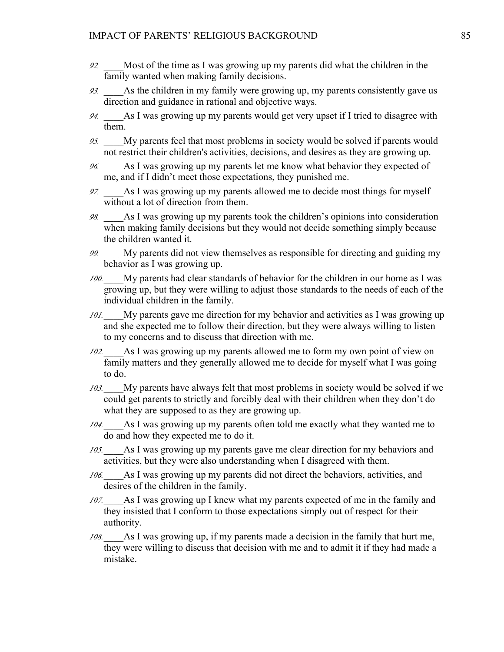- *92.* \_\_\_\_Most of the time as I was growing up my parents did what the children in the family wanted when making family decisions.
- *93.* \_\_\_\_As the children in my family were growing up, my parents consistently gave us direction and guidance in rational and objective ways.
- *94.* \_\_\_\_As I was growing up my parents would get very upset if I tried to disagree with them.
- *95.* \_\_\_\_My parents feel that most problems in society would be solved if parents would not restrict their children's activities, decisions, and desires as they are growing up.
- *96.* \_\_\_\_As I was growing up my parents let me know what behavior they expected of me, and if I didn't meet those expectations, they punished me.
- *97.* \_\_\_\_As I was growing up my parents allowed me to decide most things for myself without a lot of direction from them.
- *98.* \_\_\_\_As I was growing up my parents took the children's opinions into consideration when making family decisions but they would not decide something simply because the children wanted it.
- *99.* \_\_\_\_My parents did not view themselves as responsible for directing and guiding my behavior as I was growing up.
- *100.*\_\_\_\_My parents had clear standards of behavior for the children in our home as I was growing up, but they were willing to adjust those standards to the needs of each of the individual children in the family.
- *101.* My parents gave me direction for my behavior and activities as I was growing up and she expected me to follow their direction, but they were always willing to listen to my concerns and to discuss that direction with me.
- *102.*\_\_\_\_As I was growing up my parents allowed me to form my own point of view on family matters and they generally allowed me to decide for myself what I was going to do.
- *103.*\_\_\_\_My parents have always felt that most problems in society would be solved if we could get parents to strictly and forcibly deal with their children when they don't do what they are supposed to as they are growing up.
- *104.*\_\_\_\_As I was growing up my parents often told me exactly what they wanted me to do and how they expected me to do it.
- *105.*\_\_\_\_As I was growing up my parents gave me clear direction for my behaviors and activities, but they were also understanding when I disagreed with them.
- *106.*\_\_\_\_As I was growing up my parents did not direct the behaviors, activities, and desires of the children in the family.
- *107.*\_\_\_\_As I was growing up I knew what my parents expected of me in the family and they insisted that I conform to those expectations simply out of respect for their authority.
- *108.*\_\_\_\_As I was growing up, if my parents made a decision in the family that hurt me, they were willing to discuss that decision with me and to admit it if they had made a mistake.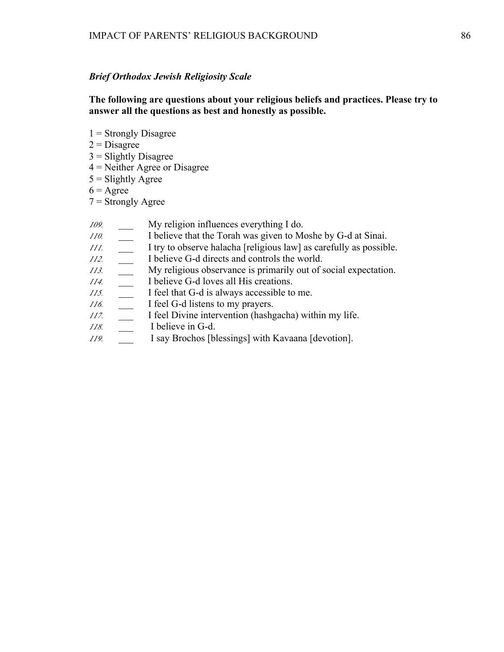### *Brief Orthodox Jewish Religiosity Scale*

**The following are questions about your religious beliefs and practices. Please try to answer all the questions as best and honestly as possible.** 

- $1$  = Strongly Disagree
- $2$  = Disagree
- $3$  = Slightly Disagree
- 4 = Neither Agree or Disagree
- $5 =$ Slightly Agree
- $6 = \text{Agree}$
- $7 =$  Strongly Agree
- *109.* \_\_\_ My religion influences everything I do.
- *110.* \_\_\_ I believe that the Torah was given to Moshe by G-d at Sinai.
- *111.* \_\_\_ I try to observe halacha [religious law] as carefully as possible.
- *112.* \_\_\_ I believe G-d directs and controls the world.
- *113.* \_\_\_ My religious observance is primarily out of social expectation.
- *114.* \_\_\_ I believe G-d loves all His creations.
- *115.* \_\_\_ I feel that G-d is always accessible to me.
- *116.* \_\_\_ I feel G-d listens to my prayers.
- *117.* \_\_\_ I feel Divine intervention (hashgacha) within my life.
- *118.* \_\_\_ I believe in G-d.
- *119.* \_\_\_ I say Brochos [blessings] with Kavaana [devotion].